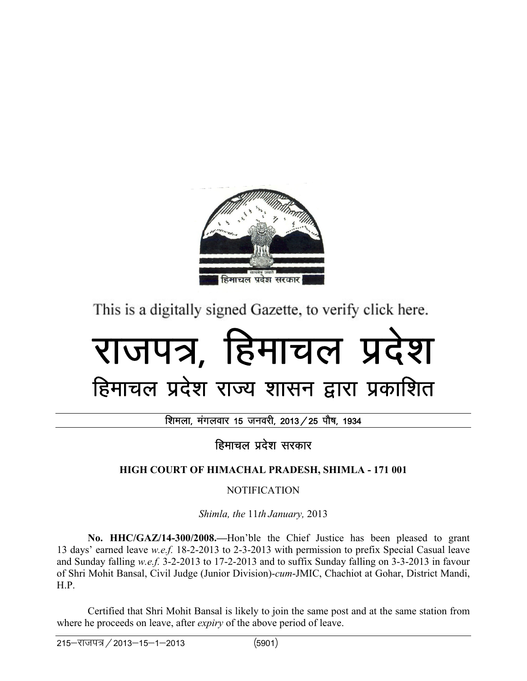

This is a digitally signed Gazette, to verify click here.

# राजपत्र. हिमाचल प्रदेश

# हिमाचल प्रदेश राज्य शासन द्वारा प्रकाशित

शिमला, मंगलवार 15 जनवरी, 2013 / 25 पौष, 1934

हिमाचल प्रदेश सरकार

# **HIGH COURT OF HIMACHAL PRADESH, SHIMLA - 171 001**

NOTIFICATION

*Shimla, the* 11*th January,* 2013

 **No. HHC/GAZ/14-300/2008.—**Hon'ble the Chief Justice has been pleased to grant 13 days' earned leave *w.e.f.* 18-2-2013 to 2-3-2013 with permission to prefix Special Casual leave and Sunday falling *w.e.f.* 3-2-2013 to 17-2-2013 and to suffix Sunday falling on 3-3-2013 in favour of Shri Mohit Bansal, Civil Judge (Junior Division)-*cum*-JMIC, Chachiot at Gohar, District Mandi, H.P.

 Certified that Shri Mohit Bansal is likely to join the same post and at the same station from where he proceeds on leave, after *expiry* of the above period of leave.

 $215 - 7$ ाजपत्र / 2013–15–1–2013 (5901)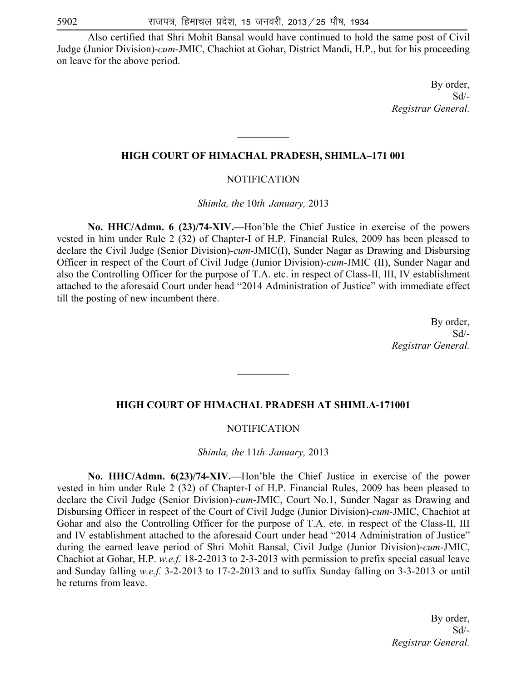Also certified that Shri Mohit Bansal would have continued to hold the same post of Civil Judge (Junior Division)-*cum*-JMIC, Chachiot at Gohar, District Mandi, H.P., but for his proceeding on leave for the above period.

> By order, Sd/- *Registrar General.*

#### **HIGH COURT OF HIMACHAL PRADESH, SHIMLA–171 001**

 $\frac{1}{2}$ 

#### NOTIFICATION

*Shimla, the* 10*th January,* 2013

 **No. HHC/Admn. 6 (23)/74-XIV.—**Hon'ble the Chief Justice in exercise of the powers vested in him under Rule 2 (32) of Chapter-I of H.P. Financial Rules, 2009 has been pleased to declare the Civil Judge (Senior Division)-*cum*-JMIC(I), Sunder Nagar as Drawing and Disbursing Officer in respect of the Court of Civil Judge (Junior Division)-*cum*-JMIC (II), Sunder Nagar and also the Controlling Officer for the purpose of T.A. etc. in respect of Class-II, III, IV establishment attached to the aforesaid Court under head "2014 Administration of Justice" with immediate effect till the posting of new incumbent there.

> By order, Sd/- *Registrar General.*

#### **HIGH COURT OF HIMACHAL PRADESH AT SHIMLA-171001**

 $\mathcal{L}_\text{max}$ 

#### NOTIFICATION

*Shimla, the* 11*th January,* 2013

 **No. HHC/Admn. 6(23)/74-XIV.—**Hon'ble the Chief Justice in exercise of the power vested in him under Rule 2 (32) of Chapter-I of H.P. Financial Rules, 2009 has been pleased to declare the Civil Judge (Senior Division)*-cum*-JMIC, Court No.1, Sunder Nagar as Drawing and Disbursing Officer in respect of the Court of Civil Judge (Junior Division)-*cum-*JMIC, Chachiot at Gohar and also the Controlling Officer for the purpose of T.A. ete. in respect of the Class-II, III and IV establishment attached to the aforesaid Court under head "2014 Administration of Justice" during the earned leave period of Shri Mohit Bansal, Civil Judge (Junior Division)-*cum-*JMIC, Chachiot at Gohar, H.P. *w.e.f.* 18-2-2013 to 2-3-2013 with permission to prefix special casual leave and Sunday falling *w.e.f.* 3-2-2013 to 17-2-2013 and to suffix Sunday falling on 3-3-2013 or until he returns from leave.

> By order, Sd/- *Registrar General.*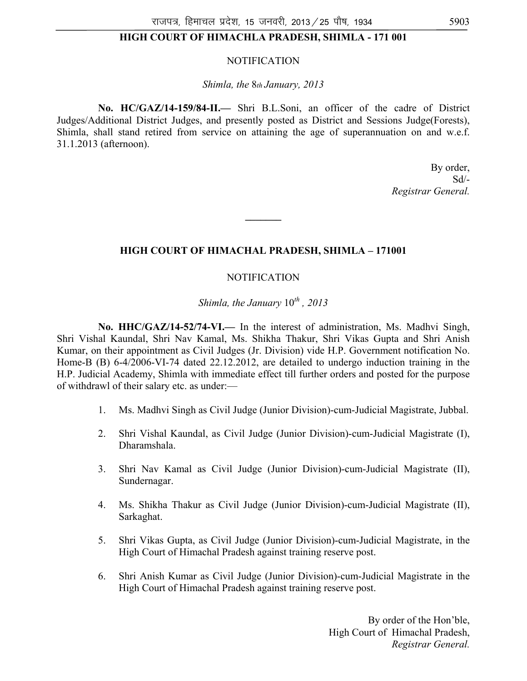# **HIGH COURT OF HIMACHLA PRADESH, SHIMLA - 171 001**

#### NOTIFICATION

*Shimla, the* 8*th January, 2013* 

 **No. HC/GAZ/14-159/84-II.—** Shri B.L.Soni, an officer of the cadre of District Judges/Additional District Judges, and presently posted as District and Sessions Judge(Forests), Shimla, shall stand retired from service on attaining the age of superannuation on and w.e.f. 31.1.2013 (afternoon).

> By order, Sd/- *Registrar General.*

#### **HIGH COURT OF HIMACHAL PRADESH, SHIMLA – 171001**

**\_\_\_\_\_\_\_** 

#### NOTIFICATION

*Shimla, the January* 10*th , 2013* 

 **No. HHC/GAZ/14-52/74-VI.—** In the interest of administration, Ms. Madhvi Singh, Shri Vishal Kaundal, Shri Nav Kamal, Ms. Shikha Thakur, Shri Vikas Gupta and Shri Anish Kumar, on their appointment as Civil Judges (Jr. Division) vide H.P. Government notification No. Home-B (B) 6-4/2006-VI-74 dated 22.12.2012, are detailed to undergo induction training in the H.P. Judicial Academy, Shimla with immediate effect till further orders and posted for the purpose of withdrawl of their salary etc. as under:—

- 1. Ms. Madhvi Singh as Civil Judge (Junior Division)-cum-Judicial Magistrate, Jubbal.
- 2. Shri Vishal Kaundal, as Civil Judge (Junior Division)-cum-Judicial Magistrate (I), Dharamshala.
- 3. Shri Nav Kamal as Civil Judge (Junior Division)-cum-Judicial Magistrate (II), Sundernagar.
- 4. Ms. Shikha Thakur as Civil Judge (Junior Division)-cum-Judicial Magistrate (II), Sarkaghat.
- 5. Shri Vikas Gupta, as Civil Judge (Junior Division)-cum-Judicial Magistrate, in the High Court of Himachal Pradesh against training reserve post.
- 6. Shri Anish Kumar as Civil Judge (Junior Division)-cum-Judicial Magistrate in the High Court of Himachal Pradesh against training reserve post.

By order of the Hon'ble, High Court of Himachal Pradesh, *Registrar General.*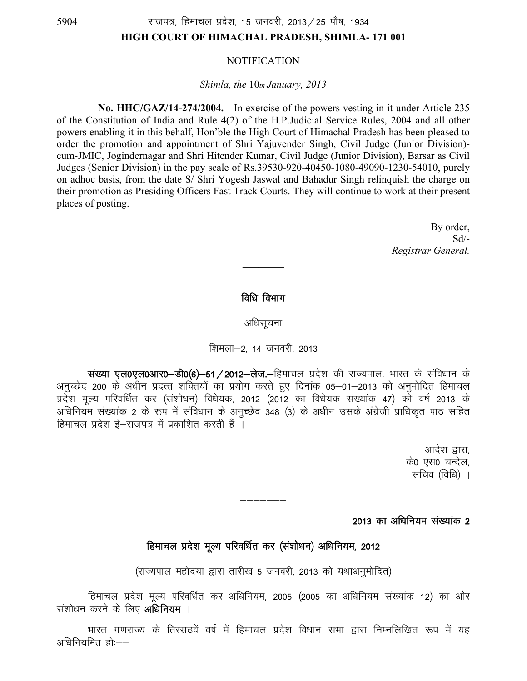#### **HIGH COURT OF HIMACHAL PRADESH, SHIMLA- 171 001**

#### NOTIFICATION

*Shimla, the* 10*th January, 2013* 

 **No. HHC/GAZ/14-274/2004.—**In exercise of the powers vesting in it under Article 235 of the Constitution of India and Rule 4(2) of the H.P.Judicial Service Rules, 2004 and all other powers enabling it in this behalf, Hon'ble the High Court of Himachal Pradesh has been pleased to order the promotion and appointment of Shri Yajuvender Singh, Civil Judge (Junior Division) cum-JMIC, Jogindernagar and Shri Hitender Kumar, Civil Judge (Junior Division), Barsar as Civil Judges (Senior Division) in the pay scale of Rs.39530-920-40450-1080-49090-1230-54010, purely on adhoc basis, from the date S/ Shri Yogesh Jaswal and Bahadur Singh relinquish the charge on their promotion as Presiding Officers Fast Track Courts. They will continue to work at their present places of posting.

> By order, Sd/- *Registrar General.*

#### विधि विभाग

**\_\_\_\_\_\_\_\_** 

अधिसूचना

#### शिमला–2, 14 जनवरी, 2013

 $\dot{R}$ संख्या एल0एल0आर0—डी0(6)—51 / 2012—लेज.—हिमाचल प्रदेश की राज्यपाल, भारत के संविधान के अनुच्छेद 200 के अधीन प्रदत्त शक्तियों का प्रयोग करते हुए दिनांक 05–01–2013 को अनुमोदित हिमाचल प्रदेश मूल्य परिवर्धित कर (संशोधन) विधेयक, 2012 (2012 का विधेयक संख्यांक 47) को वर्ष 2013 के अधिनियम संख्यांक 2 के रूप में संविधान के अनुच्छेद 348 (3) के अधीन उसके अंग्रेजी प्राधिकृत पाठ सहित हिमाचल प्रदेश ई–राजपत्र में प्रकाशित करती हैं ।

> आदेश द्वारा, के0 एस0 चन्देल, सचिव (विधि) ।

#### 2013 का अधिनियम संख्यांक 2

# हिमाचल प्रदेश मूल्य परिवर्धित कर (संशोधन) अधिनियम, 2012

———————

(राज्यपाल महोदया द्वारा तारीख 5 जनवरी, 2013 को यथाअनुमोदित)

हिमाचल प्रदेश मूल्य परिवर्धित कर अधिनियम, 2005 (2005 का अधिनियम संख्यांक 12) का और संशोधन करने के लिए **अधिनियम** ।

भारत गणराज्य के तिरसठवें वर्ष में हिमाचल प्रदेश विधान सभा द्वारा निम्नलिखित रूप में यह अधिनियमित हो:——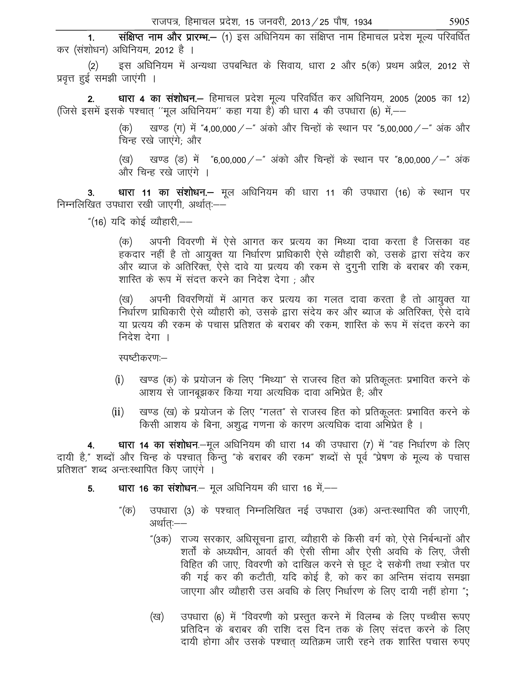1. संक्षिप्त नाम और प्रारम्भ.– (1) इस अधिनियम का संक्षिप्त नाम हिमाचल प्रदेश मूल्य परिवर्धित कर (संशोधन) अधिनियम, 2012 है ।

(2) इस अधिनियम में अन्यथा उपबन्धित के सिवाय, धारा 2 और 5(क) प्रथम अप्रैल, 2012 से प्रवृत्त हुई समझी जाएंगी ।

2. धारा 4 का संशोधन. – हिमाचल प्रदेश मूल्य परिवर्धित कर अधिनियम, 2005 (2005 का 12) (जिसे इसमें इसके पश्चात् ''मूल अधिनियम'' कहा गया है) की धारा 4 की उपधारा (6) में,——

> (क) खण्ड (ग) में "4,00,000 / – "अंको और चिन्हों के स्थान पर "5,00,000 / – "अंक और चिन्ह रखे जाएंगे: और

> (ख) खण्ड (ङ) में "6,00,000/-" अंको और चिन्हों के स्थान पर "8,00,000/-" अंक और चिन्ह रखे जाएंगे ।

3. धारा 11 का संशोधन.– मूल अधिनियम की धारा 11 की उपधारा (16) के स्थान पर निम्नलिखित उपधारा रखी जाएगी, अर्थातः $-$ 

"(16) यदि कोई व्यौहारी,——

(क) अपनी विवरणी में ऐसे आगत कर प्रत्यय का मिथ्या दावा करता है जिसका वह हकदार नहीं है तो आयुक्त या निर्धारण प्राधिकारी ऐसे व्यौहारी को, उसके द्वारा संदेय कर और ब्याज के अतिरिक्त, ऐसे दावे या प्रत्यय की रकम से दुगुनी राशि के बराबर की रकम, शास्ति के रूप में संदत्त करने का निदेश देगा ; और

(ख) अपनी विवरणियों में आगत कर प्रत्यय का गलत दावा करता है तो आयुक्त या निर्धारण प्राधिकारी ऐसे व्यौहारी को, उसके द्वारा संदेय कर और ब्याज के अतिरिक्त, ऐसे दावे या प्रत्यय की रकम के पचास प्रतिशत के बराबर की रकम, शास्ति के रूप में संदत्त करने का निदेश देगा ।

रपष्टीकरण:--

- (i) खण्ड (क) के प्रयोजन के लिए "मिथ्या" से राजस्व हित को प्रतिकलतः प्रभावित करने के आशय से जानबुझकर किया गया अत्यधिक दावा अभिप्रेत है; और
- (ii) खण्ड (ख) के प्रयोजन के लिए "गलत" से राजस्व हित को प्रतिकूलतः प्रभावित करने के किसी आशय के बिना, अशुद्ध गणना के कारण अत्यधिक दावा अंभेप्रेत है ।

धारा 14 का संशोधन.-मूल अधिनियम की धारा 14 की उपधारा (7) में "वह निर्धारण के लिए दायी है," शब्दों और चिन्ह के पश्चात् किन्तु "के बराबर की रकम" शब्दों से पूर्व "प्रेषण के मूल्य के पचास प्रतिशत" शब्द अन्तःस्थापित किए जाएंगे ।

# 5. धारा 16 का संशोधन – मूल अधिनियम की धारा 16 में,––

- "(क) उपधारा (3) के पश्चात् निम्नलिखित नई उपधारा (3क) अन्तःस्थापित की जाएगी, अर्थात्ः——
	- "(3क)) राज्य सरकार, अधिसूचना द्वारा, व्यौहारी के किसी वर्ग को, ऐसे निर्बन्धनों और शर्तों के अध्यधीन, आवर्त की ऐसी सीमा और ऐसी अवधि के लिए, जैसी विहित की जाए, विवरणी को दाखिल करने से छूट दे सकेगी तथा स्त्रोत पर की गई कर की कटौती, यदि कोई है, को कर का अन्तिम संदाय समझा जाएगा और व्यौहारी उस अवधि के लिए निर्धारण के लिए दायी नहीं होगा ":
	- (ख) उपधारा (6) में "विवरणी को प्रस्तुत करने में विलम्ब के लिए पच्चीस रूपए प्रतिदिन के बराबर की राशि दस दिन तक के लिए संदत्त करने के लिए दायी होगा और उसके पश्चात व्यतिक्रम जारी रहने तक शास्ति पचास रुपए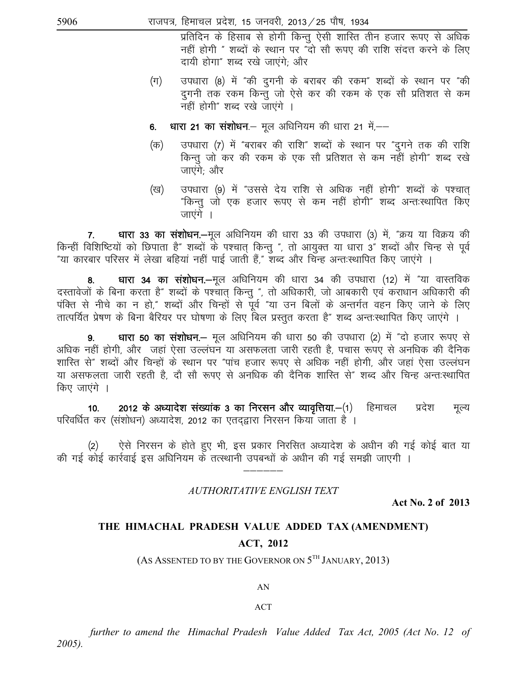प्रतिदिन के हिसाब से होगी किन्तु ऐसी शास्ति तीन हजार रूपए से अधिक नहीं होगी " शब्दों के स्थान पर "दो सौ रूपए की राशि संदत्त करने के लिए दायी होगा" शब्द रखे जाएंगे; और

- उपधारा (8) में "की दुगनी के बराबर की रकम" शब्दों के स्थान पर "की  $(\pi)$ दुगनी तक रकम किन्तु जो ऐसे कर की रकम के एक सौ प्रतिशत से कम नहीं होगी" शब्द रखे जाएंगे ।
- धारा 21 का संशोधन.- मूल अधिनियम की धारा 21 में.-6.
- उपधारा (7) में "बराबर की राशि" शब्दों के स्थान पर "दुगने तक की राशि (क) किन्तु जो कर की रकम के एक सौ प्रतिशत से कम नहीं होगी" शब्द रखे जाएंगे; और
- उपधारा (9) में "उससे देय राशि से अधिक नहीं होगी" शब्दों के पश्चात (ख) "किन्तु जो एक हजार रूपए से कम नहीं होगी" शब्द अन्तःस्थापित किए जाएंगे ।

 $7.$ धारा 33 का संशोधन.—मूल अधिनियम की धारा 33 की उपधारा (3) में, "क्रय या विक्रय की किन्हीं विशिष्टियों को छिपाता है" शब्दों के पश्चात् किन्तु ", तो आयुक्त या धारा 3" शब्दों और चिन्ह से पूर्व "या कारबार परिसर में लेखा बहियां नहीं पाई जाती हैं," शब्द और चिन्ह अन्तःस्थापित किए जाएंगे ।

धारा 34 का संशोधन.-मूल अधिनियम की धारा 34 की उपधारा (12) में "या वास्तविक 8. दस्तावेजों के बिना करता है" शब्दों के पश्चात् किन्तु ", तो अधिकारी, जो आबकारी एवं कराधान अधिकारी की पंक्ति से नीचे का न हो," शब्दों और चिन्हों से पूर्व "या उन बिलों के अन्तर्गत वहन किए जाने के लिए तात्पर्यित प्रेषण के बिना बैरियर पर घोषणा के लिए बिल प्रस्तुत करता है" शब्द अन्तःस्थापित किए जाएंगे ।

धारा 50 का संशोधन.– मूल अधिनियम की धारा 50 की उपधारा (2) में "दो हजार रूपए से  $9<sub>1</sub>$ अधिक नहीं होगी, और जहां ऐसा उल्लंघन या असफलता जारी रहती है, पचास रूपए से अनधिक की दैनिक शास्ति से" शब्दों और चिन्हों के स्थान पर "पांच हजार रूपए से अधिक नहीं होगी, और जहां ऐसा उल्लंघन या असफलता जारी रहती है, दो सो रूपए से अनधिक की दैनिक शास्ति से" शब्द और चिन्ह अन्तःस्थापित किए जाएंगे ।

2012 के अध्यादेश संख्यांक 3 का निरसन और व्यावृत्तिया.-(1) हिमाचल प्रदेश  $10.$ मृल्य परिवर्धित कर (संशोधन) अध्यादेश, 2012 का एतदद्वारा निरसन किया जाता है ।

ऐसे निरसन के होते हुए भी, इस प्रकार निरसित अध्यादेश के अधीन की गई कोई बात या  $(2)$ की गई कोई कार्रवाई इस अधिनियम के तत्स्थानी उपबन्धों के अधीन की गई समझी जाएगी ।

# AUTHORITATIVE ENGLISH TEXT

**Act No. 2 of 2013** 

# THE HIMACHAL PRADESH VALUE ADDED TAX (AMENDMENT)

# **ACT, 2012**

(AS ASSENTED TO BY THE GOVERNOR ON  $5^{TH}$  JANUARY, 2013)

#### AN

#### **ACT**

further to amend the Himachal Pradesh Value Added Tax Act, 2005 (Act No. 12 of  $2005$ ).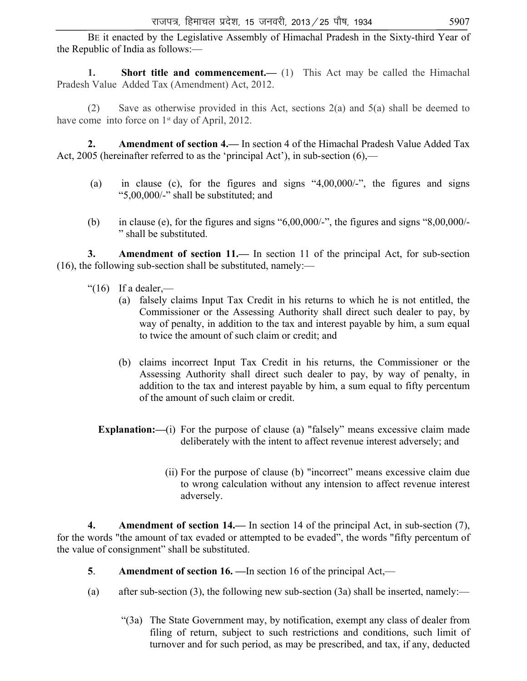BE it enacted by the Legislative Assembly of Himachal Pradesh in the Sixty-third Year of the Republic of India as follows:—

**1. Short title and commencement.** (1) This Act may be called the Himachal Pradesh Value Added Tax (Amendment) Act, 2012.

 (2) Save as otherwise provided in this Act, sections 2(a) and 5(a) shall be deemed to have come into force on 1<sup>st</sup> day of April, 2012.

**2. Amendment of section 4.—** In section 4 of the Himachal Pradesh Value Added Tax Act, 2005 (hereinafter referred to as the 'principal Act'), in sub-section (6),—

- (a) in clause (c), for the figures and signs "4,00,000/-", the figures and signs "5,00,000/-" shall be substituted; and
- (b) in clause (e), for the figures and signs " $6,00,000/$ -", the figures and signs " $8,00,000/$ -" shall be substituted.

**3.** Amendment of section 11.— In section 11 of the principal Act, for sub-section  $(16)$ , the following sub-section shall be substituted, namely:—

- " $(16)$  If a dealer,—
	- (a) falsely claims Input Tax Credit in his returns to which he is not entitled, the Commissioner or the Assessing Authority shall direct such dealer to pay, by way of penalty, in addition to the tax and interest payable by him, a sum equal to twice the amount of such claim or credit; and
	- (b) claims incorrect Input Tax Credit in his returns, the Commissioner or the Assessing Authority shall direct such dealer to pay, by way of penalty, in addition to the tax and interest payable by him, a sum equal to fifty percentum of the amount of such claim or credit.

**Explanation:—(i)** For the purpose of clause (a) "falsely" means excessive claim made deliberately with the intent to affect revenue interest adversely; and

> (ii) For the purpose of clause (b) "incorrect" means excessive claim due to wrong calculation without any intension to affect revenue interest adversely.

 **4. Amendment of section 14.—** In section 14 of the principal Act, in sub-section (7), for the words "the amount of tax evaded or attempted to be evaded", the words "fifty percentum of the value of consignment" shall be substituted.

- **5**. **Amendment of section 16.** —In section 16 of the principal Act,—
- (a) after sub-section (3), the following new sub-section (3a) shall be inserted, namely:—
	- "(3a) The State Government may, by notification, exempt any class of dealer from filing of return, subject to such restrictions and conditions, such limit of turnover and for such period, as may be prescribed, and tax, if any, deducted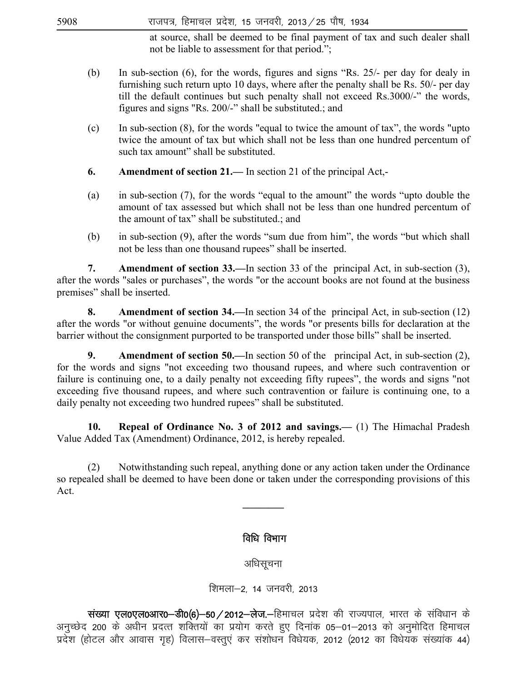$5908$  राजपत्र, हिमाचल प्रदेश, 15 जनवरी, 2013  $\angle$  25 पौष, 1934

at source, shall be deemed to be final payment of tax and such dealer shall not be liable to assessment for that period.";

- (b) In sub-section (6), for the words, figures and signs "Rs. 25/- per day for dealy in furnishing such return upto 10 days, where after the penalty shall be Rs. 50/- per day till the default continues but such penalty shall not exceed Rs.3000/-" the words, figures and signs "Rs. 200/-" shall be substituted.; and
- (c) In sub-section (8), for the words "equal to twice the amount of tax", the words "upto twice the amount of tax but which shall not be less than one hundred percentum of such tax amount" shall be substituted.
- **6. Amendment of section 21.—** In section 21 of the principal Act,-
- (a) in sub-section (7), for the words "equal to the amount" the words "upto double the amount of tax assessed but which shall not be less than one hundred percentum of the amount of tax" shall be substituted.; and
- (b) in sub-section (9), after the words "sum due from him", the words "but which shall not be less than one thousand rupees" shall be inserted.

 **7. Amendment of section 33.—**In section 33 of the principal Act, in sub-section (3), after the words "sales or purchases", the words "or the account books are not found at the business premises" shall be inserted.

 **8. Amendment of section 34.—**In section 34 of the principal Act, in sub-section (12) after the words "or without genuine documents", the words "or presents bills for declaration at the barrier without the consignment purported to be transported under those bills" shall be inserted.

**9.** Amendment of section 50.—In section 50 of the principal Act, in sub-section (2), for the words and signs "not exceeding two thousand rupees, and where such contravention or failure is continuing one, to a daily penalty not exceeding fifty rupees", the words and signs "not exceeding five thousand rupees, and where such contravention or failure is continuing one, to a daily penalty not exceeding two hundred rupees" shall be substituted.

**10. Repeal of Ordinance No. 3 of 2012 and savings.—** (1) The Himachal Pradesh Value Added Tax (Amendment) Ordinance, 2012, is hereby repealed.

(2) Notwithstanding such repeal, anything done or any action taken under the Ordinance so repealed shall be deemed to have been done or taken under the corresponding provisions of this Act.

**\_\_\_\_\_\_\_\_** 

# विधि विभाग

अधिसचना

शिमला-2, 14 जनवरी, 2013

wited to verto verto verto the transportant with the verto statement of the verto depth of the verto verto dis<br>that do verto distributed, and verto distributed of the state of the 500/6-5012-do verto data in verto dance d अनुच्छेद 200 के अधीन प्रदत्त शक्तियों का प्रयोग करते हुए दिनांक 05–01–2013 को अनुमोदित हिमाचल ,<br>प्रदेश (होटल और आवास गृह) विलास-वस्तुएं कर संशोधन विधेयक, 2012 (2012 का विधेयक संख्यांक 44)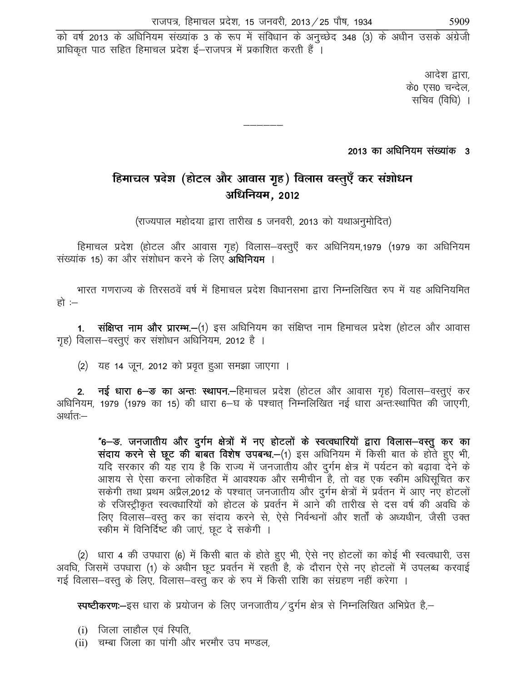को वर्ष 2013 के अधिनियम संख्यांक 3 के रूप में संविधान के अनुच्छेद 348 (3) के अधीन उसके अंग्रेजी प्राधिकृत पाठ सहित हिमाचल प्रदेश ई–राजपत्र में प्रकाशित करती हैं ।

> आदेश द्वारा, के0 एस0 चन्देल, सचिव (विधि) ।

2013 का अधिनियम संख्यांक 3

# **हिमाचल प्रदेश (होटल और आवास गृह) विलास वस्तुएँ कर संशोधन** अधिनियम, 2012

—————

(राज्यपाल महोदया द्वारा तारीख 5 जनवरी, 2013 को यथाअनुमोदित)

हिमाचल प्रदेश (होटल और आवास गृह) विलास-वस्तुएँ कर अधिनियम,1979 (1979 का अधिनियम संख्यांक 15) का और संशोधन करने के लिए **अधिनियम** ।

भारत गणराज्य के तिरसठवें वर्ष में हिमाचल प्रदेश विधानसभा द्वारा निम्नलिखित रुप में यह अधिनियमित हो $:$ 

**1. संक्षिप्त नाम और प्रारम्भ.—**(1) इस अधिनियम का संक्षिप्त नाम हिमाचल प्रदेश (होटल और आवास गृह) विलास-वस्तुएं कर संशोधन अधिनियम, 2012 है ।

(2) यह 14 जून, 2012 को प्रवृत हुआ समझा जाएगा ।

2. नई धारा 6-<del>ड</del> का अन्तः स्थापन. हिमाचल प्रदेश (होटल और आवास गृह) विलास-वस्तुएं कर अधिनियम, 1979 (1979 का 15) की धारा 6-य के पश्चात निम्नलिखित नई धारा अन्तःस्थापित की जाएगी, अर्थात:—

"6- ड. जनजातीय और दुर्गम क्षेत्रों में नए होटलों के स्वत्वधारियों द्वारा विलास-वस्तू कर का संदाय करने से छूट की बाबत विशेष उपबन्ध.-(1) इस अधिनियम में किसी बात के होते हुए भी, यदि सरकार की यह राय है कि राज्य में जनजातीय और दुर्गम क्षेत्र में पर्यटन को बढ़ावा देने के आशय से ऐसा करना लोकहित में आवश्यक और समीचीन है, तो वह एक स्कीम अधिसूचित कर सकेगी तथा प्रथम अप्रैल,2012 के पश्चात् जनजातीय और दुर्गम क्षेत्रों में प्रर्वतन में आए नए होटलों के रजिस्ट्रीकृत स्वत्वधारियों को होटल के प्रवर्तन में आने की तारीख से दस वर्ष की अवधि के लिए विलास–वस्तू कर का संदाय करने से, ऐसे निर्वन्धनों और शर्तों के अध्यधीन, जैसी उक्त रकीम में विनिर्दिष्ट की जाएं, छूट दे सकेगी ।

(2) धारा 4 की उपधारा (6) में किसी बात के होते हुए भी, ऐसे नए होटलों का कोई भी स्वत्वधारी, उस अवधि, जिसमें उपधारा (1) के अधीन छूट प्रवर्तन में रहती है, के दौरान ऐसे नए होटलों में उपलब्ध करवाई गई विलास–वस्तू के लिए, विलास–वस्तू कर के रुप में किसी राशि का संग्रहण नहीं करेगा ।

**स्पष्टीकरण:-**इस धारा के प्रयोजन के लिए जनजातीय / दुर्गम क्षेत्र से निम्नलिखित अभिप्रेत है,-

- $(i)$  जिला लाहौल एवं स्पिति.
- (ii) चम्बा जिला का पांगी और भरमौर उप मण्डल,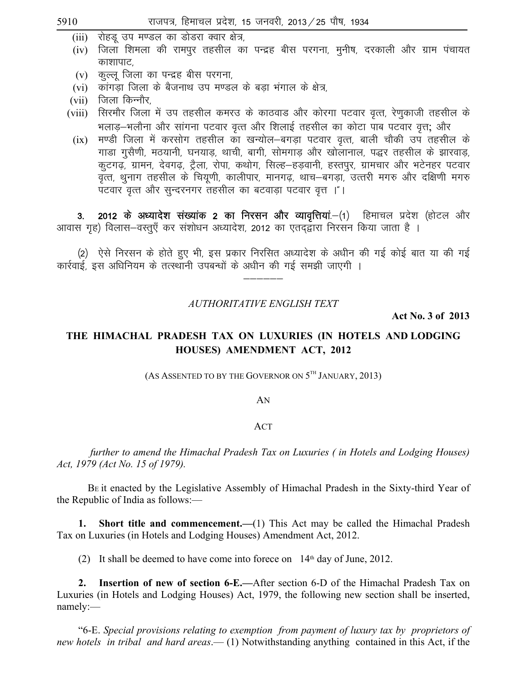(iii) रोहडू उप मण्डल का डोडरा क्वार क्षेत्र,

- (iv) जिला शिमला की रामपुर तहसील का पन्द्रह बीस परगना, मुनीष, दरकाली और ग्राम पंचायत काशापाट.
- कुल्लू जिला का पन्द्रह बीस परगना,  $(v)$
- $(vi)$  कांगड़ा जिला के बैजनाथ उप मण्डल के बड़ा भंगाल के क्षेत्र,
- $(vii)$  जिला किन्नौर
- सिरमौर जिला में उप तहसील कमरउ के काठवाड और कोरगा पटवार वृत्त, रेणुकाजी तहसील के  $(viii)$ भलाड–भलौना और सांगना पटवार वृत्त और शिलाई तहसील का कोटा पाब पटवार वृत्त; और
- मण्डी जिला में करसोग तहसील का खन्योल–बगडा पटवार वृत्त, बाली चौकी उप तहसील के  $(ix)$ गाडा गुसैणी, मठयानी, घनयाड़, थाची, बागी, सोमगाड़ और खोलानाल, पद्धर तहसील के झारवाड, कूटगढ़, ग्रामन, देवगढ़, ट्रैला, रोपा, कथोग, सिल्ह-हड़वानी, हस्तपुर, ग्रामचार और भटेनहर पटवार पटवार वृत्त और सुन्दरनगर तहसील का बटवाडा पटवार वृत्त ।"।

2012 के अध्यादेश संख्यांक 2 का निरसन और व्यावृत्तियां.-(1) हिमाचल प्रदेश (होटल और  $3.$ आवास गृह) विलास–वस्तुएँ कर संशोधन अध्यादेश, 2012 का एतदद्वारा निरसन किया जाता है ।

(2) ऐसे निरसन के होते हुए भी, इस प्रकार निरसित अध्यादेश के अधीन की गई कोई बात या की गई कार्रवाई, इस अधिनियम के तत्स्थानी उपबन्धों के अधीन की गई समझी जाएगी ।

**AUTHORITATIVE ENGLISH TEXT** 

Act No. 3 of 2013

# THE HIMACHAL PRADESH TAX ON LUXURIES (IN HOTELS AND LODGING HOUSES) AMENDMENT ACT, 2012

(AS ASSENTED TO BY THE GOVERNOR ON  $5^{TH}$  JANUARY, 2013)

#### AN

#### ACT

further to amend the Himachal Pradesh Tax on Luxuries (in Hotels and Lodging Houses) Act, 1979 (Act No. 15 of 1979).

BE it enacted by the Legislative Assembly of Himachal Pradesh in the Sixty-third Year of the Republic of India as follows:-

Short title and commencement.— $(1)$  This Act may be called the Himachal Pradesh 1. Tax on Luxuries (in Hotels and Lodging Houses) Amendment Act, 2012.

(2) It shall be deemed to have come into forece on  $14<sup>th</sup>$  day of June, 2012.

2. Insertion of new of section 6-E.—After section 6-D of the Himachal Pradesh Tax on Luxuries (in Hotels and Lodging Houses) Act, 1979, the following new section shall be inserted, namely:-

"6-E. Special provisions relating to exemption from payment of luxury tax by proprietors of new hotels in tribal and hard areas.—(1) Notwithstanding anything contained in this Act, if the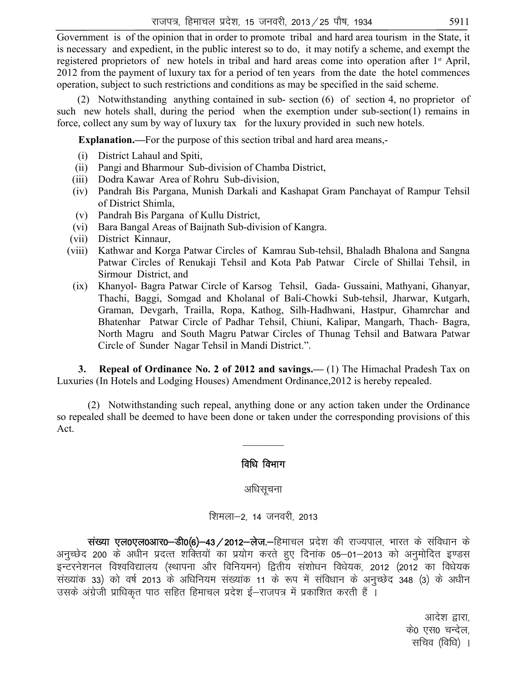Government is of the opinion that in order to promote tribal and hard area tourism in the State, it is necessary and expedient, in the public interest so to do, it may notify a scheme, and exempt the registered proprietors of new hotels in tribal and hard areas come into operation after 1st April, 2012 from the payment of luxury tax for a period of ten years from the date the hotel commences operation, subject to such restrictions and conditions as may be specified in the said scheme.

 (2) Notwithstanding anything contained in sub- section (6) of section 4, no proprietor of such new hotels shall, during the period when the exemption under sub-section(1) remains in force, collect any sum by way of luxury tax for the luxury provided in such new hotels.

**Explanation.—**For the purpose of this section tribal and hard area means,-

- (i) District Lahaul and Spiti,
- (ii) Pangi and Bharmour Sub-division of Chamba District,
- (iii) Dodra Kawar Area of Rohru Sub-division,
- (iv) Pandrah Bis Pargana, Munish Darkali and Kashapat Gram Panchayat of Rampur Tehsil of District Shimla,
- (v) Pandrah Bis Pargana of Kullu District,
- (vi) Bara Bangal Areas of Baijnath Sub-division of Kangra.
- (vii) District Kinnaur,
- (viii) Kathwar and Korga Patwar Circles of Kamrau Sub-tehsil, Bhaladh Bhalona and Sangna Patwar Circles of Renukaji Tehsil and Kota Pab Patwar Circle of Shillai Tehsil, in Sirmour District, and
- (ix) Khanyol- Bagra Patwar Circle of Karsog Tehsil, Gada- Gussaini, Mathyani, Ghanyar, Thachi, Baggi, Somgad and Kholanal of Bali-Chowki Sub-tehsil, Jharwar, Kutgarh, Graman, Devgarh, Trailla, Ropa, Kathog, Silh-Hadhwani, Hastpur, Ghamrchar and Bhatenhar Patwar Circle of Padhar Tehsil, Chiuni, Kalipar, Mangarh, Thach- Bagra, North Magru and South Magru Patwar Circles of Thunag Tehsil and Batwara Patwar Circle of Sunder Nagar Tehsil in Mandi District.".

**3. Repeal of Ordinance No. 2 of 2012 and savings.—** (1) The Himachal Pradesh Tax on Luxuries (In Hotels and Lodging Houses) Amendment Ordinance,2012 is hereby repealed.

 (2) Notwithstanding such repeal, anything done or any action taken under the Ordinance so repealed shall be deemed to have been done or taken under the corresponding provisions of this Act.

 $\frac{1}{2}$ 

# विधि विभाग

अधिसचना

शिमला-2, 14 जनवरी, 2013

संख्या एल0एल0आर0-डी0(6)-43/2012-लेज.-हिमाचल प्रदेश की राज्यपाल, भारत के संविधान के अनुच्छेद 200 के अधीन प्रदत्त शक्तियों का प्रयोग करते हुए दिनांक 05-01-2013 को अनुमोदित इण्डस इन्टरनेशनल विश्वविद्यालय (स्थापना और विनियमन) द्वितीय संशोधन विधेयक, 2012 (2012 का विधेयक संख्यांक 33) को वर्ष 2013 के अधिनियम संख्यांक 11 के रूप में संविधान के अनुच्छेद 348 (3) के अधीन उसके अंग्रेजी प्राधिकत पाठ सहित हिमाचल प्रदेश ई–राजपत्र में प्रकाशित करती हैं ।

> आदेश द्वारा, के0 एस0 चन्देल, सचिव (विधि) ।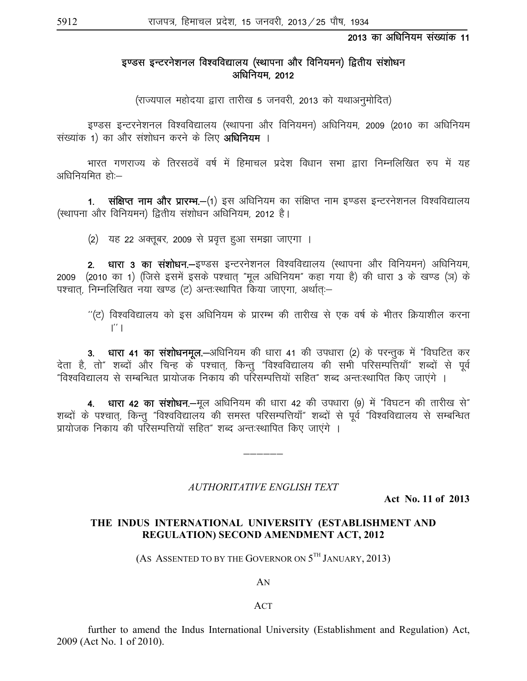#### 2013 का अधिनियम संख्यांक 11

# इण्डस इन्टरनेशनल विश्वविद्यालय (स्थापना और विनियमन) द्वितीय संशोधन अधिनियम, 2012

(राज्यपाल महोदया द्वारा तारीख 5 जनवरी, 2013 को यथाअनुमोदित)

इण्डस इन्टरनेशनल विश्वविद्यालय (स्थापना और विनियमन) अधिनियम, 2009 (2010 का अधिनियम संख्यांक 1) का और संशोधन करने के लिए **अधिनियम** ।

भारत गणराज्य के तिरसठवें वर्ष में हिमाचल प्रदेश विधान सभा द्वारा निम्नलिखित रुप में यह अधिनियमित $\tilde{\text{R}}$ ा:—

1. संक्षिप्त नाम और प्रारम्भ.-(1) इस अधिनियम का संक्षिप्त नाम इण्डस इन्टरनेशनल विश्वविद्यालय (स्थापना और विनियमन) द्वितीय संशोधन अधिनियम, 2012 है।

(2) यह 22 अक्तूबर, 2009 से प्रवृत्त हुआ समझा जाएगा ।

2. धारा 3 का संशोधन.—इण्डस इन्टरनेशनल विश्वविद्यालय (स्थापना और विनियमन) अधिनियम, 2009 (2010 का 1) (जिसे इसमें इसके पश्चात् "मूल अधिनियम" कहा गया है) की धारा 3 के खण्ड (ञ) के पश्चात. निम्नलिखित नया खण्ड (ट) अन्तःस्थापित किया जाएगा. अर्थात:-

 $^{\prime\prime}$ (ट) विश्वविद्यालय को इस अधिनियम के प्रारम्भ की तारीख से एक वर्ष के भीतर क्रियाशील करना  $\mathbf{I}^{\prime\prime}$ 

3. धारा 41 का संशोधनमूल.-अधिनियम की धारा 41 की उपधारा (2) के परन्तुक में "विघटित कर देता है, तो" शब्दों और चिन्ह के पश्चात, किन्तु "विश्वविद्यालय की सभी परिसम्पत्तियाँ" शब्दों से पूर्व "विश्वविद्यालय से सम्बन्धित प्रायोजक निकाय की परिसम्पत्तियों सहित" शब्द अन्तःस्थापित किए जाएंगे ।

4. धारा 42 का संशोधन.-मूल अधिनियम की धारा 42 की उपधारा (9) में "विघटन की तारीख से" शब्दों के पश्चात्, किन्तु "विश्वविद्यालय की समस्त परिसम्पत्तियाँ" शब्दों से पूर्व "विश्वविद्यालय से सम्बन्धित <u>प्रायोजक निकाय की परिसम्पत्तियों सहित" शब्द अन्तःस्थापित किए जाएंगे ।</u>

#### *AUTHORITATIVE ENGLISH TEXT*

—————

**Act No. 11 of 2013** 

#### **THE INDUS INTERNATIONAL UNIVERSITY (ESTABLISHMENT AND REGULATION) SECOND AMENDMENT ACT, 2012**

(AS ASSENTED TO BY THE GOVERNOR ON  $5^{TH}$  JANUARY, 2013)

AN

#### ACT

 further to amend the Indus International University (Establishment and Regulation) Act, 2009 (Act No. 1 of 2010).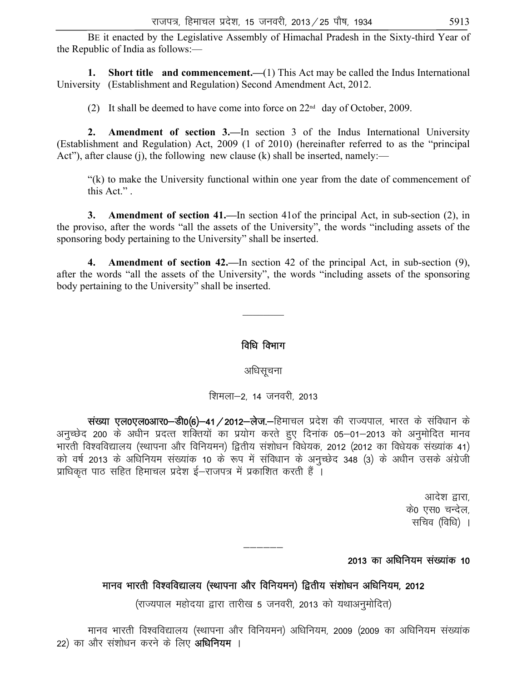BE it enacted by the Legislative Assembly of Himachal Pradesh in the Sixty-third Year of the Republic of India as follows:—

**1. Short title and commencement.**—(1) This Act may be called the Indus International University (Establishment and Regulation) Second Amendment Act, 2012.

(2) It shall be deemed to have come into force on  $22<sup>nd</sup>$  day of October, 2009.

**2. Amendment of section 3.—**In section 3 of the Indus International University (Establishment and Regulation) Act, 2009 (1 of 2010) (hereinafter referred to as the "principal Act"), after clause (j), the following new clause (k) shall be inserted, namely:—

 "(k) to make the University functional within one year from the date of commencement of this Act." .

**3. Amendment of section 41.—**In section 41of the principal Act, in sub-section (2), in the proviso, after the words "all the assets of the University", the words "including assets of the sponsoring body pertaining to the University" shall be inserted.

**4. Amendment of section 42.—**In section 42 of the principal Act, in sub-section (9), after the words "all the assets of the University", the words "including assets of the sponsoring body pertaining to the University" shall be inserted.

# विधि विभाग

 $\frac{1}{2}$ 

अधिसूचना

शिमला-2, 14 जनवरी, 2013

संख्या एल0एल0आर0-डी0(6)-41/2012-लेज.-हिमाचल प्रदेश की राज्यपाल, भारत के संविधान के अनुच्छेद 200 के अधीन प्रदत्त शक्तियों का प्रयोग करते हुए दिनांक 05–01–2013 को अनुमोदित मानव भारती विश्वविद्यालय (स्थापना और विनियमन) द्वितीय संशोधन विधेयक, 2012 (2012 का विधेयक संख्यांक 41) को वर्ष 2013 के अधिनियम संख्यांक 10 के रूप में संविधान के अनुच्छेद 348 (3) के अधीन उसके अंग्रेजी .<br>प्राधिकृत पाठ सहित हिमाचल प्रदेश ई—राजपत्र में प्रकाशित करती हैं ।

> आदेश द्वारा, के0 एस0 चन्देल, सचिव (विधि) ।

# 2013 का अधिनियम संख्यांक 10

# मानव भारती विश्वविद्यालय (स्थापना और विनियमन) द्वितीय संशोधन अधिनियम, 2012

—————

(राज्यपाल महोदया द्वारा तारीख 5 जनवरी, 2013 को यथाअनुमोदित)

मानव भारती विश्वविद्यालय (स्थापना और विनियमन) अधिनियम, 2009 (2009 का अधिनियम संख्यांक 22) का और संशोधन करने के लिए अ**धिनियम** ।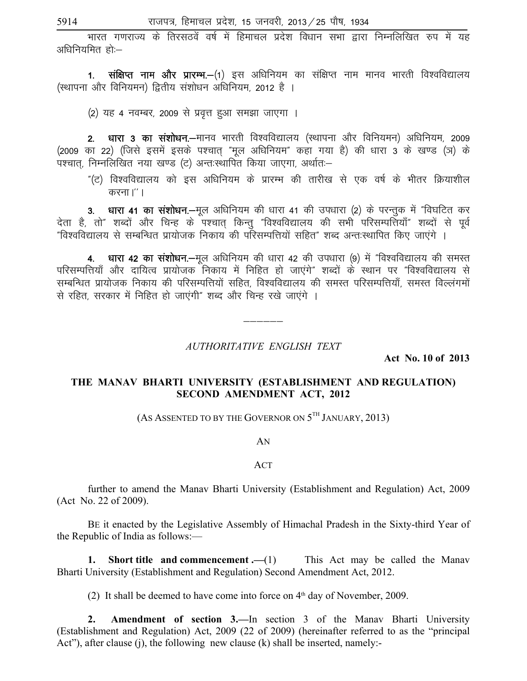.<br>भारत गणराज्य के तिरसठवें वर्ष में हिमाचल प्रदेश विधान सभा द्वारा निम्नलिखित रुप में यह अधिनियमित हो:-

1. संक्षिप्त नाम और प्रारम्भ.—(1) इस अधिनियम का संक्षिप्त नाम मानव भारती विश्वविद्यालय (स्थापना और विनियमन) द्वितीय संशोधन अधिनियम, 2012 है ।

(2) यह 4 नवम्बर, 2009 से प्रवृत्त हुआ समझा जाएगा ।

2. धारा 3 का संशोधन.—मानव भारती विश्वविद्यालय (स्थापना और विनियमन) अधिनियम, 2009 (2009 का 22) (जिसे इसमें इसके पश्चात् "मूल अधिनियम" कहा गया है) की धारा 3 के खण्ड (ञ) के पश्चात, निम्नलिखित नया खण्ड (ट) अन्तःस्थापित किया जाएगा, अर्थातः–

"(ट) विश्वविद्यालय को इस अधिनियम के प्रारम्भ की तारीख से एक वर्ष के भीतर क्रियाशील करना।''।

धारा 41 का संशोधन.-मल अधिनियम की धारा 41 की उपधारा (2) के परन्तुक में "विघटित कर  $3.$ देता है, तो" शब्दों और चिन्ह के पश्चात किन्तु "विश्वविद्यालय की सभी परिसम्पत्तियाँ" शब्दों से पूर्व "विश्वविद्यालय से सम्बन्धित प्रायोजक निकाय की परिसम्पत्तियों सहित" शब्द अन्तःस्थापित किए जाएंगे ।

4. धारा 42 का संशोधन.-मूल अधिनियम की धारा 42 की उपधारा (9) में "विश्वविद्यालय की समस्त परिसम्पत्तियाँ और दायित्व प्रायोजक निकाय में निहित हो जाएंगे" शब्दों के स्थान पर "विश्वविद्यालय से सम्बन्धित प्रायोजक निकाय की परिसम्पत्तियों सहित, विश्वविद्यालय की समस्त परिसम्पत्तियाँ, समस्त विल्लंगमों से रहित, सरकार में निहित हो जाएंगी" शब्द और चिन्ह रखे जाएंगे ।

#### AUTHORITATIVE ENGLISH TEXT

Act No. 10 of 2013

# THE MANAV BHARTI UNIVERSITY (ESTABLISHMENT AND REGULATION) SECOND AMENDMENT ACT, 2012

(AS ASSENTED TO BY THE GOVERNOR ON  $5^{TH}$  JANUARY, 2013)

#### AN

#### **ACT**

further to amend the Manav Bharti University (Establishment and Regulation) Act, 2009 (Act No. 22 of 2009).

BE it enacted by the Legislative Assembly of Himachal Pradesh in the Sixty-third Year of the Republic of India as follows:—

**1.** Short title and commencement  $.-(1)$  This Act may be called the Manav Bharti University (Establishment and Regulation) Second Amendment Act, 2012.

(2) It shall be deemed to have come into force on  $4<sup>th</sup>$  day of November, 2009.

 $2.$ Amendment of section 3.—In section 3 of the Manav Bharti University (Establishment and Regulation) Act, 2009 (22 of 2009) (hereinafter referred to as the "principal Act"), after clause (j), the following new clause (k) shall be inserted, namely:-

5914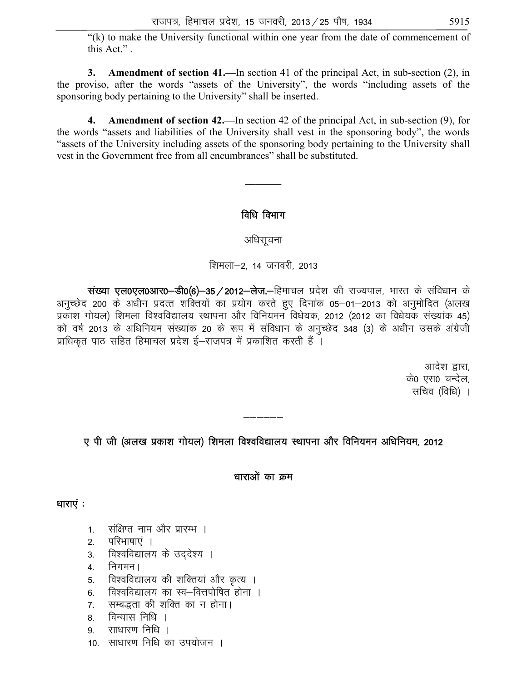"(k) to make the University functional within one year from the date of commencement of this Act."

**3. Amendment of section 41.—**In section 41 of the principal Act, in sub-section (2), in the proviso, after the words "assets of the University", the words "including assets of the sponsoring body pertaining to the University" shall be inserted.

**4. Amendment of section 42.—**In section 42 of the principal Act, in sub-section (9), for the words "assets and liabilities of the University shall vest in the sponsoring body", the words "assets of the University including assets of the sponsoring body pertaining to the University shall vest in the Government free from all encumbrances" shall be substituted.

# विधि विभाग

 $\frac{1}{2}$ 

अधिसूचना

शिमला-2, 14 जनवरी, 2013

wited to discribe versions of the control with the origin the state of the state of the interface discussed ve अनुच्छेद 200 के अधीन प्रदत्त शक्तियों का प्रयोग करते हुए दिनांक 05–01–2013 को अनुमोदित (अलख प्रकाश गोयल) शिमला विश्वविद्यालय स्थापना और विनियमन विधेयक, 2012 (2012 का विधेयक संख्यांक 45) को वर्ष 2013 के अधिनियम संख्यांक 20 के रूप में संविधान के अनुच्छेद 348 (3) के अधीन उसके अंग्रेजी प्राधिकृत पाठ सहित हिमाचल प्रदेश ई–राजपत्र में प्रकाशित करती हैं ।

> आदेश द्वारा. के0 एस0 चन्देल. सचिव (विधि) ।

ए पी जी (अलख प्रकाश गोयल) शिमला विश्वविद्यालय स्थापना और विनियमन अधिनियम, 2012

——————<br>——————

धाराओं का क्रम

धाराएं $:$ 

- 1. संक्षिप्त नाम और प्रारम्भ ।
- 2. परिभाषाएं ।
- 3. विश्वविद्यालय के उददेश्य ।
- 4. निगमन ।
- 5. विश्वविद्यालय की शक्तियां और कृत्य ।
- 6. विश्वविद्यालय का स्व-वित्तपोषित होना ।
- 7. सम्बद्धता की शक्ति का न होना।
- 8. विन्यास निधि ।
- 9 साधारण निधि ।
- 10. साधारण निधि का उपयोजन ।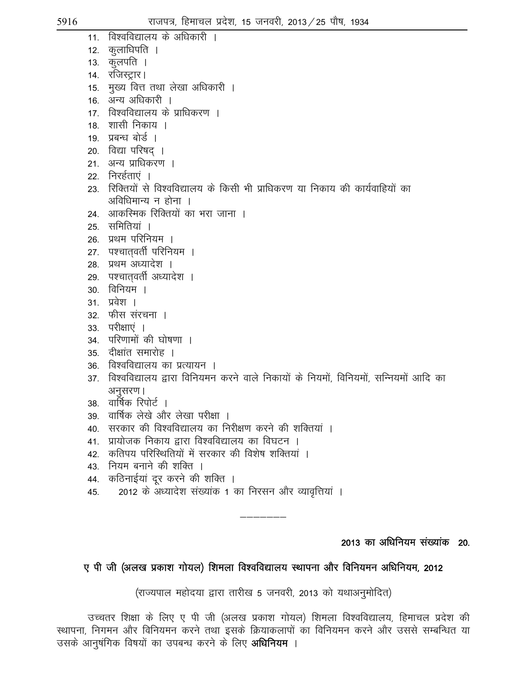- 11. विश्वविद्यालय के अधिकारी ।
- 12. कलाधिपति । 13. कुलपति ।
- 14. रजिस्ट्रार।
- 15. मुख्य वित्त तथा लेखा अधिकारी ।
- 16. अन्य अधिकारी ।
- 17. विश्वविद्यालय के प्राधिकरण ।
- 18. शासी निकाय ।
- 19. प्रबन्ध बोर्ड ।
- 20. विद्या परिषद् ।
- 21. अन्य प्राधिकरण ।
- 22. निरर्हताएं ।
- 23. रिक्तियों से विश्वविद्यालय के किसी भी प्राधिकरण या निकाय की कार्यवाहियों का अविधिमान्य न होना $\,$ ।
- 24. आकस्मिक रिक्तियों का भरा जाना ।
- 25. समितियां ।
- 26. प्रथम परिनियम ।
- 27. पश्चातवर्ती परिनियम ।
- 28. प्रथम अध्यादेश ।
- 29. पश्चातवर्ती अध्यादेश ।
- 30. विनियम ।
- 31. प्रवेश ।
- 32. फीस संरचना ।
- 33. परीक्षाएं ।
- 34. परिणामों की घोषणा ।
- $35$  दीक्षांत समारोह ।
- 36. विश्वविद्यालय का प्रत्यायन ।
- 37. विश्वविद्यालय द्वारा विनियमन करने वाले निकायों के नियमों, विनियमों, सन्नियमों आदि का अनुसरण।
- 38. वार्षिक रिपोर्ट ।
- 39 वार्षिक लेखे और लेखा परीक्षा ।
- 40. सरकार की विश्वविद्यालय का निरीक्षण करने की शक्तियां ।
- 41. प्रायोजक निकाय द्वारा विश्वविद्यालय का विघटन ।
- 42. कतिपय परिस्थितियों में सरकार की विशेष शक्तियां ।
- 43. नियम बनाने की शक्ति ।
- 44. कठिनाईयां दूर करने की शक्ति ।
- 45. 2012 के अध्यादेश संख्यांक 1 का निरसन और व्यावृत्तियां ।

# 2013 का अधिनियम संख्यांक 20.

# ए पी जी (अलख प्रकाश गोयल) शिमला विश्वविद्यालय स्थापना और विनियमन अधिनियम, 2012

———————

(राज्यपाल महोदया द्वारा तारीख 5 जनवरी, 2013 को यथाअनुमोदित)

उच्चतर शिक्षा के लिए ए पी जी (अलख प्रकाश गोयल) शिमला विश्वविद्यालय, हिमाचल प्रदेश की स्थापना, निगमन और विनियमन करने तथा इसके क्रियाकलापों का विनियमन करने और उससे सम्बन्धित या उसके आनुषंगिक विषयों का उपबन्ध करने के लिए **अधिनियम** ।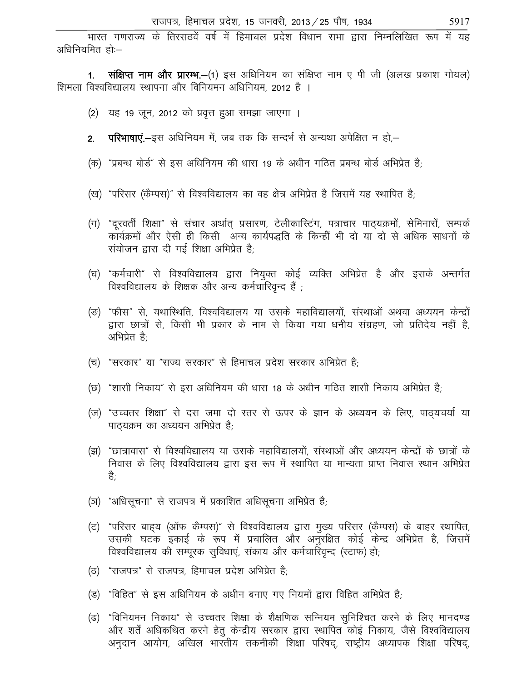भारत गणराज्य के तिरसठवें वर्ष में हिमाचल प्रदेश विधान सभा द्वारा निम्नलिखित रूप में यह अधिनियमित हो:-

1. संक्षिप्त नाम और प्रारम्भ.–(1) इस अधिनियम का संक्षिप्त नाम ए पी जी (अलख प्रकाश गोयल) शिमला विश्वविद्यालय स्थापना और विनियमन अधिनियम, 2012 है ।

- (2) यह 19 जून, 2012 को प्रवृत्त हुआ समझा जाएगा ।
- **परिभाषाएं.—**इस अधिनियम में, जब तक कि सन्दर्भ से अन्यथा अपेक्षित न हो,—  $2.$
- (क) "प्रबन्ध बोर्ड" से इस अधिनियम की धारा 19 के अधीन गठित प्रबन्ध बोर्ड अभिप्रेत है;
- (ख) "परिसर (कैम्पस)" से विश्वविद्यालय का वह क्षेत्र अभिप्रेत है जिसमें यह स्थापित है;
- (ग) "दुरवर्ती शिक्षा" से संचार अर्थात प्रसारण, टेलीकास्टिंग, पत्राचार पाठयक्रमों, सेमिनारों, सम्पर्क कार्यक्रमों और ऐसी ही किसी अन्य कार्यपद्धति के किन्हीं भी दो या दो से अधिक साधनों के संयोजन द्वारा दी गई शिक्षा अभिप्रेत है;
- (घ) "कर्मचारी" से विश्वविद्यालय द्वारा नियुक्त कोई व्यक्ति अभिप्रेत है और इसके अन्तर्गत विश्वविद्यालय के शिक्षक और अन्य कर्मचारिवृन्द हैं ;
- (ङ) "फीस" से, यथास्थिति, विश्वविद्यालय या उसके महाविद्यालयों, संस्थाओं अथवा अध्ययन केन्द्रों द्वारा छात्रों से. किसी भी प्रकार के नाम से किया गया धनीय संग्रहण. जो प्रतिदेय नहीं है. अभिप्रेत है:
- (च) "सरकार" या "राज्य सरकार" से हिमाचल प्रदेश सरकार अभिप्रेत है:
- (छ) "शासी निकाय" से इस अधिनियम की धारा 18 के अधीन गठित शासी निकाय अभिप्रेत है;
- (ज) "उच्चतर शिक्षा" से दस जमा दो स्तर से ऊपर के ज्ञान के अध्ययन के लिए, पाठयचर्या या पाठ्यक्रम का अध्ययन अभिप्रेत है;
- (झ) "छात्रावास" से विश्वविद्यालय या उसके महाविद्यालयों, संस्थाओं और अध्ययन केन्द्रों के छात्रों के निवास के लिए विश्वविद्यालय द्वारा इस रूप में स्थापित या मान्यता प्राप्त निवास स्थान अभिप्रेत है-
- (ञ) "अधिसृचना" से राजपत्र में प्रकाशित अधिसृचना अभिप्रेत है;
- (ट) "परिसर बाह्य (ऑफ कैम्पस)" से विश्वविद्यालय द्वारा मुख्य परिसर (कैम्पस) के बाहर स्थापित, उसकी घटक इकाई के रूप में प्रचालित और अनुरक्षित कोई केन्द्र अभिप्रेत है, जिसमें विश्वविद्यालय की सम्पूरक सुविधाएं, संकाय और कर्मचारिवृन्द (स्टाफ) हो;
- (ठ) "राजपत्र" से राजपत्र, हिमाचल प्रदेश अभिप्रेत है:
- (ड) "विहित" से इस अधिनियम के अधीन बनाए गए नियमों द्वारा विहित अभिप्रेत है:
- (ढ) "विनियमन निकाय" से उच्चतर शिक्षा के शैक्षणिक सन्नियम सुनिश्चित करने के लिए मानदण्ड और शर्तें अधिकथित करने हेतू केन्द्रीय सरकार द्वारा स्थापित कोई निकाय, जैसे विश्वविद्यालय अनुदान आयोग, अखिल भारतीय तकनीकी शिक्षा परिषद्, राष्ट्रीय अध्यापक शिक्षा परिषद्,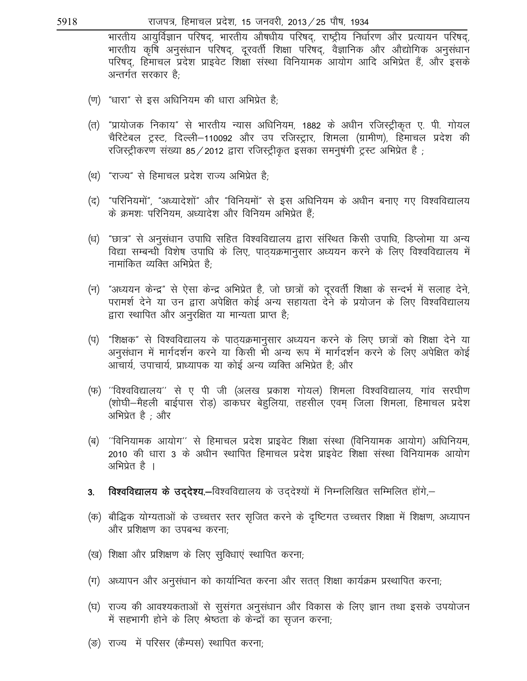राजपत्र, हिमाचल प्रदेश, 15 जनवरी, 2013 / 25 पौष, 1934

भारतीय आयुर्विज्ञान परिषद्, भारतीय औषधीय परिषद्, राष्ट्रीय निर्धारण और प्रत्यायन परिषद्, भारतीय कृषि अनुसंधान परिषद्, दूरवर्ती शिक्षा परिषद्, वैज्ञानिक और औद्योगिक अनुसंधान परिषद, हिमाचल प्रदेश प्राइवेट शिक्षा संस्था विनियामक आयोग आदि अभिप्रेत हैं, और इसके अन्तर्गत सरकार है:

- (ण) "धारा" से इस अधिनियम की धारा अभिप्रेत है:
- (त) "प्रायोजक निकाय" से भारतीय न्यास अधिनियम, 1882 के अधीन रजिस्ट्रीकृत ए. पी. गोयल चैरिटेबल ट्रस्ट, दिल्ली–110092 और उप रजिस्ट्रार, शिमला (ग्रामीण), हिमाचल प्रदेश की रजिस्ट्रीकरण संख्या 85 / 2012 द्वारा रजिस्ट्रीकृत इसका समनुषंगी ट्रस्ट अभिप्रेत है)
- (थ) "राज्य" से हिमाचल प्रदेश राज्य अभिप्रेत है:
- (द) "परिनियमों", "अध्यादेशों" और "विनियमों" से इस अधिनियम के अधीन बनाए गए विश्वविद्यालय के क्रमशः परिनियम, अध्यादेश और विनियम अभिप्रेत हैं:
- (ध) "छात्र" से अनुसंधान उपाधि सहित विश्वविद्यालय द्वारा संस्थित किसी उपाधि, डिप्लोमा या अन्य विद्या सम्बन्धी विशेष उपाधि के लिए, पाठ्यक्रमानुसार अध्ययन करने के लिए विश्वविद्यालय में नामांकित व्यक्ति अभिप्रेत है<sup>.</sup>
- (न) "अध्ययन केन्द्र" से ऐसा केन्द्र अभिप्रेत है, जो छात्रों को दरवर्ती शिक्षा के सन्दर्भ में सलाह देने, परामर्श देने या उन द्वारा अपेक्षित कोई अन्य सहायता देने के प्रयोजन के लिए विश्वविद्यालय द्वारा स्थापित और अनुरक्षित या मान्यता प्राप्त है;
- (प) "शिक्षक" से विश्वविद्यालय के पाठ्यक्रमानुसार अध्ययन करने के लिए छात्रों को शिक्षा देने या अनुसंधान में मार्गदर्शन करने या किसी भी अन्य रूप में मार्गदर्शन करने के लिए अपेक्षित कोई आचार्य, उपाचार्य, प्राध्यापक या कोई अन्य व्यक्ति अभिप्रेत है; और
- (फ) ''विश्वविद्यालय'' से ए पी जी (अलख प्रकाश गोयल) शिमला विश्वविद्यालय, गांव सरघीण (शोघी–मैहली बाईपास रोड़) डाकघर बेहलिया, तहसील एवम जिला शिमला, हिमाचल प्रदेश अभिप्रेत है ; और
- (ब) ''विनियामक आयोग'' से हिमाचल प्रदेश प्राइवेट शिक्षा संस्था (विनियामक आयोग) अधिनियम, 2010 की धारा 3 के अधीन स्थापित हिमाचल प्रदेश प्राइवेट शिक्षा संस्था विनियामक आयोग अभिप्रेत है ।
- **विश्वविद्यालय के उद्देश्य.-**विश्वविद्यालय के उद्देश्यों में निम्नलिखित सम्मिलित होंगे,-3.
- (क) बौद्धिक योग्यताओं के उच्चत्तर स्तर सृजित करने के दृष्टिगत उच्चत्तर शिक्षा में शिक्षण, अध्यापन और प्रशिक्षण का उपबन्ध करना;
- (ख) शिक्षा और प्रशिक्षण के लिए सुविधाएं स्थापित करना;
- (ग) अध्यापन और अनुसंधान को कार्यान्वित करना और सतत् शिक्षा कार्यक्रम प्रस्थापित करना;
- (घ) राज्य की आवश्यकताओं से सुसंगत अनुसंधान और विकास के लिए ज्ञान तथा इसके उपयोजन में सहभागी होने के लिए श्रेष्ठता के केन्द्रों का सृजन करना;
- (ङ) राज्य में परिसर (कैम्पस) स्थापित करना;

5918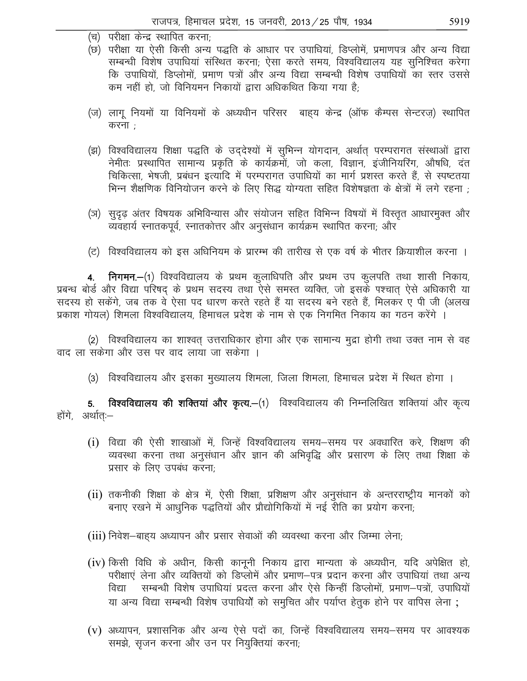- (च) परीक्षा केन्द्र स्थापित करना; (छ) परीक्षा या ऐसी किसी अन्य पद्धति के आधार पर उपाधियां, डिप्लोमें, प्रमाणपत्र और अन्य विद्या सम्बन्धी विशेष उपाधियां संस्थित करना; ऐसा करते समय, विश्वविद्यालय यह सुनिश्चित करेगा कि उपाधियों, डिप्लोमों, प्रमाण पत्रों और अन्य विद्या सम्बन्धी विशेष उपाधियों का स्तर उससे कम नहीं हो, जो विनियमन निकायों द्वारा अधिकथित किया गया है:
- (ज) लागू नियमों या विनियमों के अध्यधीन परिसर बाहय केन्द्र (ऑफ कैम्पस सेन्टरज़) स्थापित करना $:$
- (झ) विश्वविद्यालय शिक्षा पद्धति के उद्देश्यों में सुभिन्न योगदान, अर्थात् परम्परागत संस्थाओं द्वारा नेमीतः प्रस्थापित सामान्य प्रकृति के कार्यक्रमों, जो कला, विज्ञान, इंजीनियरिंग, औषधि, दंत चिकित्सा, भेषजी, प्रबंधन इत्यादि में परम्परागत उपाधियों का मार्ग प्रशस्त करते हैं, से स्पष्टतया भिन्न शैक्षणिक विनियोजन करने के लिए सिद्ध योग्यता सहित विशेषज्ञता के क्षेत्रों में लगे रहना ;
- (ञ)) सुदृढ़ अंतर विषयक अभिविन्यास और संयोजन सहित विभिन्न विषयों में विस्तृत आधारमुक्त और व्यवहार्य स्नातकपूर्व, स्नातकोत्तर और अनुसंधान कार्यक्रम स्थापित करना; और
- (ट) विश्वविद्यालय को इस अधिनियम के प्रारम्भ की तारीख से एक वर्ष के भीतर क्रियाशील करना ।

4. निगमन.-(1) विश्वविद्यालय के प्रथम कुलाधिपति और प्रथम उप कुलपति तथा शासी निकाय, प्रबन्ध बोर्ड और विद्या परिषद् के प्रथम सदस्य तथा ऐसे समस्त व्यक्ति, जो इसके पश्चात् ऐसे अधिकारी या सदस्य हो सकेंगे, जब तक वे ऐसा पद धारण करते रहते हैं या सदस्य बने रहते हैं, मिलकर ए पी जी (अलख प्रकाश गोयल) शिमला विश्वविद्यालय, हिमाचल प्रदेश के नाम से एक निगमित निकाय का गठन करेंगे ।

(2) विश्वविद्यालय का शाश्वत् उत्तराधिकार होगा और एक सामान्य मुद्रा होगी तथा उक्त नाम से वह वाद ला सकेगा और उस पर वाद लाया जा सकेगा ।

(3) विश्वविद्यालय और इसका मुख्यालय शिमला, जिला शिमला, हिमाचल प्रदेश में स्थित होगा ।

विश्वविद्यालय की शक्तियां और कृत्य.-(1) विश्वविद्यालय की निम्नलिखित शक्तियां और कृत्य  $5<sub>1</sub>$ होंगे, अर्थात:—

- (i) विद्या की ऐसी शाखाओं में, जिन्हें विश्वविद्यालय समय—समय पर अवधारित करे, शिक्षण की व्यवस्था करना तथा अनुसंधान और ज्ञान की अभिवृद्धि और प्रसारण के लिए तथा शिक्षा के प्रसार के लिए उपबंध करना;
- (ii) तकनीकी शिक्षा के क्षेत्र में, ऐसी शिक्षा, प्रशिक्षण और अनुसंधान के अन्तरराष्ट्रीय मानकों को बनाए रखने में आधुनिक पद्धतियों और प्रौद्योगिकियों में नई रीति का प्रयोग करना;
- (iii) निवेश–बाहय अध्यापन और प्रसार सेवाओं की व्यवस्था करना और जिम्मा लेना;
- (iv) किसी विधि के अधीन, किसी कानूनी निकाय द्वारा मान्यता के अध्यधीन, यदि अपेक्षित हो, परीक्षाएं लेना और व्यक्तियों को डिप्लोमें और प्रमाण-पत्र प्रदान करना और उपाधियां तथा अन्य सम्बन्धी विशेष उपाधियां प्रदत्त करना और ऐसे किन्हीं डिप्लोमों, प्रमाण–पत्रों, उपाधियों विद्या या अन्य विद्या सम्बन्धी विशेष उपाधियों को समुचित और पर्याप्त हेतुक होने पर वापिस लेना ;
- (v) अध्यापन, प्रशासनिक और अन्य ऐसे पदों का, जिन्हें विश्वविद्यालय समय–समय पर आवश्यक समझे, सृजन करना और उन पर नियुक्तियां करना;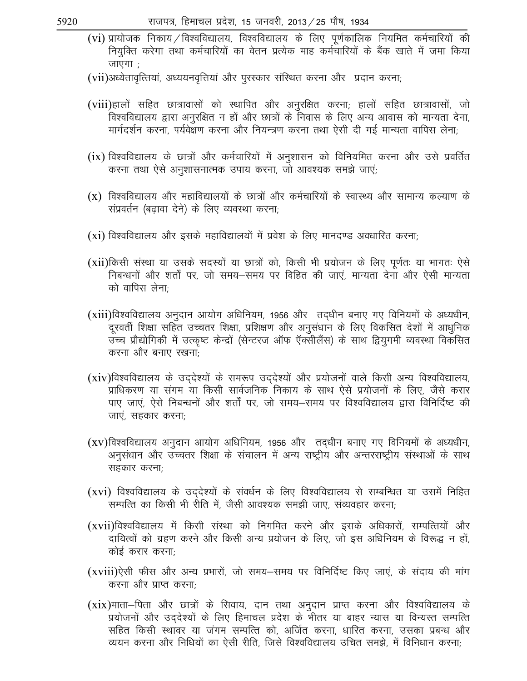- $(vi)$  प्रायोजक निकाय / विश्वविद्यालय, विश्वविद्यालय के लिए पर्णकालिक नियमित कर्मचारियों की नियुक्ति करेगा तथा कर्मचारियों का वेतन प्रत्येक माह कर्मचारियों के बैंक खाते में जमा किया जाएगा $\pm$
- (vii)अध्येतावृत्तियां, अध्ययनवृत्तियां और पुरस्कार संस्थित करना और प्रदान करना;
- (viii)हालों सहित छात्रावासों को स्थापित और अनुरक्षित करना; हालों सहित छात्रावासों, जो विश्वविद्यालय द्वारा अनुरक्षित न हों और छात्रों के निवास के लिए अन्य आवास को मान्यता देना, मार्गदर्शन करना, पर्यवेक्षण करना और नियन्त्रण करना तथा ऐसी दी गई मान्यता वापिस लेना:
- $(ix)$  विश्वविद्यालय के छात्रों और कर्मचारियों में अनुशासन को विनियमित करना और उसे प्रवर्तित करना तथा ऐसे अनुशासनात्मक उपाय करना, जो आवश्यक समझे जाएं;
- (x) विश्वविद्यालय और महाविद्यालयों के छात्रों और कर्मचारियों के स्वास्थ्य और सामान्य कल्याण के संप्रवर्तन (बढावा देने) के लिए व्यवस्था करना;
- $(xi)$  विश्वविद्यालय और इसके महाविद्यालयों में प्रवेश के लिए मानदण्ड अवधारित करना;
- (xii)किसी संस्था या उसके सदस्यों या छात्रों को, किसी भी प्रयोजन के लिए पूर्णतः या भागतः ऐसे fनेबन्धनों और शर्तों पर, जो समय—समय पर विहित की जाएं, मान्यता देना और ऐसी मान्यता को वापिस लेना:
- $(xiii)$ विश्वविद्यालय अनुदान आयोग अधिनियम, 1956 और तदधीन बनाए गए विनियमों के अध्यधीन, दरवर्ती शिक्षा सहित उच्चतर शिक्षा, प्रशिक्षण और अनुसंधान के लिए विकसित देशों में आधुनिक उच्च प्रौद्योगिकी में उत्कृष्ट केन्द्रों (सेन्टरज ऑफ ऍक्सीलैंस) के साथ द्वियुगमी व्यवस्था विकसित करना और बनाए रखना;
- $(xiv)$ विश्वविद्यालय के उद्देश्यों के समरूप उद्देश्यों और प्रयोजनों वाले किसी अन्य विश्वविद्यालय, प्राधिकरण या संगम या किसी सार्वजनिक निकाय के साथ ऐसे प्रयोजनों के लिए, जैसे करार ik, पाए जाएं, ऐसे निबन्धनों और शर्तों पर, जो समय—समय पर विश्वविद्यालय द्वारा विनिर्दिष्ट की जाएं, सहकार करना;
- $(xv)$ विश्वविद्यालय अनुदान आयोग अधिनियम, 1956 और) तद्धीन बनाए गए विनियमों के अध्यधीन, अनुसंधान और उच्चतर शिक्षा के संचालन में अन्य राष्ट्रीय और अन्तरराष्ट्रीय संस्थाओं के साथ सहकार करना:
- (xvi) विश्वविद्यालय के उद्देश्यों के संवर्धन के लिए विश्वविद्यालय से सम्बन्धित या उसमें निहित सम्पत्ति का किसी भी रीति में, जैसी आवश्यक समझी जाए, संव्यवहार करना;
- (xvii)विश्वविद्यालय में किसी संस्था को निगमित करने और इसके अधिकारों, सम्पत्तियों और दायित्वों को ग्रहण करने और किसी अन्य प्रयोजन के लिए, जो इस अधिनियम के विरूद्ध न हों, कोई करार करना:
- $(xviii)$ ऐसी फीस और अन्य प्रभारों, जो समय-समय पर विनिर्दिष्ट किए जाएं, के संदाय की मांग करना और प्राप्त करना:
- (xix)माता—पिता और छात्रों के सिवाय, दान तथा अनुदान प्राप्त करना और विश्वविद्यालय के .<br>प्रयोजनों और उद्देश्यों के लिए हिमाचल प्रदेश के भीतर या बाहर न्यास या विन्यस्त सम्पत्ति सहित किसी स्थावर या जंगम सम्पत्ति को, अर्जित करना, धारित करना, उसका प्रबन्ध और व्ययन करना और निधियों का ऐसी रीति, जिसे विश्वविद्यालय उचित समझे, में विनिधान करना;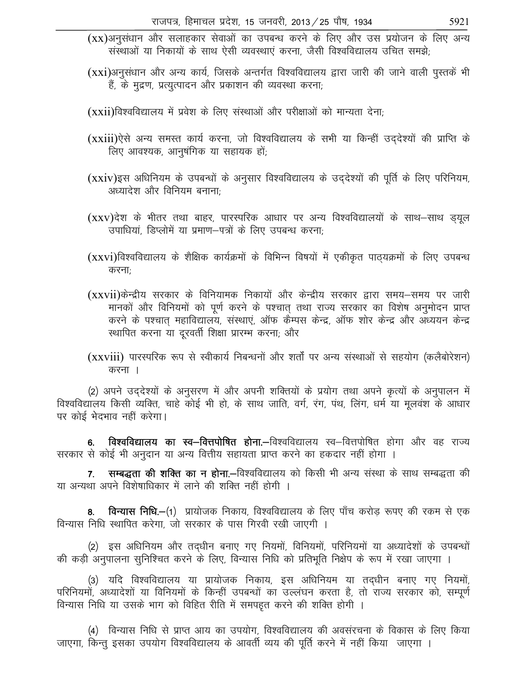$(xx)$ अनुसंधान और सलाहकार सेवाओं का उपबन्ध करने के लिए और उस प्रयोजन के लिए अन्य संस्थाओं या निकायों के साथ ऐसी व्यवस्थाएं करना, जैसी विश्वविद्यालय उचित समझे;

(xxi)अनुसंधान और अन्य कार्य, जिसके अन्तर्गत विश्वविद्यालय द्वारा जारी की जाने वाली पुस्तकें भी हैं, के मुद्रण, प्रत्युत्पादन और प्रकाशन की व्यवस्था करना;

 $(xxi)$ विश्वविद्यालय में प्रवेश के लिए संस्थाओं और परीक्षाओं को मान्यता देना;

- (xxiii)ऐसे अन्य समस्त कार्य करना, जो विश्वविद्यालय के सभी या किन्हीं उद्देश्यों की प्राप्ति के लिए आवश्यक, आनुषंगिक या सहायक हों;
- $(xxi)$ इस अधिनियम के उपबन्धों के अनुसार विश्वविद्यालय के उद्देश्यों की पूर्ति के लिए परिनियम, अध्यादेश और विनियम बनाना $\cdot$
- (xxv)देश के भीतर तथा बाहर, पारस्परिक आधार पर अन्य विश्वविद्यालयों के साथ—साथ ड़यूल उपाधियां, डिप्लोमें या प्रमाण–पत्रों के लिए उपबन्ध करना;
- (xxvi)विश्वविद्यालय के शैक्षिक कार्यक्रमों के विभिन्न विषयों में एकीकृत पाठ्यक्रमों के लिए उपबन्ध करनाः
- (xxvii)केन्द्रीय सरकार के विनियामक निकायों और केन्द्रीय सरकार द्वारा समय—समय पर जारी मानकों और विनियमों को पूर्ण करने के पश्चात तथा राज्य सरकार का विशेष अनुमोदन प्राप्त करने के पश्चात महाविद्यालय, संस्थाएं, ऑफ कैम्पस केन्द्र, ऑफ शोर केन्द्र और अध्ययन केन्द्र स्थापित करना या दूरवर्ती शिक्षा प्रारम्भ करना; और
- (xxviii) पारस्परिक रूप से स्वीकार्य निबन्धनों और शर्तों पर अन्य संस्थाओं से सहयोग (कलैबोरेशन) करना $\vert$

(2) अपने उद्देश्यों के अनुसरण में और अपनी शक्तियों के प्रयोग तथा अपने कृत्यों के अनुपालन में विश्वविद्यालय किसी व्यक्ति, चाहे कोई भी हो, के साथ जाति, वर्ग, रंग, पंथ, लिंग, धर्म या मुलवंश के आधार पर कोई भेदभाव नहीं करेगा।

6. विश्वविद्यालय का स्व—वित्तपोषित होना.—विश्वविद्यालय स्व—वित्तपोषित होगा और वह राज्य सरकार से कोई भी अनुदान या अन्य वित्तीय सहायता प्राप्त करने का हकदार नहीं होगा ।

7. सम्बद्धता की शक्ति का न होना.—विश्वविद्यालय को किसी भी अन्य संस्था के साथ सम्बद्धता की या अन्यथा अपने विशेषाधिकार में लाने की शक्ति नहीं होगी ।

**विन्यास निधि.-**(1) प्रायोजक निकाय, विश्वविद्यालय के लिए पाँच करोड रूपए की रकम से एक विन्यास निधि स्थापित करेगा, जो सरकार के पास गिरवी रखी जाएगी ।

(2) इस अधिनियम और तद्धीन बनाए गए नियमों, विनियमों, परिनियमों या अध्यादेशों के उपबन्धों की कड़ी अनुपालना सुनिश्चित करने के लिए, विन्यास निधि को प्रतिभूति निक्षेप के रूप में रखा जाएगा ।

(3) यदि विश्वविद्यालय या प्रायोजक निकाय, इस अधिनियम या तद्धीन बनाए गए नियमों, परिनियमों, अध्यादेशों या विनियमों के किन्हीं उपबन्धों का उल्लंघन करता है, तो राज्य सरकार को, सम्पर्ण विन्यास निधि या उसके भाग को विहित रीति में समपड़त करने की शक्ति होगी ।

(4) विन्यास निधि से प्राप्त आय का उपयोग, विश्वविद्यालय की अवसंरचना के विकास के लिए किया जाएगा, किन्तु इसका उपयोग विश्वविद्यालय के आवर्ती व्यय की पूर्ति करने में नहीं किया जाएगा ।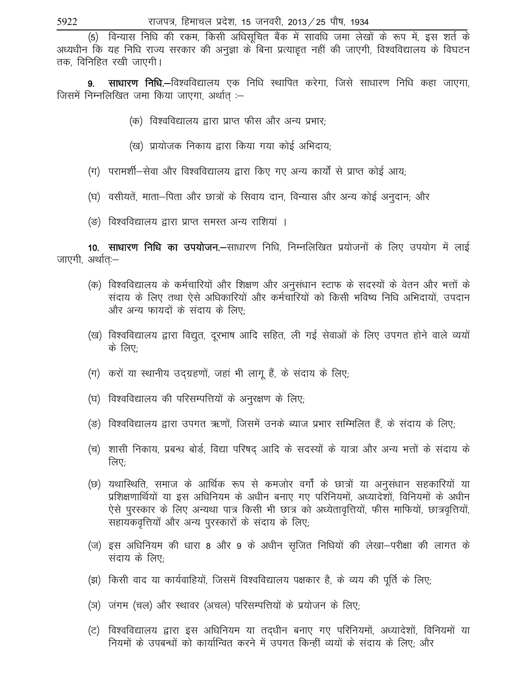(5) विन्यास निधि की रकम, किसी अधिसूचित बैंक में सावधि जमा लेखों के रूप में, इस शर्त के अध्यधीन कि यह निधि राज्य सरकार की अनुज्ञा के बिना प्रत्याहत नहीं की जाएगी, विश्वविद्यालय के विघटन तक, विनिहित रखी जाएगी।

साधारण निधि.—विश्वविद्यालय एक निधि स्थापित करेगा, जिसे साधारण निधि कहा जाएगा,  $9<sub>1</sub>$ जिसमें निम्नलिखित जमा किया जाएगा, अर्थात :-

- (क) विश्वविद्यालय द्वारा प्राप्त फीस और अन्य प्रभार:
- (ख) प्रायोजक निकाय द्वारा किया गया कोई अभिदाय;
- (ग) परामर्शी-सेवा और विश्वविद्यालय द्वारा किए गए अन्य कार्यों से प्राप्त कोई आय;
- (घ) वसीयतें, माता–पिता और छात्रों के सिवाय दान, विन्यास और अन्य कोई अनुदान; और
- (ङ) विश्वविद्यालय द्वारा प्राप्त समस्त अन्य राशियां ।

10. साधारण निधि का उपयोजन.—साधारण निधि, निम्नलिखित प्रयोजनों के लिए उपयोग में लाई जाएगी, अर्थातः-

- (क) विश्वविद्यालय के कर्मचारियों और शिक्षण और अनुसंधान स्टाफ के सदस्यों के वेतन और भत्तों के संदाय के लिए तथा ऐसे अधिकारियों और कर्मचारियों को किसी भविष्य निधि अभिदायों, उपदान और अन्य फायदों के संदाय के लिए;
- (ख) विश्वविद्यालय द्वारा विद्युत, दूरभाष आदि सहित, ली गई सेवाओं के लिए उपगत होने वाले व्ययों के लिए:
- (ग) करों या स्थानीय उदग्रहणों, जहां भी लागू हैं, के संदाय के लिए;
- (घ) विश्वविद्यालय की परिसम्पत्तियों के अनुरक्षण के लिए;
- (ङ) विश्वविद्यालय द्वारा उपगत ऋणों. जिसमें उनके ब्याज प्रभार सम्मिलित हैं. के संदाय के लिए:
- (च)) शासी निकाय, प्रबन्ध बोर्ड, विद्या परिषद् आदि के सदस्यों के यात्रा और अन्य भत्तों के संदाय के लिए:
- (छ) यथास्थिति, समाज के आर्थिक रूप से कमजोर वर्गों के छात्रों या अनुसंधान सहकारियों या प्रशिक्षणार्थियों या इस अधिनियम के अधीन बनाए गए परिनियमों, अध्यादेशों, विनियमों के अधीन ऐसे पुरस्कार के लिए अन्यथा पात्र किसी भी छात्र को अध्येतावृत्तियों, फीस माफियों, छात्रवृत्तियों, सहायकवृत्तियों और अन्य पुरस्कारों के संदाय के लिए;
- (ज) इस अधिनियम की धारा 8 और 9 के अधीन सुजित निधियों की लेखा–परीक्षा की लागत के संदाय के लिए:
- (झ) किसी वाद या कार्यवाहियों, जिसमें विश्वविद्यालय पक्षकार है, के व्यय की पूर्ति के लिए;
- (ञ) जंगम (चल) और स्थावर (अचल) परिसम्पत्तियों के प्रयोजन के लिए;
- (ट) विश्वविद्यालय द्वारा इस अधिनियम या तदधीन बनाए गए परिनियमों, अध्यादेशों, विनियमों या नियमों के उपबन्धों को कार्यान्वित करने में उपगत किन्हीं व्ययों के संदाय के लिए: और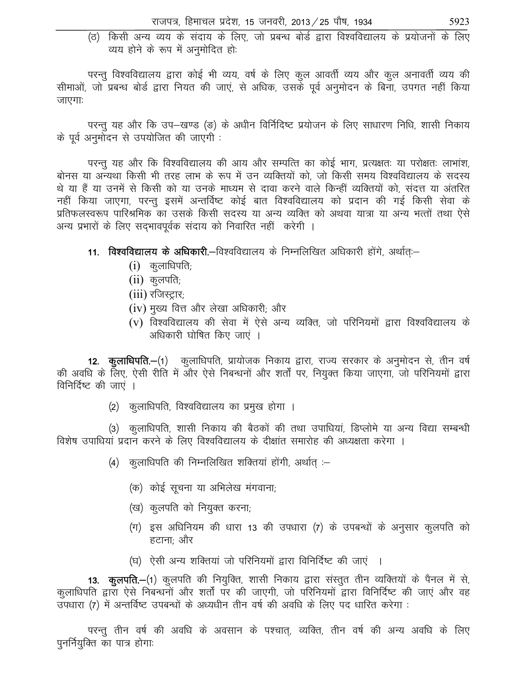(ठ) किसी अन्य व्यय के संदाय के लिए, जो प्रबन्ध बोर्ड द्वारा विश्वविद्यालय के प्रयोजनों के लिए व्यय होने के रूप में अनुमोदित हो:

परन्तु विश्वविद्यालय द्वारा कोई भी व्यय, वर्ष के लिए कुल आवर्ती व्यय और कुल अनावर्ती व्यय की सीमाओं, जो प्रबन्ध बोर्ड द्वारा नियत की जाएं, से अधिक, उसके पूर्व अनुमोदन के बिना, उपगत नहीं किया जाएगाः

परन्तु यह और कि उप-खण्ड (ङ) के अधीन विर्निदिष्ट प्रयोजन के लिए साधारण निधि, शासी निकाय के पूर्व अनुमोदन से उपयोजित की जाएगी :

परन्तु यह और कि विश्वविद्यालय की आय और सम्पत्ति का कोई भाग, प्रत्यक्षतः या परोक्षतः लाभांश, बोनस या अन्यथा किसी भी तरह लाभ के रूप में उन व्यक्तियों को, जो किसी समय विश्वविद्यालय के सदस्य थे या हैं या उनमें से किसी को या उनके माध्यम से दावा करने वाले किन्हीं व्यक्तियों को, संदत्त या अंतरित नहीं किया जाएगा, परन्तु इसमें अन्तर्विष्ट कोई बात विश्वविद्यालय को प्रदान की गई किसी सेवा के प्रतिफलस्वरूप पारिश्रमिक का उसके किसी सदस्य या अन्य व्यक्ति को अथवा यात्रा या अन्य भत्तों तथा ऐसे अन्य प्रभारों के लिए सदभावपूर्वक संदाय को निवारित नहीं करेगी ।

- 11. विश्वविद्यालय के अधिकारी.—विश्वविद्यालय के निम्नलिखित अधिकारी होंगे, अर्थात:—
	- $(i)$  कुलाधिपति;
	- $(ii)$  कुलपति;
	- $(iii)$  रजिस्ट्रार;
	- (iv) मुख्य वित्त और लेखा अधिकारी; और
	- (y) विश्वविद्यालय की सेवा में ऐसे अन्य व्यक्ति, जो परिनियमों द्वारा विश्वविद्यालय के अधिकारी घोषित किए जाएं ।

12. कुलाधिपति.-(1) कुलाधिपति, प्रायोजक निकाय द्वारा, राज्य सरकार के अनुमोदन से, तीन वर्ष की अवधि के लिए, ऐसी रीति में और ऐसे निबन्धनों और शर्तों पर, नियुक्त किया जाएगा, जो परिनियमों द्वारा विनिर्दिष्ट की जाएं ।

(2) कुलाधिपति, विश्वविद्यालय का प्रमुख होगा ।

(3) कुलाधिपति, शासी निकाय की बैठकों की तथा उपाधियां, डिप्लोमे या अन्य विद्या सम्बन्धी विशेष उपाधियां प्रदान करने के लिए विश्वविद्यालय के दीक्षांत समारोह की अध्यक्षता करेगा ।

- (4) कुलाधिपति की निम्नलिखित शक्तियां होंगी, अर्थात् :-
	- (क) कोई सूचना या अभिलेख मंगवाना;
	- (ख) कुलपति को नियुक्त करना;
	- (ग) इस अधिनियम की धारा 13 की उपधारा (7) के उपबन्धों के अनुसार कुलपति को हटाना: और
	- (घ) ऐसी अन्य शक्तियां जो परिनियमों द्वारा विनिर्दिष्ट की जाएं ।

13. कुलपति.-(1) कुलपति की नियुक्ति, शासी निकाय द्वारा संस्तुत तीन व्यक्तियों के पैनल में से, कूलाधिपति द्वारा ऐसे निबन्धनों और शर्तों पर की जाएगी, जो परिनियमों द्वारा विनिर्दिष्ट की जाएं और वह उपधारा (7) में अन्तर्विष्ट उपबन्धों के अध्यधीन तीन वर्ष की अवधि के लिए पद धारित करेगा :

परन्तू तीन वर्ष की अवधि के अवसान के पश्चात्, व्यक्ति, तीन वर्ष की अन्य अवधि के लिए पुनर्नियुक्ति का पात्र होगाः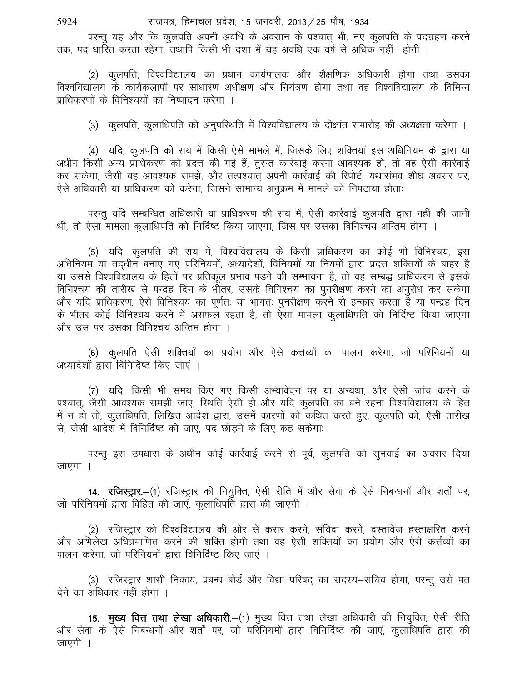परन्तू यह और कि कुलपति अपनी अवधि के अवसान के पश्चात् भी, नए कुलपति के पदग्रहण करने तक, पद धारित करता रहेगा. तथापि किसी भी दशा में यह अवधि एक वर्ष से अधिक नहीं होगी ।

(2) कुलपति, विश्वविद्यालय का प्रधान कार्यपालक और शैक्षणिक अधिकारी होगा तथा उसका विश्वविद्यालय के कार्यकलापों पर साधारण अधीक्षण और नियंत्रण होगा तथा वह विश्वविद्यालय के विभिन्न प्राधिकरणों के विनिश्चयों का निष्पादन करेगा ।

(3) कुलपति, कुलाधिपति की अनुपस्थिति में विश्वविद्यालय के दीक्षांत समारोह की अध्यक्षता करेगा ।

(4) यदि, कुलपति की राय में किसी ऐसे मामले में, जिसके लिए शक्तियां इस अधिनियम के द्वारा या अधीन किसी अन्य प्राधिकरण को प्रदत्त की गई हैं, तुरन्त कार्रवाई करना आवश्यक हो, तो वह ऐसी कार्रवाई कर सकेगा, जैसी वह आवश्यक समझे, और तत्पश्चात अपनी कार्रवाई की रिपोर्ट, यथासंभव शीघ्र अवसर पर, ऐसे अधिकारी या प्राधिकरण को करेगा, जिसने सामान्य अनुक्रम में मामले को निपटाया होताः

परन्तु यदि सम्बन्धित अधिकारी या प्राधिकरण की राय में, ऐसी कार्रवाई कुलपति द्वारा नहीं की जानी थी, तो ऐसा मामला कुलाधिपति को निर्दिष्ट किया जाएगा, जिस पर उसका विनिश्चय अन्तिम होगा ।

(5) यदि, कुलपति की राय में, विश्वविद्यालय के किसी प्राधिकरण का कोई भी विनिश्चय, इस अधिनियम या तदधीन बनाए गए परिनियमों, अध्यादेशों, विनियमों या नियमों द्वारा प्रदत्त शक्तियों के बाहर है या उससे विश्वविद्यालय के हितों पर प्रतिकूल प्रभाव पडने की सम्भावना है, तो वह सम्बद्ध प्राधिकरण से इसके विनिश्चय की तारीख से पन्द्रह दिन के भीतर, उसके विनिश्चय का पुनरीक्षण करने का अनुरोध कर सकेगा और यदि प्राधिकरण, ऐसे विनिश्चय का पूर्णतः या भागतः पुनरीक्षण करने से इन्कार करता है या पन्द्रह दिन के भीतर कोई विनिश्चय करने में असफल रहता है, तो ऐसा मामला कुलाधिपति को निर्दिष्ट किया जाएगा और उस पर उसका विनिश्चय अन्तिम होगा ।

(6) कुलपति ऐसी शक्तियों का प्रयोग और ऐसे कर्त्तव्यों का पालन करेगा, जो परिनियमों या अध्यादेशों द्वारा विनिर्दिष्ट किए जाएं ।

(7) यदि, किसी भी समय किए गए किसी अभ्यावेदन पर या अन्यथा, और ऐसी जांच करने के पश्चात्, जैसी आवश्यक समझी जाए, स्थिति ऐसी हो और यदि कुलपति का बने रहना विश्वविद्यालय के हित में न हो तो, कुलाधिपति, लिखित आदेश द्वारा, उसमें कारणों को कथित करते हुए, कुलपति को, ऐसी तारीख से. जैसी आदेश में विनिर्दिष्ट की जाए. पद छोड़ने के लिए कह सकेगा:

परन्तु इस उपधारा के अधीन कोई कार्रवाई करने से पूर्व, कुलपति को सुनवाई का अवसर दिया जाएगा ।

**14. रजिस्ट्रार.—(**1) रजिस्ट्रार की नियुक्ति, ऐसी रीति में और सेवा के ऐसे निबन्धनों और शर्तों पर, जो परिनियमों द्वारा विहित की जाएं, कुलाधिपति द्वारा की जाएगी ।

(2) रजिस्ट्रार को विश्वविद्यालय की ओर से करार करने, संविदा करने, दस्तावेज हस्ताक्षरित करने और अभिलेख अधिप्रमाणित करने की शक्ति होगी तथा वह ऐसी शक्तियों का प्रयोग और ऐसे कर्त्तव्यों का पालन करेगा, जो परिनियमों द्वारा विनिर्दिष्ट किए जाएं ।

(3) रजिस्ट्रार शासी निकाय, प्रबन्ध बोर्ड और विद्या परिषद् का सदस्य–सचिव होगा, परन्तु उसे मत देने का अधिकार नहीं होगा ।

15. मुख्य वित्त तथा लेखा अधिकारी.-(1) मुख्य वित्त तथा लेखा अधिकारी की नियुक्ति, ऐसी रीति और सेवा के ऐसे निबन्धनों और शर्तों पर, जो परिनियमों द्वारा विनिर्दिष्ट की जाएं, कुलाधिपति द्वारा की जाएगी ।

5924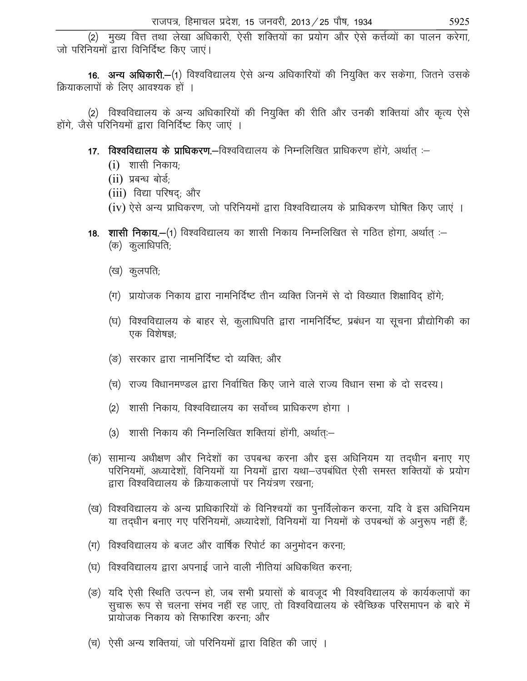(2) मुख्य वित्त तथा लेखा अधिकारी, ऐसी शक्तियों का प्रयोग और ऐसे कर्त्तव्यों का पालन करेगा, जो परिनियमों द्वारा विनिर्दिष्ट किए जाएं।

16. अन्य अधिकारी.-(1) विश्वविद्यालय ऐसे अन्य अधिकारियों की नियुक्ति कर सकेगा, जितने उसके क्रियाकलापों के लिए आवश्यक हों ।

(2) विश्वविद्यालय के अन्य अधिकारियों की नियुक्ति की रीति और उनकी शक्तियां और कृत्य ऐसे होंगे, जैसे परिनियमों द्वारा विनिर्दिष्ट किए जाएं ।

17. विश्वविद्यालय के प्राधिकरण.-विश्वविद्यालय के निम्नलिखित प्राधिकरण होंगे, अर्थात् :-

- $(i)$  शासी निकाय;
- $(ii)$  प्रबन्ध बोर्ड;
- (iii) विद्या परिषद; और

 $(iv)$  ऐसे अन्य प्राधिकरण, जो परिनियमों द्वारा विश्वविद्यालय के प्राधिकरण घोषित किए जाएं ।

- **18. शासी निकाय.—**(1) विश्वविद्यालय का शासी निकाय निम्नलिखित से गठित होगा, अर्थात :—  $($ क) कुलाधिपति;
	- (ख) कुलपति;
	- $($ ग) प्रायोजक निकाय द्वारा नामनिर्दिष्ट तीन व्यक्ति जिनमें से दो विख्यात शिक्षाविद होंगे;
	- (घ) विश्वविद्यालय के बाहर से, कुलाधिपति द्वारा नामनिर्दिष्ट, प्रबंधन या सूचना प्रौद्योगिकी का एक विशेषज्ञ $\cdot$
	- (ङ) सरकार द्वारा नामनिर्दिष्ट दो व्यक्ति: और
	- (च) राज्य विधानमण्डल द्वारा निर्वाचित किए जाने वाले राज्य विधान सभा के दो सदस्य।
	- (2) ) शासी निकाय, विश्वविद्यालय का सर्वोच्च प्राधिकरण होगा ।
	- $(3)$  शासी निकाय की निम्नलिखित शक्तियां होंगी, अर्थात:-
- (क) सामान्य अधीक्षण और निदेशों का उपबन्ध करना और इस अधिनियम या तद्धीन बनाए गए परिनियमों, अध्यादेशों, विनियमों या नियमों द्वारा यथा–उपबंधित ऐसी समस्त शक्तियों के प्रयोग हारा विश्वविद्यालय के क्रियाकलापों पर नियंत्रण रखना:
- (ख) विश्वविद्यालय के अन्य प्राधिकारियों के विनिश्चयों का पुनर्विलोकन करना, यदि वे इस अधिनियम या तदधीन बनाए गए परिनियमों, अध्यादेशों, विनियमों या नियमों के उपबन्धों के अनुरूप नहीं हैं;
- $\vert$ (ग)) विश्वविद्यालय के बजट और वार्षिक रिपोर्ट का अनुमोदन करना;
- (घ) विश्वविद्यालय द्वारा अपनाई जाने वाली नीतियां अधिकथित करना;
- (ङ) यदि ऐसी स्थिति उत्पन्न हो, जब सभी प्रयासों के बावजूद भी विश्वविद्यालय के कार्यकलापों का सुचारू रूप से चलना संभव नहीं रह जाए, तो विश्वविद्यालय के स्वैच्छिक परिसमापन के बारे में प्रायोजक निकाय को सिफारिश करना: और
- (च) ऐसी अन्य शक्तियां, जो परिनियमों द्वारा विहित की जाएं ।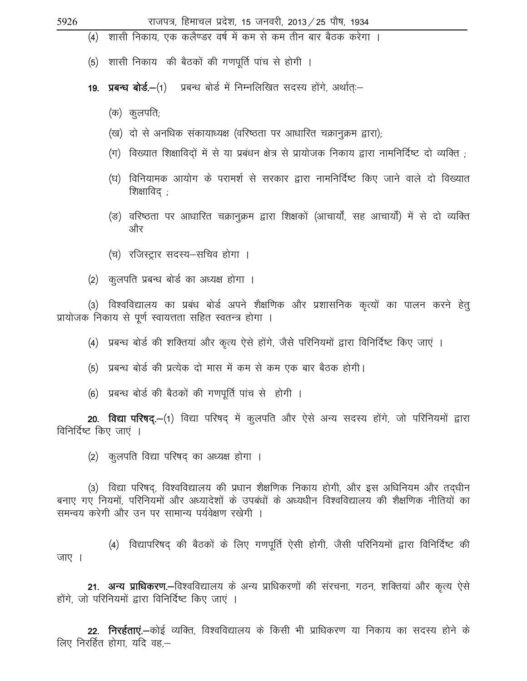5926

राजपत्र, हिमाचल प्रदेश, 15 जनवरी, 2013 / 25 पौष, 1934

(4) शासी निकाय, एक कलैण्डर वर्ष में कम से कम तीन बार बैठक करेगा ।

(5) शासी निकाय की बैठकों की गणपूर्ति पांच से होगी ।

- 19. प्रबन्ध बोर्ड.—(1) प्रबन्ध बोर्ड में निम्नलिखित सदस्य होंगे, अर्थात:—
	- (क) कुलपति;
	- (ख) दो से अनधिक संकायाध्यक्ष (वरिष्ठता पर आधारित चक्रानुक्रम द्वारा);
	- (ग) विख्यात शिक्षाविदों में से या प्रबंधन क्षेत्र से प्रायोजक निकाय द्वारा नामनिर्दिष्ट दो व्यक्ति ;
	- (घ) विनियामक आयोग के परामर्श से सरकार द्वारा नामनिर्दिष्ट किए जाने वाले दो विख्यात शिक्षाविद ;
	- (ङ) वरिष्ठता पर आधारित चक्रानुक्रम द्वारा शिक्षकों (आचार्यों, सह आचार्यों) में से दो व्यक्ति और
	- (च) रजिस्ट्रार सदस्य-सचिव होगा ।
- (2) कुलपति प्रबन्ध बोर्ड का अध्यक्ष होगा ।

(3) विश्वविद्यालय का प्रबंध बोर्ड अपने शैक्षणिक और प्रशासनिक कृत्यों का पालन करने हेत् प्रायोजक निकाय से पूर्ण स्वायत्तता सहित स्वतन्त्र होगा ।

- (4) प्रबन्ध बोर्ड की शक्तियां और कृत्य ऐसे होंगे, जैसे परिनियमों द्वारा विनिर्दिष्ट किए जाएं ।
- (5) प्रबन्ध बोर्ड की प्रत्येक दो मास में कम से कम एक बार बैठक होगी।
- (6) प्रबन्ध बोर्ड की बैठकों की गणपूर्ति पांच से होगी ।

20. विद्या परिषद.—(1) विद्या परिषद में कुलपति और ऐसे अन्य सदस्य होंगे, जो परिनियमों द्वारा विनिर्दिष्ट किए जाएं ।

(2) कुलपति विद्या परिषद का अध्यक्ष होगा ।

(3) विद्या परिषद, विश्वविद्यालय की प्रधान शैक्षणिक निकाय होगी, और इस अधिनियम और तदधीन बनाए गए नियमों, परिनियमों और अध्यादेशों के उपबंधों के अध्यधीन विश्वविद्यालय की शैक्षणिक नीतियों का समन्वय करेगी और उन पर सामान्य पर्यवेक्षण रखेगी ।

(4) विद्यापरिषद की बैठकों के लिए गणपूर्ति ऐसी होगी, जैसी परिनियमों द्वारा विनिर्दिष्ट की जाए ।

21. अन्य प्राधिकरण.—विश्वविद्यालय के अन्य प्राधिकरणों की संरचना, गठन, शक्तियां और कृत्य ऐसे होंगे, जो परिनियमों द्वारा विनिर्दिष्ट किए जाएं ।

22. निरईताएं.—कोई व्यक्ति, विश्वविद्यालय के किसी भी प्राधिकरण या निकाय का सदस्य होने के लिए निरर्हित होगा, यदि वह,—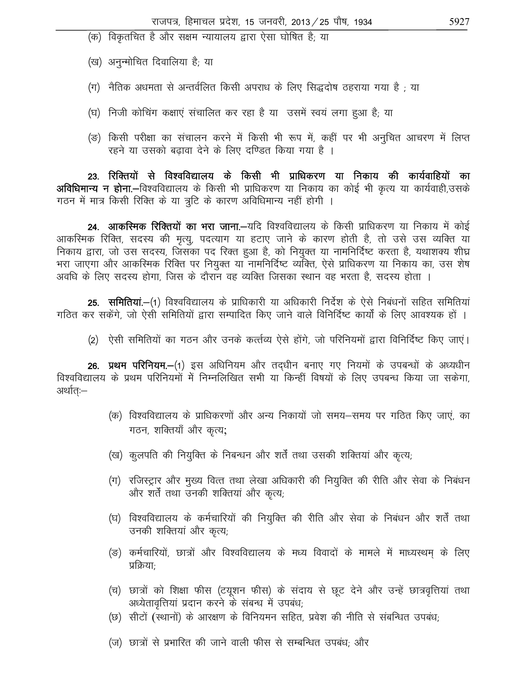- (क) विकृतचित है और सक्षम न्यायालय द्वारा ऐसा घोषित है; या
- (ख) अनुन्मोचित दिवालिया है; या
- (ग) नैतिक अधमता से अन्तर्वलित किसी अपराध के लिए सिद्धदोष ठहराया गया है ; या
- (घ) निजी कोचिंग कक्षाएं संचालित कर रहा है या) उसमें स्वयं लगा हुआ है; या
- (ङ) किसी परीक्षा का संचालन करने में किसी भी रूप में, कहीं पर भी अनुचित आचरण में लिप्त रहने या उसको बढावा देने के लिए दण्डित किया गया है ।

23. रिक्तियों से विश्वविद्यालय के किसी भी प्राधिकरण या निकाय की कार्यवाहियों का अविधिमान्य न होना.-विश्वविद्यालय के किसी भी प्राधिकरण या निकाय का कोई भी कृत्य या कार्यवाही,उसके गठन में मात्र किसी रिक्ति के या त्रूटि के कारण अविधिमान्य नहीं होगी ।

24. आकस्मिक रिक्तियों का भरा जाना.-यदि विश्वविद्यालय के किसी प्राधिकरण या निकाय में कोई आकस्मिक रिक्ति, सदस्य की मृत्यू, पदत्याग या हटाए जाने के कारण होती है, तो उसे उस व्यक्ति या निकाय द्वारा, जो उस सदस्य, जिसका पद रिक्त हुआ है, को नियुक्त या नामनिर्दिष्ट करता है, यथाशक्य शीघ्र भरा जाएगा और आकरिमक रिक्ति पर नियुक्त या नामनिर्दिष्ट व्यक्ति, ऐसे प्राधिकरण या निकाय का, उस शेष अवधि के लिए सदस्य होगा, जिस के दौरान वह व्यक्ति जिसका स्थान वह भरता है, सदस्य होता ।

**25. समितियां.—**(1) विश्वविद्यालय के प्राधिकारी या अधिकारी निर्देश के ऐसे निबंधनों सहित समितियां गठित कर सकेंगे, जो ऐसी समितियों द्वारा सम्पादित किए जाने वाले विनिर्दिष्ट कार्यों के लिए आवश्यक हों ।

(2) ऐसी समितियों का गठन और उनके कर्त्तव्य ऐसे होंगे, जो परिनियमों द्वारा विनिर्दिष्ट किए जाएं।

26. प्रथम परिनियम.-(1) इस अधिनियम और तदधीन बनाए गए नियमों के उपबन्धों के अध्यधीन विश्वविद्यालय के प्रथम परिनियमों में निम्नलिखित सभी या किन्हीं विषयों के लिए उपबन्ध किया जा सकेगा, अर्थात:—

- (क) विश्वविद्यालय के प्राधिकरणों और अन्य निकायों जो समय—समय पर गठित किए जाएं, का गठन, शक्तियाँ और कृत्य;
- (ख) कुलपति की नियुक्ति के निबन्धन और शर्तें तथा उसकी शक्तियां और कृत्य,
- (ग) रजिस्ट्रार और मुख्य वित्त तथा लेखा अधिकारी की नियुक्ति की रीति और सेवा के निबंधन और शर्तें तथा उनकी शक्तियां और कृत्य;
- (घ) विश्वविद्यालय के कर्मचारियों की नियुक्ति की रीति और सेवा के निबंधन और शर्तें तथा उनकी शक्तियां और कृत्य;
- (ङ) कर्मचारियों, छात्रों और विश्वविद्यालय के मध्य विवादों के मामले में माध्यस्थम् के लिए प्रक्रियाः
- (च) छात्रों को शिक्षा फीस (टयूशन फीस) के संदाय से छूट देने और उन्हें छात्रवृत्तियां तथा अध्येतावृत्तियां प्रदान करने के संबन्ध में उपबंध;
- (छ) सीटों (स्थानों) के आरक्षण के विनियमन सहित, प्रवेश की नीति से संबन्धित उपबंध;
- (ज) छात्रों से प्रभारित की जाने वाली फीस से सम्बन्धित उपबंध; और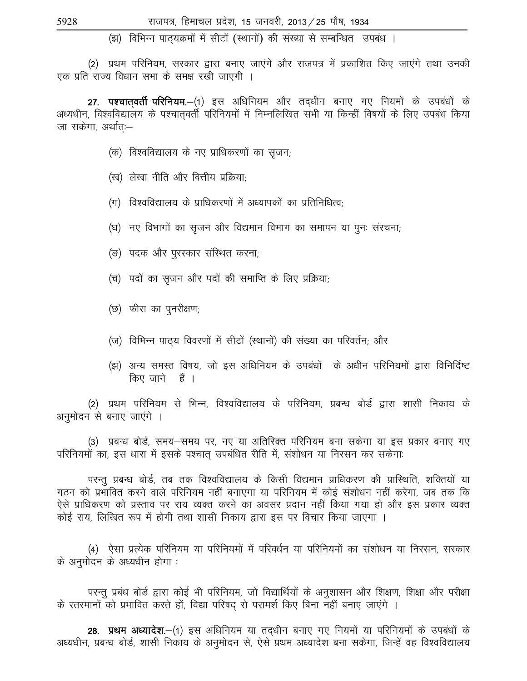(झ) विभिन्न पाठयक्रमों में सीटों (स्थानों) की संख्या से सम्बन्धित उपबंध ।

(2) प्रथम परिनियम, सरकार द्वारा बनाए जाएंगे और राजपत्र में प्रकाशित किए जाएंगे तथा उनकी एक प्रति राज्य विधान सभा के समक्ष रखी जाएगी ।

27. पश्चातवर्ती परिनियम.-(1) इस अधिनियम और तदधीन बनाए गए नियमों के उपबंधों के अध्यधीन, विश्वविद्यालय के पश्चातवर्ती परिनियमों में निम्नलिखित सभी या किन्हीं विषयों के लिए उपबंध किया जा सकेगा, अर्थातः–

- (क) विश्वविद्यालय के नए प्राधिकरणों का सृजन;
- (ख) लेखा नीति और वित्तीय प्रक्रिया;
- (ग) विश्वविद्यालय के प्राधिकरणों में अध्यापकों का प्रतिनिधित्व;
- (घ) नए विभागों का सृजन और विद्यमान विभाग का समापन या पुनः संरचना;
- (ङ) पदक और पुरस्कार संस्थित करना;
- (च) पदों का सृजन और पदों की समाप्ति के लिए प्रक्रिया;
- (छ) फीस का पुनरीक्षण;
- (ज) विभिन्न पाठ्य विवरणों में सीटों (स्थानों) की संख्या का परिवर्तन; और
- (झ) अन्य समस्त विषय, जो इस अधिनियम के उपबंधों के अधीन परिनियमों द्वारा विनिर्दिष्ट किए जाने हैं ।

(2) प्रथम परिनियम से भिन्न, विश्वविद्यालय के परिनियम, प्रबन्ध बोर्ड द्वारा शासी निकाय के अनुमोदन से बनाए जाएंगे ।

(3) प्रबन्ध बोर्ड, समय–समय पर, नए या अतिरिक्त परिनियम बना सकेगा या इस प्रकार बनाए गए परिनियमों का, इस धारा में इसके पश्चात उपबंधित रीति में, संशोधन या निरसन कर सकेगाः

परन्तु प्रबन्ध बोर्ड, तब तक विश्वविद्यालय के किसी विद्यमान प्राधिकरण की प्रास्थिति, शक्तियों या गठन को प्रभावित करने वाले परिनियम नहीं बनाएगा या परिनियम में कोई संशोधन नहीं करेगा, जब तक कि ऐसे प्राधिकरण को प्रस्ताव पर राय व्यक्त करने का अवसर प्रदान नहीं किया गया हो और इस प्रकार व्यक्त कोई राय, लिखित रूप में होगी तथा शासी निकाय द्वारा इस पर विचार किया जाएगा ।

(4) ऐसा प्रत्येक परिनियम या परिनियमों में परिवर्धन या परिनियमों का संशोधन या निरसन, सरकार के अनुमोदन के अध्यधीन होगा :

परन्तु प्रबंध बोर्ड द्वारा कोई भी परिनियम, जो विद्यार्थियों के अनुशासन और शिक्षण, शिक्षा और परीक्षा के स्तरमानों को प्रभावित करते हों, विद्या परिषद् से परामर्श किए बिना नहीं बनाए जाएंगे ।

28. प्रथम अध्यादेश.—(1) इस अधिनियम या तदधीन बनाए गए नियमों या परिनियमों के उपबंधों के अध्यधीन, प्रबन्ध बोर्ड, शासी निकाय के अनुमोदन से, ऐसे प्रथम अध्यादेश बना सकेगा, जिन्हें वह विश्वविद्यालय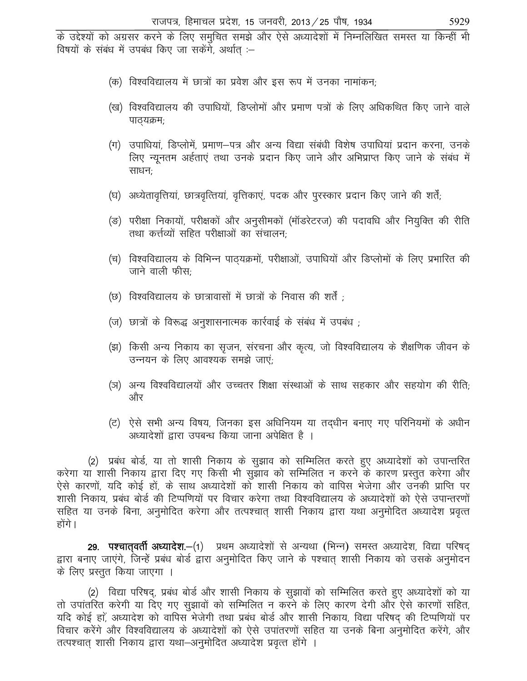के उद्देश्यों को अग्रसर करने के लिए समुचित समझे और ऐसे अध्यादेशों में निम्नलिखित समस्त या किन्हीं भी विषयों के संबंध में उपबंध किए जा सकेंगे, अर्थात :-

- (क) विश्वविद्यालय में छात्रों का प्रवेश और इस रूप में उनका नामांकन;
- (ख) विश्वविद्यालय की उपाधियों, डिप्लोमों और प्रमाण पत्रों के लिए अधिकथित किए जाने वाले पाठ्यक्रम;
- (ग) उपाधियां, डिप्लोमें, प्रमाण—पत्र और अन्य विद्या संबंधी विशेष उपाधियां प्रदान करना, उनके लिए न्यूनतम अर्हताएं तथा उनके प्रदान किए जाने और अभिप्राप्त किए जाने के संबंध में साधन:
- (घ) अध्येतावृत्तियां, छात्रवृत्तियां, वृत्तिकाएं, पदक और पुरस्कार प्रदान किए जाने की शर्तें;
- (ङ) परीक्षा निकायों, परीक्षकों और अनुसीमकों (मॉडरेटरज) की पदावधि और नियुक्ति की रीति तथा कर्त्तव्यों सहित परीक्षाओं का संचालन
- (च) विश्वविद्यालय के विभिन्न पाठ्यक्रमों, परीक्षाओं, उपाधियों और डिप्लोमों के लिए प्रभारित की जाने वाली फीस:
- (छ) विश्वविद्यालय के छात्रावासों में छात्रों के निवास की शर्तें ;
- (ज) छात्रों के विरूद्ध अनुशासनात्मक कार्रवाई के संबंध में उपबंध ;
- (झ) किसी अन्य निकाय का सृजन, संरचना और कृत्य, जो विश्वविद्यालय के शैक्षणिक जीवन के उन्नयन के लिए आवश्यक समझे जाएं;
- (ञ) अन्य विश्वविद्यालयों और उच्चतर शिक्षा संस्थाओं के साथ सहकार और सहयोग की रीति; और
- (ट) ऐसे सभी अन्य विषय, जिनका इस अधिनियम या तद्धीन बनाए गए परिनियमों के अधीन अध्यादेशों द्वारा उपबन्ध किया जाना अपेक्षित है ।

(2) प्रबंध बोर्ड, या तो शासी निकाय के सुझाव को सम्मिलित करते हुए अध्यादेशों को उपान्तरित करेगा या शासी निकाय द्वारा दिए गए किसी भी सुझाव को सम्मिलित न करने के कारण प्रस्तुत करेगा और ऐसे कारणों, यदि कोई हों, के साथ अध्यादेशों को शासी निकाय को वापिस भेजेगा और उनकी प्राप्ति पर शासी निकाय, प्रबंध बोर्ड की टिप्पणियों पर विचार करेगा तथा विश्वविद्यालय के अध्यादेशों को ऐसे उपान्तरणों सहित या उनके बिना, अनुमोदित करेगा और तत्पश्चात शासी निकाय द्वारा यथा अनुमोदित अध्यादेश प्रवृत्त होंगे ।

29. पश्चात्वर्ती अध्यादेश.-(1) प्रथम अध्यादेशों से अन्यथा (भिन्न) समस्त अध्यादेश, विद्या परिषद् द्वारा बनाए जाएंगे, जिन्हें प्रबंध बोर्ड द्वारा अनुमोदित किए जाने के पश्चात शासी निकाय को उसके अनुमोदन के लिए प्रस्तुत किया जाएगा ।

(2) विद्या परिषद, प्रबंध बोर्ड और शासी निकाय के सुझावों को सम्मिलित करते हुए अध्यादेशों को या तो उपांतरित करेगी या दिए गए सूझावों को सम्मिलित न करने के लिए कारण देगी और ऐसे कारणों सहित, यदि कोई हों, अध्यादेश को वापिस भेजेगी तथा प्रबंध बोर्ड और शासी निकाय, विद्या परिषद की टिप्पणियों पर विचार करेंगे और विश्वविद्यालय के अध्यादेशों को ऐसे उपांतरणों सहित या उनके बिना अनुमोदित करेंगे, और तत्पश्चात् शासी निकाय द्वारा यथा–अनुमोदित अध्यादेश प्रवृत्त होंगे ।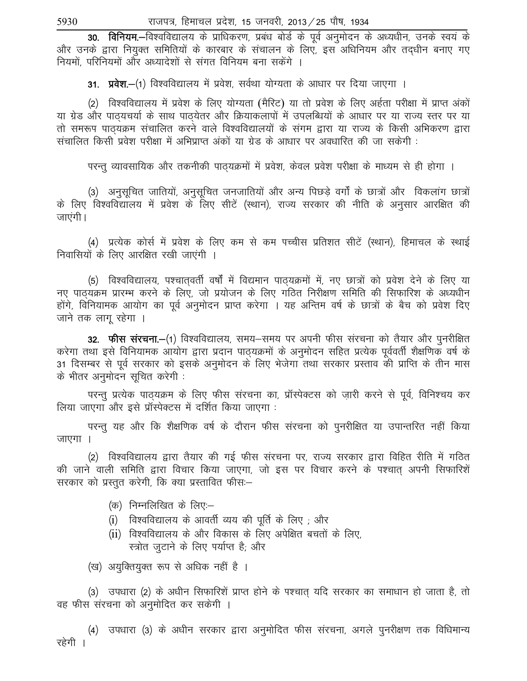30. विनियम.-विश्वविद्यालय के प्राधिकरण, प्रबंध बोर्ड के पूर्व अनुमोदन के अध्यधीन, उनके स्वयं के ओर उनके द्वारा नियुक्त समितियों के कारबार के संचालन के लिए, इस अधिनियम और तदधीन बनाए गए नियमों, परिनियमों और अध्यादेशों से संगत विनियम बना सकेंगे ।

31. प्रवेश.—(1) विश्वविद्यालय में प्रवेश, सर्वथा योग्यता के आधार पर दिया जाएगा ।

(2) विश्वविद्यालय में प्रवेश के लिए योग्यता (मैरिट) या तो प्रवेश के लिए अर्हता परीक्षा में प्राप्त अंकों या ग्रेड और पाठयचर्या के साथ पाठयेतर और क्रियाकलापों में उपलब्धियों के आधार पर या राज्य स्तर पर या तो समरूप पाठयक्रम संचालित करने वाले विश्वविद्यालयों के संगम द्वारा या राज्य के किसी अभिकरण द्वारा संचालित किसी प्रवेश परीक्षा में अभिप्राप्त अंकों या ग्रेड के आधार पर अवधारित की जा सकेगी :

परन्तु व्यावसायिक और तकनीकी पाठ्यक्रमों में प्रवेश, केवल प्रवेश परीक्षा के माध्यम से ही होगा ।

(3) अनुसुचित जातियों, अनुसुचित जनजातियों और अन्य पिछडे वर्गों के छात्रों और विकलांग छात्रों के लिए विश्वविद्यालय में प्रवेश के लिए सीटें (स्थान), राज्य सरकार की नीति के अनुसार आरक्षित की जाएंगी।

(4) प्रत्येक कोर्स में प्रवेश के लिए कम से कम पच्चीस प्रतिशत सीटें (स्थान), हिमाचल के स्थाई निवासियों के लिए आरक्षित रखी जाएंगी ।

(5) विश्वविद्यालय, पश्चातवर्ती वर्षों में विद्यमान पाठ्यक्रमों में, नए छात्रों को प्रवेश देने के लिए या नए पाठ्यक्रम प्रारम्भ करने के लिए, जो प्रयोजन के लिए गठित निरीक्षण समिति की सिफारिश के अध्यधीन होंगे, विनियामक आयोग का पूर्व अनुमोदन प्राप्त करेगा । यह अन्तिम वर्ष के छात्रों के बैच को प्रवेश दिए जाने तक लागू रहेगा ।

32. फीस संरचना.-(1) विश्वविद्यालय, समय-समय पर अपनी फीस संरचना को तैयार और पुनरीक्षित करेगा तथा इसे विनियामक आयोग द्वारा प्रदान पाठ्यक्रमों के अनुमोदन सहित प्रत्येक पूर्ववर्ती शैक्षणिक वर्ष के 31 दिसम्बर से पूर्व सरकार को इसके अनुमोदन के लिए भेजेगा तथा सरकार प्रस्ताव की प्राप्ति के तीन मास के भीतर अनुमोदन सुचित करेगी :

परन्तु प्रत्येक पाठ्यक्रम के लिए फीस संरचना का, प्रॉस्पेक्टस को जारी करने से पूर्व, विनिश्चय कर लिया जाएगा और इसे प्रॉस्पेक्टस में दर्शित किया जाएगा :

परन्तु यह और कि शैक्षणिक वर्ष के दौरान फीस संरचना को पुनरीक्षित या उपान्तरित नहीं किया जाएगा ।

(2) विश्वविद्यालय द्वारा तैयार की गई फीस संरचना पर, राज्य सरकार द्वारा विहित रीति में गठित की जाने वाली समिति द्वारा विचार किया जाएगा, जो इस पर विचार करने के पश्चात अपनी सिफारिशें सरकार को प्रस्तुत करेगी, कि क्या प्रस्तावित फीस:-

- $(\sigma)$  निम्नलिखित के लिए: $-$
- (i) विश्वविद्यालय के आवर्ती व्यय की पूर्ति के लिए ; और
- (ii) विश्वविद्यालय के और विकास के लिए अपेक्षित बचतों के लिए, स्त्रोत जुटाने के लिए पर्याप्त है; और

(ख) अयुक्तियुक्त रूप से अधिक नहीं है ।

(3) उपधारा (2) के अधीन सिफारिशें प्राप्त होने के पश्चात् यदि सरकार का समाधान हो जाता है, तो वह फीस संरचना को अनुमोदित कर सकेगी ।

(4) उपधारा (3) के अधीन सरकार द्वारा अनुमोदित फीस संरचना, अगले पुनरीक्षण तक विधिमान्य रहेगी ।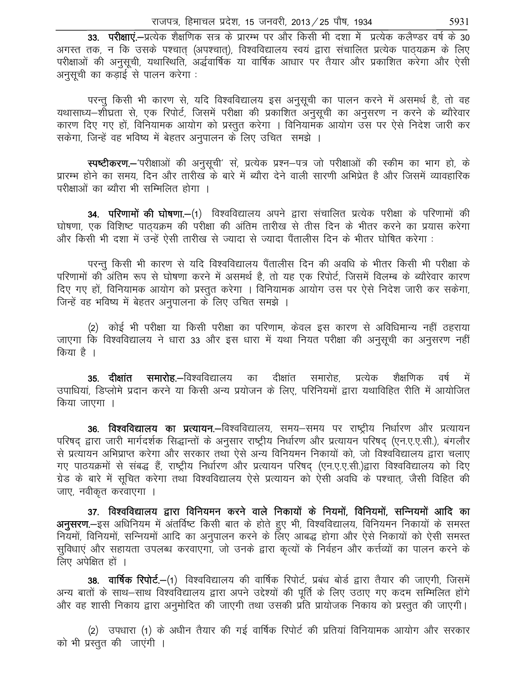33. परीक्षाएं.-प्रत्येक शैक्षणिक सत्र के प्रारम्भ पर और किसी भी दशा में प्रत्येक कलैण्डर वर्ष के 30 अगस्त तक, न कि उसके पश्चात (अपश्चात), विश्वविद्यालय स्वयं द्वारा संचालित प्रत्येक पाठयक्रम के लिए परीक्षाओं की अनुसूची, यथास्थिति, अर्द्धवार्षिक या वार्षिक आधार पर तैयार और प्रकाशित करेगा और ऐसी अनुसूची का कड़ाई से पालन करेगा :

परन्तु किसी भी कारण से, यदि विश्वविद्यालय इस अनुसूची का पालन करने में असमर्थ है, तो वह यथासाध्य–शौघ्रता से, एक रिपोर्ट, जिसमें परीक्षा की प्रकाशित अनुसूची का अनुसरण न करने के ब्यौरेवार कारण दिए गए हों, विनियामक आयोग को प्रस्तुत करेगा । विनियामक आयोग उस पर ऐसे निदेश जारी कर सकेगा, जिन्हें वह भविष्य में बेहतर अनुपालन के लिए उचित) समझे ।

स्पष्टीकरण.- परीक्षाओं की अनुसूची' से, प्रत्येक प्रश्न-पत्र जो परीक्षाओं की स्कीम का भाग हो, के प्रारम्भ होने का समय, दिन और तारीख के बारे में ब्यौरा देने वाली सारणी अभिप्रेत है और जिसमें व्यावहारिक परीक्षाओं का ब्यौरा भी सम्मिलित होगा ।

**34. परिणामों की घोषणा.—**(1) विश्वविद्यालय अपने द्वारा संचालित प्रत्येक परीक्षा के परिणामों की घोषणा, एक विशिष्ट पाठ्यक्रम की परीक्षा की अंतिम तारीख से तीस दिन के भीतर करने का प्रयास करेगा और किसी भी दशा में उन्हें ऐसी तारीख से ज्यादा से ज्यादा पैंतालीस दिन के भीतर घोषित करेगा :

परन्तु किसी भी कारण से यदि विश्वविद्यालय पैंतालीस दिन की अवधि के भीतर किसी भी परीक्षा के परिणामों की अंतिम रूप से घोषणा करने में असमर्थ है, तो यह एक रिपोर्ट, जिसमें विलम्ब के ब्यौरेवार कारण दिए गए हों, विनियामक आयोग को प्रस्तुत करेगा । विनियामक आयोग उस पर ऐसे निदेश जारी कर सकेगा, जिन्हें वह भविष्य में बेहतर अनुपालना के लिए उचित समझे ।

(2) कोई भी परीक्षा या किसी परीक्षा का परिणाम, केवल इस कारण से अविधिमान्य नहीं ठहराया जाएगा कि विश्वविद्यालय ने धारा 33 और इस धारा में यथा नियत परीक्षा की अनुसूची का अनुसरण नहीं किया है ।

**35. दीक्षांत समारोह.–**विश्वविद्यालय का दीक्षांत समारोह, प्रत्येक शैक्षणिक वर्ष में उपाधियां, डिप्लोमे प्रदान करने या किसी अन्य प्रयोजन के लिए, परिनियमों द्वारा यथाविहित रीति में आयोजित किया जाएगा ।

36. विश्वविद्यालय का प्रत्यायन.–विश्वविद्यालय, समय–समय पर राष्ट्रीय निर्धारण और प्रत्यायन परिषद् द्वारा जारी मार्गदर्शक सिद्धान्तों के अनुसार राष्ट्रीय निर्धारण और प्रत्यायन परिषद् (एन.ए.ए.सी.), बंगलौर से प्रत्यायन अभिप्राप्त करेगा और सरकार तथा ऐसे अन्य विनियमन निकायों को, जो विश्वविद्यालय द्वारा चलाए गए पाठयक्रमों से संबद्ध हैं, राष्ट्रीय निर्धारण और प्रत्यायन परिषद् (एन.ए.ए.सी.)द्वारा विश्वविद्यालय को दिए ग्रेड के बारे में सुचित करेगा तथा विश्वविद्यालय ऐसे प्रत्यायन को ऐसी अवधि के पश्चात, जैसी विहित की जाए, नवीकृत करवाएगा ।

37. विश्वविद्यालय द्वारा विनियमन करने वाले निकायों के नियमों, विनियमों, सन्नियमों आदि का अनुसरण.-इस अधिनियम में अंतर्विष्ट किसी बात के होते हुए भी, विश्वविद्यालय, विनियमन निकायों के समस्त नियमों, विनियमों, सन्नियमों आदि का अनुपालन करने के लिए आबद्ध होगा और ऐसे निकायों को ऐसी समस्त सुविधाएं और सहायता उपलब्ध करवाएगा, जो उनके द्वारा कृत्यों के निर्वहन और कर्त्तव्यों का पालन करने के लिए अपेक्षित हों ।

38. वार्षिक रिपोर्ट.-(1) विश्वविद्यालय की वार्षिक रिपोर्ट, प्रबंध बोर्ड द्वारा तैयार की जाएगी, जिसमें अन्य बातों के साथ–साथ विश्वविद्यालय द्वारा अपने उद्देश्यों की पूर्ति के लिए उठाए गए कदम सम्मिलित होंगे और वह शासी निकाय द्वारा अनुमोदित की जाएगी तथा उसकी प्रति प्रायोजक निकाय को प्रस्तुत की जाएगी।

(2) उपधारा (1) के अधीन तैयार की गई वार्षिक रिपोर्ट की प्रतियां विनियामक आयोग और सरकार को भी प्रस्तुत की जाएंगी ।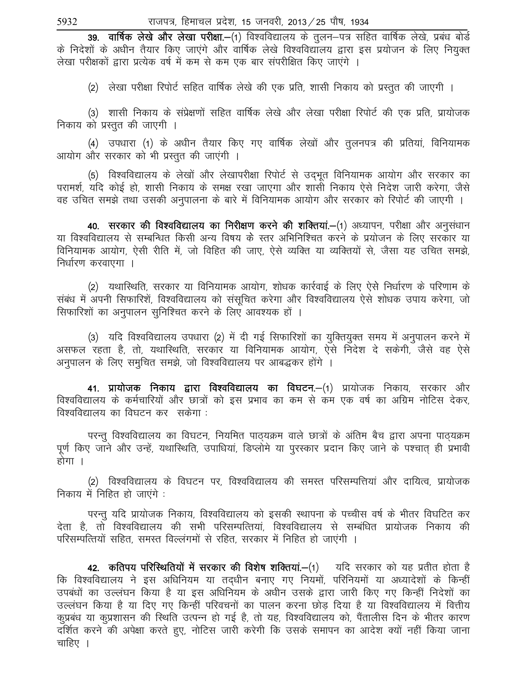39. वार्षिक लेखे और लेखा परीक्षा.-(1) विश्वविद्यालय के तुलन-पत्र सहित वार्षिक लेखे, प्रबंध बोर्ड के निदेशों के अधीन तैयार किए जाएंगे और वार्षिक लेखे विश्वविद्यालय द्वारा इस प्रयोजन के लिए नियुक्त लेखा परीक्षकों द्वारा प्रत्येक वर्ष में कम से कम एक बार संपरीक्षित किए जाएंगे ।

(2) लेखा परीक्षा रिपोर्ट सहित वार्षिक लेखे की एक प्रति, शासी निकाय को प्रस्तुत की जाएगी ।

(3) शासी निकाय के संप्रेक्षणों सहित वार्षिक लेखे और लेखा परीक्षा रिपोर्ट की एक प्रति, प्रायोजक निकाय को प्रस्तुत की जाएगी ।

(4) उपधारा (1) के अधीन तैयार किए गए वार्षिक लेखों और तुलनपत्र की प्रतियां, विनियामक आयोग और सरकार को भी प्रस्तुत की जाएंगी ।

(5) विश्वविद्यालय के लेखों और लेखापरीक्षा रिपोर्ट से उदभूत विनियामक आयोग और सरकार का परामर्श, यदि कोई हो, शासी निकाय के समक्ष रखा जाएगा और शासी निकाय ऐसे निदेश जारी करेगा, जैसे वह उचित समझे तथा उसकी अनुपालना के बारे में विनियामक आयोग और सरकार को रिपोर्ट की जाएगी ।

40. सरकार की विश्वविद्यालय का निरीक्षण करने की शक्तियां.-(1) अध्यापन, परीक्षा और अनुसंधान या विश्वविद्यालय से सम्बन्धित किसी अन्य विषय के स्तर अभिनिश्चित करने के प्रयोजन के लिए सरकार या विनियामक आयोग, ऐसी रीति में, जो विहित की जाए, ऐसे व्यक्ति या व्यक्तियों से, जैसा यह उचित समझे, निर्धारण करवाएगा ।

(2) यथास्थिति, सरकार या विनियामक आयोग, शोधक कार्रवाई के लिए ऐसे निर्धारण के परिणाम के संबंध में अपनी सिफारिशें, विश्वविद्यालय को संसुचित करेगा और विश्वविद्यालय ऐसे शोधक उपाय करेगा, जो सिफारिशों का अनुपालन सुनिश्चित करने के लिए आवश्यक हों ।

(3) यदि विश्वविद्यालय उपधारा (2) में दी गई सिफारिशों का युक्तियुक्त समय में अनुपालन करने में असफल रहता है, तो, यथास्थिति, सरकार या विनियामक आयोग, ऐसे निदेश दे सकेगी, जैसे वह ऐसे अनुपालन के लिए समुचित समझे, जो विश्वविद्यालय पर आबद्धकर होंगे ।

41. प्रायोजक निकाय द्वारा विश्वविद्यालय का विघटन.—(1) प्रायोजक निकाय, सरकार और विश्वविद्यालय के कर्मचारियों और छात्रों को इस प्रभाव का कम से कम एक वर्ष का अग्रिम नोटिस देकर, विश्वविद्यालय का विघटन कर सकेगा :

परन्तू विश्वविद्यालय का विघटन, नियमित पाठ्यक्रम वाले छात्रों के अंतिम बैच द्वारा अपना पाठ्यक्रम पूर्ण किए जाने और उन्हें, यथास्थिति, उपाधियां, डिप्लोमे या पुरस्कार प्रदान किए जाने के पश्चात् ही प्रभावी होगा ।

(2) विश्वविद्यालय के विघटन पर, विश्वविद्यालय की समस्त परिसम्पत्तियां और दायित्व, प्रायोजक निकाय में निहित हो जाएंगे:

परन्तु यदि प्रायोजक निकाय, विश्वविद्यालय को इसकी स्थापना के पच्चीस वर्ष के भीतर विघटित कर देता है, तो विश्वविद्यालय की सभी परिसम्पत्तियां, विश्वविद्यालय से सम्बंधित प्रायोजक निकाय की परिसम्पत्तियों सहित, समस्त विल्लंगमों से रहित, सरकार में निहित हो जाएंगी ।

42. कतिपय परिस्थितियों में सरकार की विशेष शक्तियां.-(1) यदि सरकार को यह प्रतीत होता है कि विश्वविद्यालय ने इस अधिनियम या तदधीन बनाए गए नियमों, परिनियमों या अध्यादेशों के किन्हीं उपबंधों का उल्लंघन किया है या इस अधिनियम के अधीन उसके द्वारा जारी किए गए किन्हीं निदेशों का उल्लंघन किया है या दिए गए किन्हीं परिवचनों का पालन करना छोड दिया है या विश्वविद्यालय में वित्तीय कुप्रबंध या कुप्रशासन की स्थिति उत्पन्न हो गई है, तो यह, विश्वविद्यालय को, पैंतालीस दिन के भीतर कारण दर्शित करने की अपेक्षा करते हुए, नोटिस जारी करेगी कि उसके समापन का आदेश क्यों नहीं किया जाना चाहिए ।

5932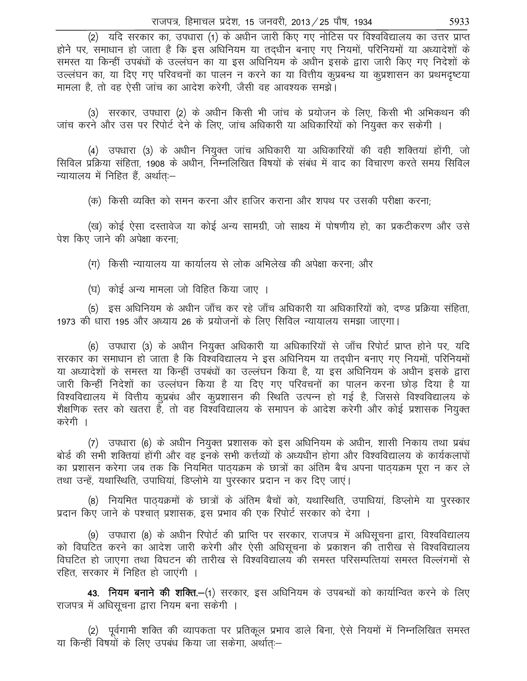(2) यदि सरकार का, उपधारा (1) के अधीन जारी किए गए नोटिस पर विश्वविद्यालय का उत्तर प्राप्त होने पर, समाधान हो जाता है कि इस अधिनियम या तदधीन बनाए गए नियमों, परिनियमों या अध्यादेशों के समस्त या किन्हीं उपबंधों के उल्लंघन का या इस अधिनियम के अधीन इसके द्वारा जारी किए गए निदेशों के उल्लंघन का, या दिए गए परिवचनों का पालन न करने का या वित्तीय कुप्रबन्ध या कुप्रशासन का प्रथमदृष्टया मामला है, तो वह ऐसी जांच का आदेश करेगी, जैसी वह आवश्यक समझे।

(3) सरकार, उपधारा (2) के अधीन किसी भी जांच के प्रयोजन के लिए, किसी भी अभिकथन की जांच करने और उस पर रिपोर्ट देने के लिए, जांच अधिकारी या अधिकारियों को नियुक्त कर सकेगी ।

(4) उपधारा (3) के अधीन नियुक्त जांच अधिकारी या अधिकारियों की वही शक्तियां होंगी, जो सिविल प्रक्रिया संहिता, 1908 के अधीन, निम्नलिखित विषयों के संबंध में वाद का विचारण करते समय सिविल न्यायालय में निहित हैं, अर्थातः-

(क) किसी व्यक्ति को समन करना और हाजिर कराना और शपथ पर उसकी परीक्षा करना;

(ख) कोई ऐसा दस्तावेज या कोई अन्य सामग्री, जो साक्ष्य में पोषणीय हो, का प्रकटीकरण और उसे पेश किए जाने की अपेक्षा करना:

(ग) किसी न्यायालय या कार्यालय से लोक अभिलेख की अपेक्षा करना; और

(घ) कोई अन्य मामला जो विहित किया जाए ।

(5) इस अधिनियम के अधीन जाँच कर रहे जाँच अधिकारी या अधिकारियों को, दण्ड प्रक्रिया संहिता, 1973 को धारा 195 और अध्याय 26 के प्रयोजनों के लिए सिविल न्यायालय समझा जाएगा।

(6) उपधारा (3) के अधीन नियुक्त अधिकारी या अधिकारियों से जाँच रिपोर्ट प्राप्त होने पर, यदि सरकार का समाधान हो जाता है कि विश्वविद्यालय ने इस अधिनियम या तद्धीन बनाए गए नियमों, परिनियमों या अध्यादेशों के समस्त या किन्हीं उपबंधों का उल्लंघन किया है, या इस अधिनियम के अधीन इसके द्वारा जारी किन्हीं निदेशों का उल्लंघन किया है या दिए गए परिवचनों का पालन करना छोड़ दिया है या विश्वविद्यालय में वित्तीय कूप्रबंध और कूप्रशासन की स्थिति उत्पन्न हो गई है, जिससे विश्वविद्यालय के शैक्षणिक स्तर को खतरा है, तो वह विश्वविद्यालय के समापन के आदेश करेगी और कोई प्रशासक नियुक्त करेगी ।

(7) उपधारा (6) के अधीन नियुक्त प्रशासक को इस अधिनियम के अधीन, शासी निकाय तथा प्रबंध बोर्ड की सभी शक्तियां होंगी और वह इनके सभी कर्त्तव्यों के अध्यधीन होगा और विश्वविद्यालय के कार्यकलापों का प्रशासन करेगा जब तक कि नियमित पाठ्यक्रम के छात्रों का अंतिम बैच अपना पाठ्यक्रम पूरा न कर ले तथा उन्हें, यथारिथति, उपाधियां, डिप्लोमे या पुरस्कार प्रदान न कर दिए जाएं।

(8) नियमित पाठयक्रमों के छात्रों के अंतिम बैचों को, यथास्थिति, उपाधियां, डिप्लोमे या पुरस्कार प्रदान किए जाने के पश्चात प्रशासक, इस प्रभाव की एक रिपोर्ट सरकार को देगा ।

(9) उपधारा (8) के अधीन रिपोर्ट की प्राप्ति पर सरकार, राजपत्र में अधिसूचना द्वारा, विश्वविद्यालय को विघटित करने का आदेश जारी करेगी और ऐसी अधिसूचना के प्रकाशन की तारीख से विश्वविद्यालय विघटित हो जाएगा तथा विघटन की तारीख से विश्वविद्यालय की समस्त परिसम्पत्तियां समस्त विल्लंगमों से रहित, सरकार में निहित हो जाएंगी ।

43. नियम बनाने की शक्ति.—(1) सरकार, इस अधिनियम के उपबन्धों को कार्यान्वित करने के लिए राजपत्र में अधिसूचना द्वारा नियम बना सकेगी ।

(2) पूर्वगामी शक्ति की व्यापकता पर प्रतिकूल प्रभाव डाले बिना, ऐसे नियमों में निम्नलिखित समस्त या किन्हीं विषयों के लिए उपबंध किया जा सकेगा, अर्थातः-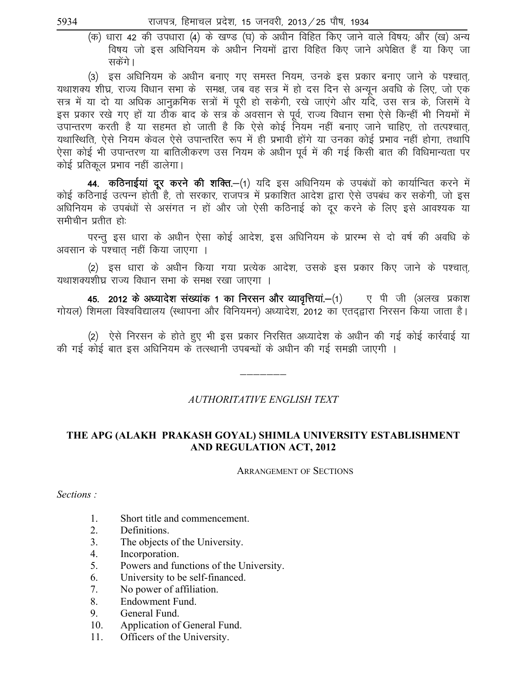(क) धारा 42 की उपधारा (4) के खण्ड (घ) के अधीन विहित किए जाने वाले विषय; और (ख) अन्य विषय जो इस अधिनियम के अधीन नियमों द्वारा विहित किए जाने अपेक्षित हैं या किए जा सकेंगे ।

(3) इस अधिनियम के अधीन बनाए गए समस्त नियम, उनके इस प्रकार बनाए जाने के पश्चात, यथाशक्य शीघ्र, राज्य विधान सभा के समक्ष, जब वह सत्र में हो दस दिन से अन्युन अवधि के लिए, जो एक सत्र में या दो या अधिक आनुक्रमिक सत्रों में पूरी हो सकेगी, रखे जाएंगे और यदि, उस सत्र के, जिसमें वे इस प्रकार रखे गए हों या ठीक बाद के सत्र के अवसान से पूर्व, राज्य विधान सभा ऐसे किन्हीं भी नियमों में उपान्तरण करती है या सहमत हो जाती है कि ऐसे कोई नियम नहीं बनाए जाने चाहिए, तो तत्पश्चात्, यथास्थिति, ऐसे नियम केवल ऐसे उपान्तरित रूप में ही प्रभावी होंगे या उनका कोई प्रभाव नहीं होगा, तथापि ऐसा कोई भी उपान्तरण या बातिलीकरण उस नियम के अधीन पर्व में की गई किसी बात की विधिमान्यता पर कोई प्रतिकूल प्रभाव नहीं डालेगा।

44. कठिनाईयां दूर करने की शक्ति.-(1) यदि इस अधिनियम के उपबंधों को कार्यान्वित करने में कोई कठिनाई उत्पन्न होती है, तो सरकार, राजपत्र में प्रकाशित आदेश द्वारा ऐसे उपबंध कर सकेगी, जो इस अधिनियम के उपबंधों से असंगत न हों और जो ऐसी कठिनाई को दूर करने के लिए इसे आवश्यक या समीचीन प्रतीत हो:

परन्तु इस धारा के अधीन ऐसा कोई आदेश, इस अधिनियम के प्रारम्भ से दो वर्ष की अवधि के अवसान के पश्चात नहीं किया जाएगा ।

(2) इस धारा के अधीन किया गया प्रत्येक आदेश, उसके इस प्रकार किए जाने के पश्चात, यथाशक्यशीघ्र राज्य विधान सभा के समक्ष रखा जाएगा ।

45. 2012 के अध्यादेश संख्यांक 1 का निरसन और व्यावृत्तियां.—(1) ए पी जी (अलख प्रकाश गोयल) शिमला विश्वविद्यालय (स्थापना और विनियमन) अध्यादेश, 2012 का एतद्द्वारा निरसन किया जाता है।

(2) ऐसे निरसन के होते हुए भी इस प्रकार निरसित अध्यादेश के अधीन की गई कोई कार्रवाई या की गई कोई बात इस अधिनियम के तत्स्थानी उपबन्धों के अधीन की गई समझी जाएगी ।

# AUTHORITATIVE ENGLISH TEXT

# THE APG (ALAKH PRAKASH GOYAL) SHIMLA UNIVERSITY ESTABLISHMENT **AND REGULATION ACT, 2012**

**ARRANGEMENT OF SECTIONS** 

Sections:

- $\mathbf{1}$ Short title and commencement.
- $2.$ Definitions.
- $3<sub>1</sub>$ The objects of the University.
- $\overline{4}$ . Incorporation.
- 5. Powers and functions of the University.
- 6. University to be self-financed.
- $7<sub>1</sub>$ No power of affiliation.
- Endowment Fund. 8.
- 9. General Fund.
- 10. Application of General Fund.
- Officers of the University. 11.

5934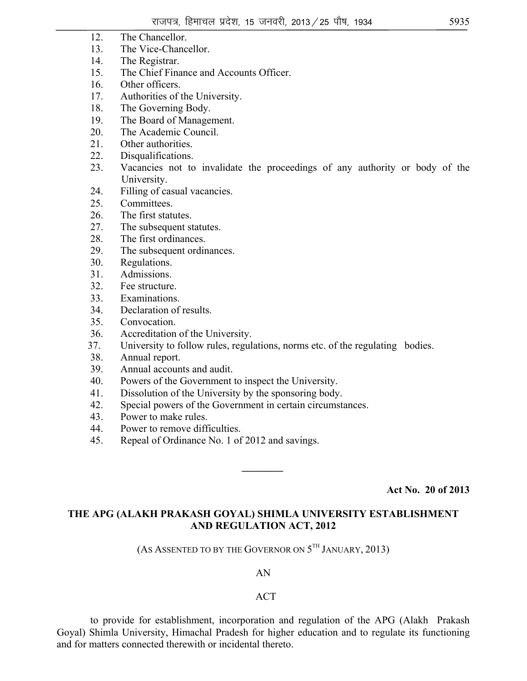- 12. The Chancellor.
- 13. The Vice-Chancellor.
- 14. The Registrar.
- 15. The Chief Finance and Accounts Officer.
- 16. Other officers.
- 17. Authorities of the University.
- 18. The Governing Body.
- 19. The Board of Management.
- 20. The Academic Council.
- 21. Other authorities.
- 22. Disqualifications.
- 23. Vacancies not to invalidate the proceedings of any authority or body of the University.
- 24. Filling of casual vacancies.
- 25. Committees.
- 26. The first statutes.
- 27. The subsequent statutes.
- 28. The first ordinances.
- 29. The subsequent ordinances.
- 30. Regulations.
- 31. Admissions.
- 32. Fee structure.
- 33. Examinations.
- 34. Declaration of results.
- 35. Convocation.
- 36. Accreditation of the University.
- 37. University to follow rules, regulations, norms etc. of the regulating bodies.
- 38. Annual report.
- 39. Annual accounts and audit.
- 40. Powers of the Government to inspect the University.
- 41. Dissolution of the University by the sponsoring body.
- 42. Special powers of the Government in certain circumstances.
- 43. Power to make rules.
- 44. Power to remove difficulties.
- 45. Repeal of Ordinance No. 1 of 2012 and savings.

**Act No. 20 of 2013** 

# **THE APG (ALAKH PRAKASH GOYAL) SHIMLA UNIVERSITY ESTABLISHMENT AND REGULATION ACT, 2012**

*\_\_\_\_\_\_\_\_* 

(AS ASSENTED TO BY THE GOVERNOR ON  $5^{TH}$  JANUARY, 2013)

AN

#### ACT

 to provide for establishment, incorporation and regulation of the APG (Alakh Prakash Goyal) Shimla University, Himachal Pradesh for higher education and to regulate its functioning and for matters connected therewith or incidental thereto.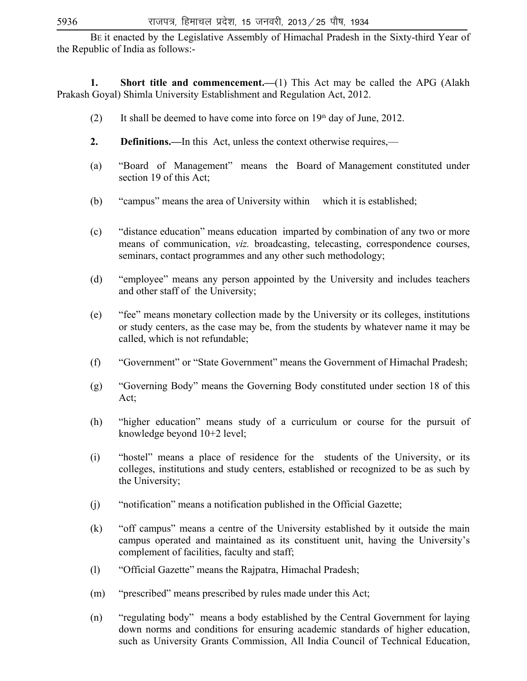BE it enacted by the Legislative Assembly of Himachal Pradesh in the Sixty-third Year of the Republic of India as follows:-

**1.** Short title and commencement.—(1) This Act may be called the APG (Alakh Prakash Goyal) Shimla University Establishment and Regulation Act, 2012.

- (2) It shall be deemed to have come into force on  $19<sup>th</sup>$  day of June, 2012.
- **2. Definitions.—**In this Act, unless the context otherwise requires,—
- (a) "Board of Management" means the Board of Management constituted under section 19 of this Act;
- (b) "campus" means the area of University within which it is established;
- (c) "distance education" means education imparted by combination of any two or more means of communication, *viz.* broadcasting, telecasting, correspondence courses, seminars, contact programmes and any other such methodology;
- (d) "employee" means any person appointed by the University and includes teachers and other staff of the University;
- (e) "fee" means monetary collection made by the University or its colleges, institutions or study centers, as the case may be, from the students by whatever name it may be called, which is not refundable;
- (f) "Government" or "State Government" means the Government of Himachal Pradesh;
- (g) "Governing Body" means the Governing Body constituted under section 18 of this Act;
- (h) "higher education" means study of a curriculum or course for the pursuit of knowledge beyond 10+2 level;
- (i) "hostel" means a place of residence for the students of the University, or its colleges, institutions and study centers, established or recognized to be as such by the University;
- (j) "notification" means a notification published in the Official Gazette;
- (k) "off campus" means a centre of the University established by it outside the main campus operated and maintained as its constituent unit, having the University's complement of facilities, faculty and staff;
- (l) "Official Gazette" means the Rajpatra, Himachal Pradesh;
- (m) "prescribed" means prescribed by rules made under this Act;
- (n) "regulating body" means a body established by the Central Government for laying down norms and conditions for ensuring academic standards of higher education, such as University Grants Commission, All India Council of Technical Education,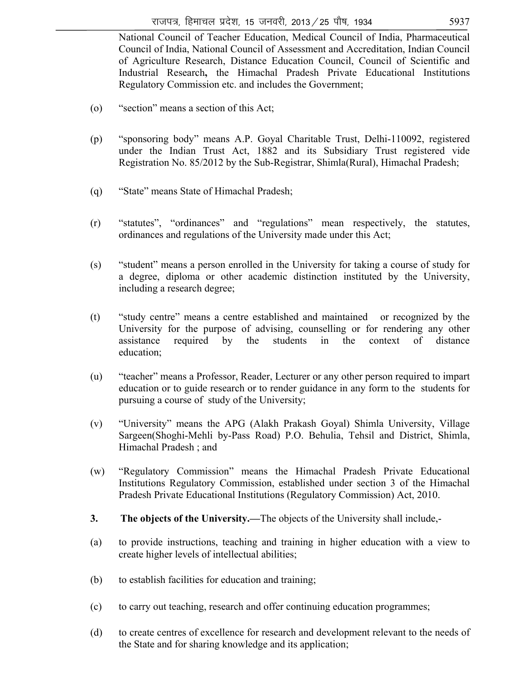National Council of Teacher Education, Medical Council of India, Pharmaceutical Council of India, National Council of Assessment and Accreditation, Indian Council of Agriculture Research, Distance Education Council, Council of Scientific and Industrial Research**,** the Himachal Pradesh Private Educational Institutions Regulatory Commission etc. and includes the Government;

- (o) "section" means a section of this Act;
- (p) "sponsoring body" means A.P. Goyal Charitable Trust, Delhi-110092, registered under the Indian Trust Act, 1882 and its Subsidiary Trust registered vide Registration No. 85/2012 by the Sub-Registrar, Shimla(Rural), Himachal Pradesh;
- (q) "State" means State of Himachal Pradesh;
- (r) "statutes", "ordinances" and "regulations" mean respectively, the statutes, ordinances and regulations of the University made under this Act;
- (s) "student" means a person enrolled in the University for taking a course of study for a degree, diploma or other academic distinction instituted by the University, including a research degree;
- (t) "study centre" means a centre established and maintained or recognized by the University for the purpose of advising, counselling or for rendering any other assistance required by the students in the context of distance education;
- (u) "teacher" means a Professor, Reader, Lecturer or any other person required to impart education or to guide research or to render guidance in any form to the students for pursuing a course of study of the University;
- (v) "University" means the APG (Alakh Prakash Goyal) Shimla University, Village Sargeen(Shoghi-Mehli by-Pass Road) P.O. Behulia, Tehsil and District, Shimla, Himachal Pradesh ; and
- (w) "Regulatory Commission" means the Himachal Pradesh Private Educational Institutions Regulatory Commission, established under section 3 of the Himachal Pradesh Private Educational Institutions (Regulatory Commission) Act, 2010.
- **3. The objects of the University.—**The objects of the University shall include,-
- (a) to provide instructions, teaching and training in higher education with a view to create higher levels of intellectual abilities;
- (b) to establish facilities for education and training;
- (c) to carry out teaching, research and offer continuing education programmes;
- (d) to create centres of excellence for research and development relevant to the needs of the State and for sharing knowledge and its application;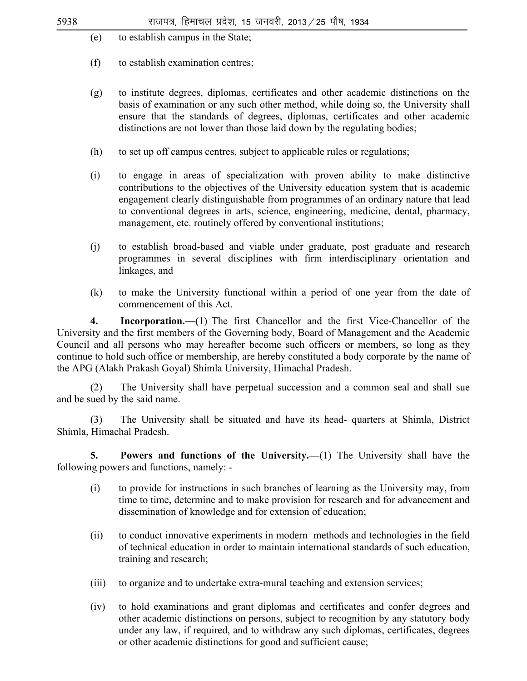- (e) to establish campus in the State;
- (f) to establish examination centres;
- (g) to institute degrees, diplomas, certificates and other academic distinctions on the basis of examination or any such other method, while doing so, the University shall ensure that the standards of degrees, diplomas, certificates and other academic distinctions are not lower than those laid down by the regulating bodies;
- (h) to set up off campus centres, subject to applicable rules or regulations;
- (i) to engage in areas of specialization with proven ability to make distinctive contributions to the objectives of the University education system that is academic engagement clearly distinguishable from programmes of an ordinary nature that lead to conventional degrees in arts, science, engineering, medicine, dental, pharmacy, management, etc. routinely offered by conventional institutions;
- (j) to establish broad-based and viable under graduate, post graduate and research programmes in several disciplines with firm interdisciplinary orientation and linkages, and
- (k) to make the University functional within a period of one year from the date of commencement of this Act.

**4. Incorporation.—(**1) The first Chancellor and the first Vice-Chancellor of the University and the first members of the Governing body, Board of Management and the Academic Council and all persons who may hereafter become such officers or members, so long as they continue to hold such office or membership, are hereby constituted a body corporate by the name of the APG (Alakh Prakash Goyal) Shimla University, Himachal Pradesh.

 (2) The University shall have perpetual succession and a common seal and shall sue and be sued by the said name.

 (3) The University shall be situated and have its head- quarters at Shimla, District Shimla, Himachal Pradesh.

 **5. Powers and functions of the University.—**(1) The University shall have the following powers and functions, namely: -

- (i) to provide for instructions in such branches of learning as the University may, from time to time, determine and to make provision for research and for advancement and dissemination of knowledge and for extension of education;
- (ii) to conduct innovative experiments in modern methods and technologies in the field of technical education in order to maintain international standards of such education, training and research;
- (iii) to organize and to undertake extra-mural teaching and extension services;
- (iv) to hold examinations and grant diplomas and certificates and confer degrees and other academic distinctions on persons, subject to recognition by any statutory body under any law, if required, and to withdraw any such diplomas, certificates, degrees or other academic distinctions for good and sufficient cause;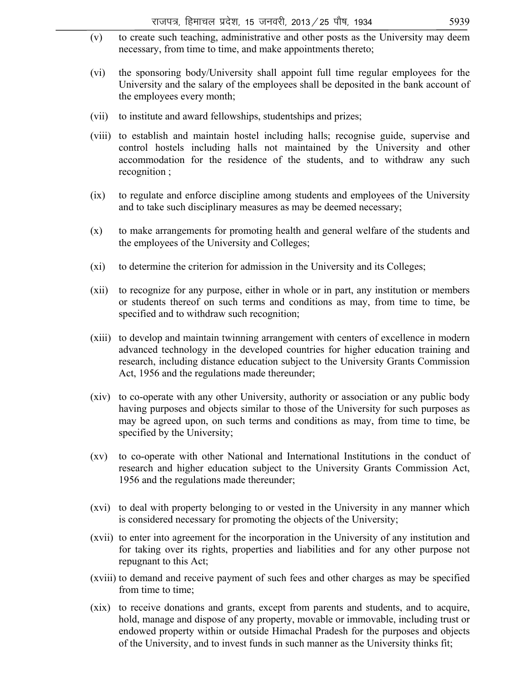- (v) to create such teaching, administrative and other posts as the University may deem necessary, from time to time, and make appointments thereto;
- (vi) the sponsoring body/University shall appoint full time regular employees for the University and the salary of the employees shall be deposited in the bank account of the employees every month;
- (vii) to institute and award fellowships, studentships and prizes;
- (viii) to establish and maintain hostel including halls; recognise guide, supervise and control hostels including halls not maintained by the University and other accommodation for the residence of the students, and to withdraw any such recognition ;
- (ix) to regulate and enforce discipline among students and employees of the University and to take such disciplinary measures as may be deemed necessary;
- (x) to make arrangements for promoting health and general welfare of the students and the employees of the University and Colleges;
- (xi) to determine the criterion for admission in the University and its Colleges;
- (xii) to recognize for any purpose, either in whole or in part, any institution or members or students thereof on such terms and conditions as may, from time to time, be specified and to withdraw such recognition;
- (xiii) to develop and maintain twinning arrangement with centers of excellence in modern advanced technology in the developed countries for higher education training and research, including distance education subject to the University Grants Commission Act, 1956 and the regulations made thereunder;
- (xiv) to co-operate with any other University, authority or association or any public body having purposes and objects similar to those of the University for such purposes as may be agreed upon, on such terms and conditions as may, from time to time, be specified by the University;
- (xv) to co-operate with other National and International Institutions in the conduct of research and higher education subject to the University Grants Commission Act, 1956 and the regulations made thereunder;
- (xvi) to deal with property belonging to or vested in the University in any manner which is considered necessary for promoting the objects of the University;
- (xvii) to enter into agreement for the incorporation in the University of any institution and for taking over its rights, properties and liabilities and for any other purpose not repugnant to this Act;
- (xviii) to demand and receive payment of such fees and other charges as may be specified from time to time;
- (xix) to receive donations and grants, except from parents and students, and to acquire, hold, manage and dispose of any property, movable or immovable, including trust or endowed property within or outside Himachal Pradesh for the purposes and objects of the University, and to invest funds in such manner as the University thinks fit;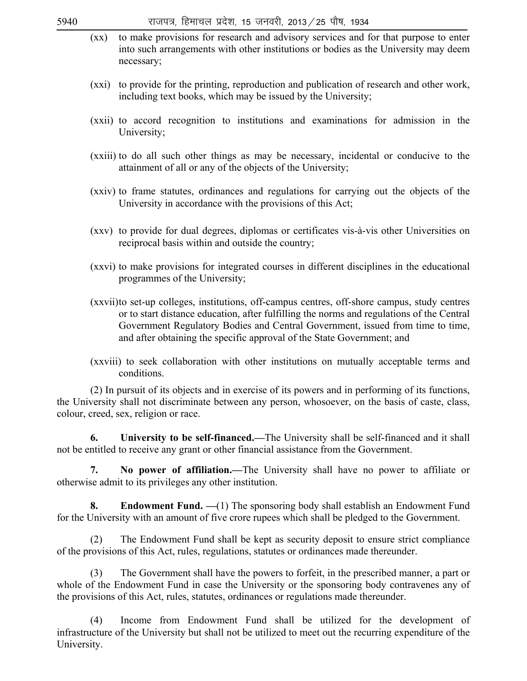- (xx) to make provisions for research and advisory services and for that purpose to enter into such arrangements with other institutions or bodies as the University may deem necessary;
- (xxi) to provide for the printing, reproduction and publication of research and other work, including text books, which may be issued by the University;
- (xxii) to accord recognition to institutions and examinations for admission in the University;
- (xxiii) to do all such other things as may be necessary, incidental or conducive to the attainment of all or any of the objects of the University;
- (xxiv) to frame statutes, ordinances and regulations for carrying out the objects of the University in accordance with the provisions of this Act;
- (xxv) to provide for dual degrees, diplomas or certificates vis-à-vis other Universities on reciprocal basis within and outside the country;
- (xxvi) to make provisions for integrated courses in different disciplines in the educational programmes of the University;
- (xxvii) to set-up colleges, institutions, off-campus centres, off-shore campus, study centres or to start distance education, after fulfilling the norms and regulations of the Central Government Regulatory Bodies and Central Government, issued from time to time, and after obtaining the specific approval of the State Government; and
- (xxviii) to seek collaboration with other institutions on mutually acceptable terms and conditions.

 (2) In pursuit of its objects and in exercise of its powers and in performing of its functions, the University shall not discriminate between any person, whosoever, on the basis of caste, class, colour, creed, sex, religion or race.

 **6. University to be self-financed.—**The University shall be self-financed and it shall not be entitled to receive any grant or other financial assistance from the Government.

 **7. No power of affiliation.—**The University shall have no power to affiliate or otherwise admit to its privileges any other institution.

 **8. Endowment Fund. —**(1) The sponsoring body shall establish an Endowment Fund for the University with an amount of five crore rupees which shall be pledged to the Government.

 (2) The Endowment Fund shall be kept as security deposit to ensure strict compliance of the provisions of this Act, rules, regulations, statutes or ordinances made thereunder.

 (3) The Government shall have the powers to forfeit, in the prescribed manner, a part or whole of the Endowment Fund in case the University or the sponsoring body contravenes any of the provisions of this Act, rules, statutes, ordinances or regulations made thereunder.

 (4) Income from Endowment Fund shall be utilized for the development of infrastructure of the University but shall not be utilized to meet out the recurring expenditure of the University.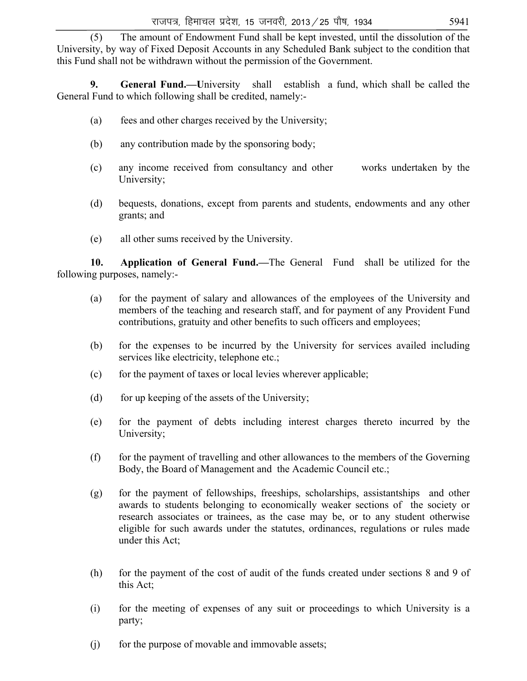(5) The amount of Endowment Fund shall be kept invested, until the dissolution of the University, by way of Fixed Deposit Accounts in any Scheduled Bank subject to the condition that this Fund shall not be withdrawn without the permission of the Government.

 **9. General Fund.—U**niversity shall establish a fund, which shall be called the General Fund to which following shall be credited, namely:-

- (a) fees and other charges received by the University;
- (b) any contribution made by the sponsoring body;
- (c) any income received from consultancy and other works undertaken by the University;
- (d) bequests, donations, except from parents and students, endowments and any other grants; and
- (e) all other sums received by the University.

 **10. Application of General Fund.—**The General Fund shall be utilized for the following purposes, namely:-

- (a) for the payment of salary and allowances of the employees of the University and members of the teaching and research staff, and for payment of any Provident Fund contributions, gratuity and other benefits to such officers and employees;
- (b) for the expenses to be incurred by the University for services availed including services like electricity, telephone etc.;
- (c) for the payment of taxes or local levies wherever applicable;
- (d) for up keeping of the assets of the University;
- (e) for the payment of debts including interest charges thereto incurred by the University;
- (f) for the payment of travelling and other allowances to the members of the Governing Body, the Board of Management and the Academic Council etc.;
- (g) for the payment of fellowships, freeships, scholarships, assistantships and other awards to students belonging to economically weaker sections of the society or research associates or trainees, as the case may be, or to any student otherwise eligible for such awards under the statutes, ordinances, regulations or rules made under this Act;
- (h) for the payment of the cost of audit of the funds created under sections 8 and 9 of this Act;
- (i) for the meeting of expenses of any suit or proceedings to which University is a party;
- (i) for the purpose of movable and immovable assets;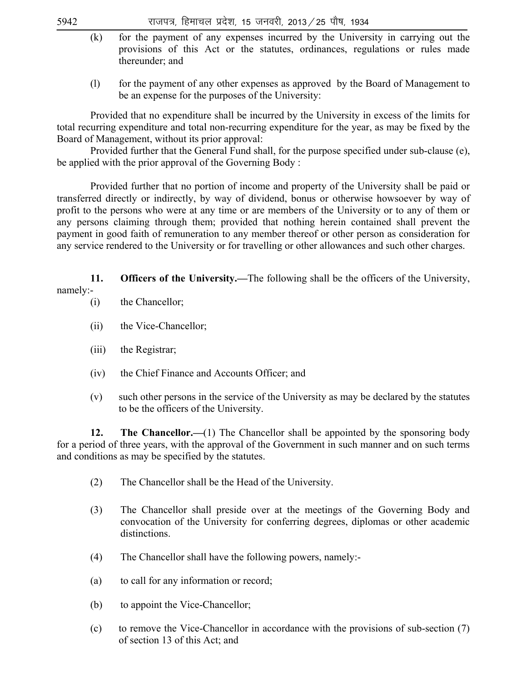- (k) for the payment of any expenses incurred by the University in carrying out the provisions of this Act or the statutes, ordinances, regulations or rules made thereunder; and
- (l) for the payment of any other expenses as approved by the Board of Management to be an expense for the purposes of the University:

 Provided that no expenditure shall be incurred by the University in excess of the limits for total recurring expenditure and total non-recurring expenditure for the year, as may be fixed by the Board of Management, without its prior approval:

 Provided further that the General Fund shall, for the purpose specified under sub-clause (e), be applied with the prior approval of the Governing Body :

 Provided further that no portion of income and property of the University shall be paid or transferred directly or indirectly, by way of dividend, bonus or otherwise howsoever by way of profit to the persons who were at any time or are members of the University or to any of them or any persons claiming through them; provided that nothing herein contained shall prevent the payment in good faith of remuneration to any member thereof or other person as consideration for any service rendered to the University or for travelling or other allowances and such other charges.

 **11. Officers of the University.—**The following shall be the officers of the University, namely:-

- (i) the Chancellor;
- (ii) the Vice-Chancellor;
- (iii) the Registrar;
- (iv) the Chief Finance and Accounts Officer; and
- (v) such other persons in the service of the University as may be declared by the statutes to be the officers of the University.

**12.** The Chancellor.—(1) The Chancellor shall be appointed by the sponsoring body for a period of three years, with the approval of the Government in such manner and on such terms and conditions as may be specified by the statutes.

- (2) The Chancellor shall be the Head of the University.
- (3) The Chancellor shall preside over at the meetings of the Governing Body and convocation of the University for conferring degrees, diplomas or other academic distinctions.
- (4) The Chancellor shall have the following powers, namely:-
- (a) to call for any information or record;
- (b) to appoint the Vice-Chancellor;
- (c) to remove the Vice-Chancellor in accordance with the provisions of sub-section (7) of section 13 of this Act; and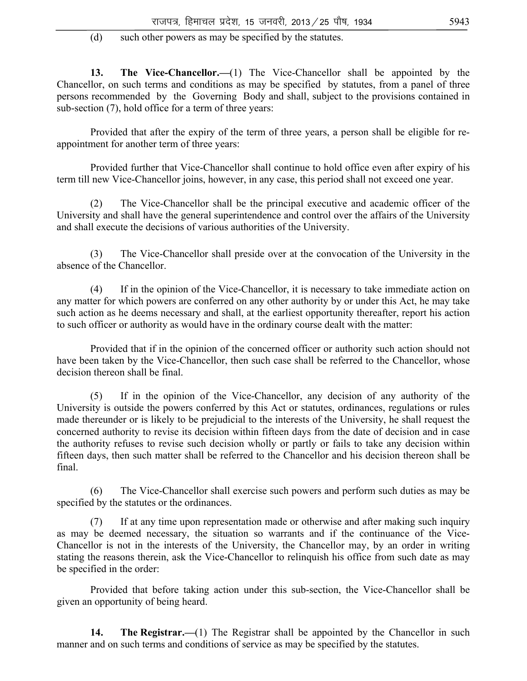(d) such other powers as may be specified by the statutes.

**13.** The Vice-Chancellor.—(1) The Vice-Chancellor shall be appointed by the Chancellor, on such terms and conditions as may be specified by statutes, from a panel of three persons recommended by the Governing Body and shall, subject to the provisions contained in sub-section (7), hold office for a term of three years:

 Provided that after the expiry of the term of three years, a person shall be eligible for reappointment for another term of three years:

 Provided further that Vice-Chancellor shall continue to hold office even after expiry of his term till new Vice-Chancellor joins, however, in any case, this period shall not exceed one year.

 (2) The Vice-Chancellor shall be the principal executive and academic officer of the University and shall have the general superintendence and control over the affairs of the University and shall execute the decisions of various authorities of the University.

 (3) The Vice-Chancellor shall preside over at the convocation of the University in the absence of the Chancellor.

 (4) If in the opinion of the Vice-Chancellor, it is necessary to take immediate action on any matter for which powers are conferred on any other authority by or under this Act, he may take such action as he deems necessary and shall, at the earliest opportunity thereafter, report his action to such officer or authority as would have in the ordinary course dealt with the matter:

 Provided that if in the opinion of the concerned officer or authority such action should not have been taken by the Vice-Chancellor, then such case shall be referred to the Chancellor, whose decision thereon shall be final.

 (5) If in the opinion of the Vice-Chancellor, any decision of any authority of the University is outside the powers conferred by this Act or statutes, ordinances, regulations or rules made thereunder or is likely to be prejudicial to the interests of the University, he shall request the concerned authority to revise its decision within fifteen days from the date of decision and in case the authority refuses to revise such decision wholly or partly or fails to take any decision within fifteen days, then such matter shall be referred to the Chancellor and his decision thereon shall be final.

 (6) The Vice-Chancellor shall exercise such powers and perform such duties as may be specified by the statutes or the ordinances.

If at any time upon representation made or otherwise and after making such inquiry as may be deemed necessary, the situation so warrants and if the continuance of the Vice-Chancellor is not in the interests of the University, the Chancellor may, by an order in writing stating the reasons therein, ask the Vice-Chancellor to relinquish his office from such date as may be specified in the order:

 Provided that before taking action under this sub-section, the Vice-Chancellor shall be given an opportunity of being heard.

**14.** The Registrar.—(1) The Registrar shall be appointed by the Chancellor in such manner and on such terms and conditions of service as may be specified by the statutes.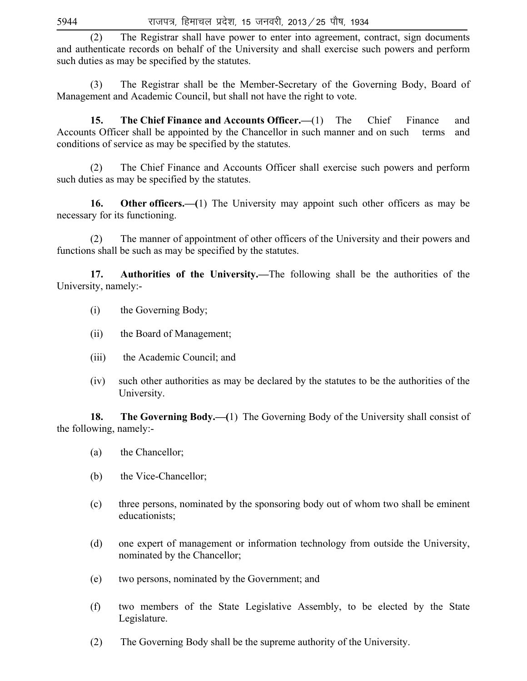(2) The Registrar shall have power to enter into agreement, contract, sign documents and authenticate records on behalf of the University and shall exercise such powers and perform such duties as may be specified by the statutes.

 (3) The Registrar shall be the Member-Secretary of the Governing Body, Board of Management and Academic Council, but shall not have the right to vote.

 **15. The Chief Finance and Accounts Officer.—**(1) The Chief Finance and Accounts Officer shall be appointed by the Chancellor in such manner and on such terms and conditions of service as may be specified by the statutes.

 (2) The Chief Finance and Accounts Officer shall exercise such powers and perform such duties as may be specified by the statutes.

**16. Other officers.—(**1) The University may appoint such other officers as may be necessary for its functioning.

 (2) The manner of appointment of other officers of the University and their powers and functions shall be such as may be specified by the statutes.

 **17. Authorities of the University.—**The following shall be the authorities of the University, namely:-

- (i) the Governing Body;
- (ii) the Board of Management;
- (iii) the Academic Council; and
- (iv) such other authorities as may be declared by the statutes to be the authorities of the University.

**18. The Governing Body.—(**1) The Governing Body of the University shall consist of the following, namely:-

- (a) the Chancellor;
- (b) the Vice-Chancellor;
- (c) three persons, nominated by the sponsoring body out of whom two shall be eminent educationists;
- (d) one expert of management or information technology from outside the University, nominated by the Chancellor;
- (e) two persons, nominated by the Government; and
- (f) two members of the State Legislative Assembly, to be elected by the State Legislature.
- (2) The Governing Body shall be the supreme authority of the University.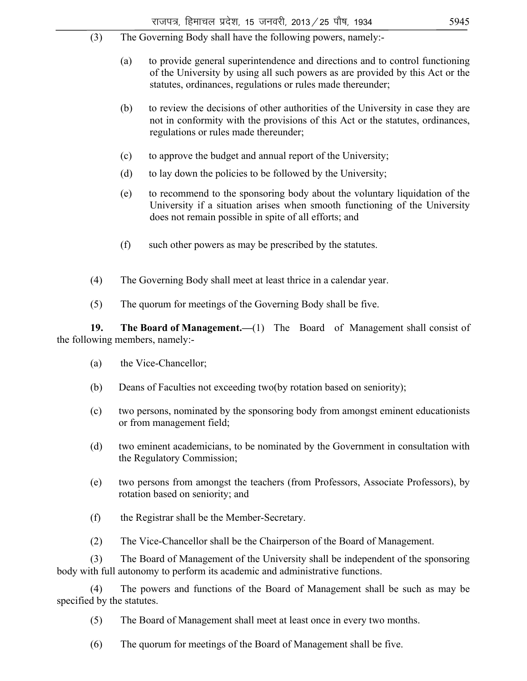- (3) The Governing Body shall have the following powers, namely:-
	- (a) to provide general superintendence and directions and to control functioning of the University by using all such powers as are provided by this Act or the statutes, ordinances, regulations or rules made thereunder;
	- (b) to review the decisions of other authorities of the University in case they are not in conformity with the provisions of this Act or the statutes, ordinances, regulations or rules made thereunder;
	- (c) to approve the budget and annual report of the University;
	- (d) to lay down the policies to be followed by the University;
	- (e) to recommend to the sponsoring body about the voluntary liquidation of the University if a situation arises when smooth functioning of the University does not remain possible in spite of all efforts; and
	- (f) such other powers as may be prescribed by the statutes.
- (4) The Governing Body shall meet at least thrice in a calendar year.
- (5) The quorum for meetings of the Governing Body shall be five.

 **19. The Board of Management.—**(1) The Board of Management shall consist of the following members, namely:-

- (a) the Vice-Chancellor;
- (b) Deans of Faculties not exceeding two(by rotation based on seniority);
- (c) two persons, nominated by the sponsoring body from amongst eminent educationists or from management field;
- (d) two eminent academicians, to be nominated by the Government in consultation with the Regulatory Commission;
- (e) two persons from amongst the teachers (from Professors, Associate Professors), by rotation based on seniority; and
- (f) the Registrar shall be the Member-Secretary.
- (2) The Vice-Chancellor shall be the Chairperson of the Board of Management.

 (3) The Board of Management of the University shall be independent of the sponsoring body with full autonomy to perform its academic and administrative functions.

 (4) The powers and functions of the Board of Management shall be such as may be specified by the statutes.

- (5) The Board of Management shall meet at least once in every two months.
- (6) The quorum for meetings of the Board of Management shall be five.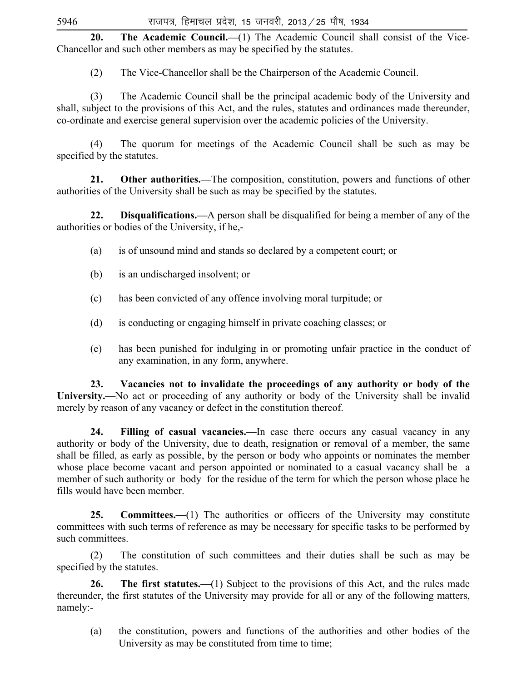20. The Academic Council.—(1) The Academic Council shall consist of the Vice-Chancellor and such other members as may be specified by the statutes.

(2) The Vice-Chancellor shall be the Chairperson of the Academic Council.

 (3) The Academic Council shall be the principal academic body of the University and shall, subject to the provisions of this Act, and the rules, statutes and ordinances made thereunder, co-ordinate and exercise general supervision over the academic policies of the University.

 (4) The quorum for meetings of the Academic Council shall be such as may be specified by the statutes.

 **21. Other authorities.—**The composition, constitution, powers and functions of other authorities of the University shall be such as may be specified by the statutes.

 **22. Disqualifications.—**A person shall be disqualified for being a member of any of the authorities or bodies of the University, if he,-

- (a) is of unsound mind and stands so declared by a competent court; or
- (b) is an undischarged insolvent; or
- (c) has been convicted of any offence involving moral turpitude; or
- (d) is conducting or engaging himself in private coaching classes; or
- (e) has been punished for indulging in or promoting unfair practice in the conduct of any examination, in any form, anywhere.

 **23. Vacancies not to invalidate the proceedings of any authority or body of the University.—**No act or proceeding of any authority or body of the University shall be invalid merely by reason of any vacancy or defect in the constitution thereof.

 **24. Filling of casual vacancies.—**In case there occurs any casual vacancy in any authority or body of the University, due to death, resignation or removal of a member, the same shall be filled, as early as possible, by the person or body who appoints or nominates the member whose place become vacant and person appointed or nominated to a casual vacancy shall be a member of such authority or body for the residue of the term for which the person whose place he fills would have been member.

25. **Committees.**—(1) The authorities or officers of the University may constitute committees with such terms of reference as may be necessary for specific tasks to be performed by such committees.

 (2) The constitution of such committees and their duties shall be such as may be specified by the statutes.

**26.** The first statutes.—(1) Subject to the provisions of this Act, and the rules made thereunder, the first statutes of the University may provide for all or any of the following matters, namely:-

 (a) the constitution, powers and functions of the authorities and other bodies of the University as may be constituted from time to time;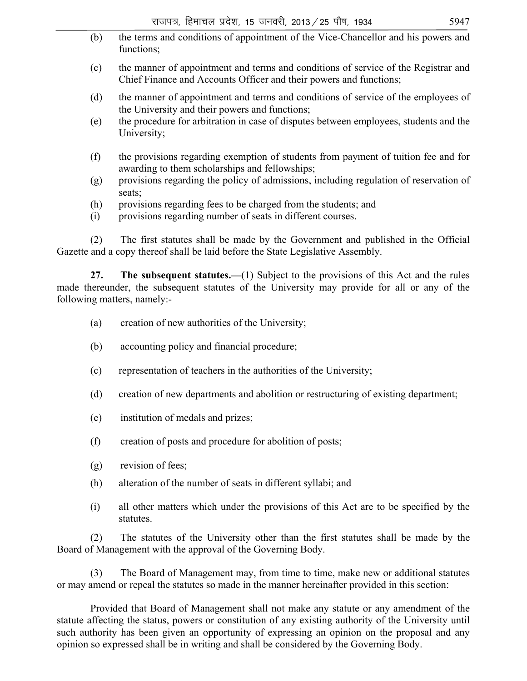- राजपत्र, हिमाचल प्रदेश, 15 जनवरी, 2013 / 25 पौष, 1934  $\,$  (b) the terms and conditions of appointment of the Vice-Chancellor and his powers and functions; (c) the manner of appointment and terms and conditions of service of the Registrar and Chief Finance and Accounts Officer and their powers and functions; (d) the manner of appointment and terms and conditions of service of the employees of the University and their powers and functions; (e) the procedure for arbitration in case of disputes between employees, students and the University; (f) the provisions regarding exemption of students from payment of tuition fee and for awarding to them scholarships and fellowships; (g) provisions regarding the policy of admissions, including regulation of reservation of seats; (h) provisions regarding fees to be charged from the students; and (i) provisions regarding number of seats in different courses. (2) The first statutes shall be made by the Government and published in the Official Gazette and a copy thereof shall be laid before the State Legislative Assembly. **27.** The subsequent statutes.—(1) Subject to the provisions of this Act and the rules made thereunder, the subsequent statutes of the University may provide for all or any of the following matters, namely:- (a) creation of new authorities of the University; (b) accounting policy and financial procedure; (c) representation of teachers in the authorities of the University; (d) creation of new departments and abolition or restructuring of existing department; (e) institution of medals and prizes; (f) creation of posts and procedure for abolition of posts; (g) revision of fees;
	- (h) alteration of the number of seats in different syllabi; and
	- (i) all other matters which under the provisions of this Act are to be specified by the statutes.

 (2) The statutes of the University other than the first statutes shall be made by the Board of Management with the approval of the Governing Body.

 (3) The Board of Management may, from time to time, make new or additional statutes or may amend or repeal the statutes so made in the manner hereinafter provided in this section:

 Provided that Board of Management shall not make any statute or any amendment of the statute affecting the status, powers or constitution of any existing authority of the University until such authority has been given an opportunity of expressing an opinion on the proposal and any opinion so expressed shall be in writing and shall be considered by the Governing Body.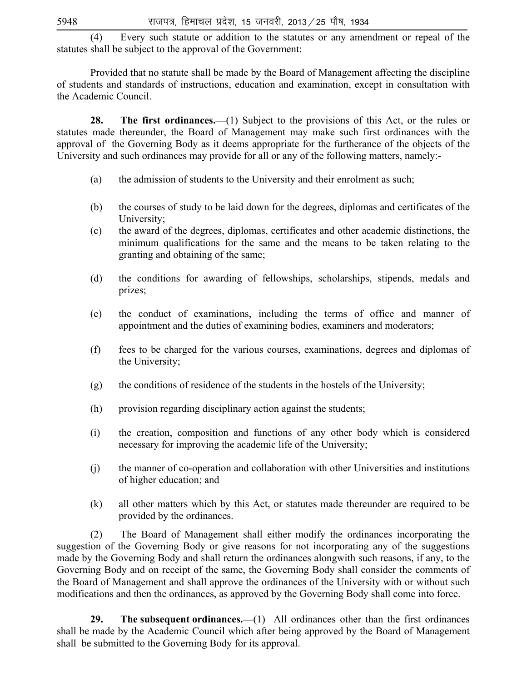(4) Every such statute or addition to the statutes or any amendment or repeal of the statutes shall be subject to the approval of the Government:

 Provided that no statute shall be made by the Board of Management affecting the discipline of students and standards of instructions, education and examination, except in consultation with the Academic Council.

**28.** The first ordinances.—(1) Subject to the provisions of this Act, or the rules or statutes made thereunder, the Board of Management may make such first ordinances with the approval of the Governing Body as it deems appropriate for the furtherance of the objects of the University and such ordinances may provide for all or any of the following matters, namely:-

- (a) the admission of students to the University and their enrolment as such;
- (b) the courses of study to be laid down for the degrees, diplomas and certificates of the University;
- (c) the award of the degrees, diplomas, certificates and other academic distinctions, the minimum qualifications for the same and the means to be taken relating to the granting and obtaining of the same;
- (d) the conditions for awarding of fellowships, scholarships, stipends, medals and prizes;
- (e) the conduct of examinations, including the terms of office and manner of appointment and the duties of examining bodies, examiners and moderators;
- (f) fees to be charged for the various courses, examinations, degrees and diplomas of the University;
- (g) the conditions of residence of the students in the hostels of the University;
- (h) provision regarding disciplinary action against the students;
- (i) the creation, composition and functions of any other body which is considered necessary for improving the academic life of the University;
- (j) the manner of co-operation and collaboration with other Universities and institutions of higher education; and
- (k) all other matters which by this Act, or statutes made thereunder are required to be provided by the ordinances.

 (2) The Board of Management shall either modify the ordinances incorporating the suggestion of the Governing Body or give reasons for not incorporating any of the suggestions made by the Governing Body and shall return the ordinances alongwith such reasons, if any, to the Governing Body and on receipt of the same, the Governing Body shall consider the comments of the Board of Management and shall approve the ordinances of the University with or without such modifications and then the ordinances, as approved by the Governing Body shall come into force.

 **29. The subsequent ordinances.—**(1) All ordinances other than the first ordinances shall be made by the Academic Council which after being approved by the Board of Management shall be submitted to the Governing Body for its approval.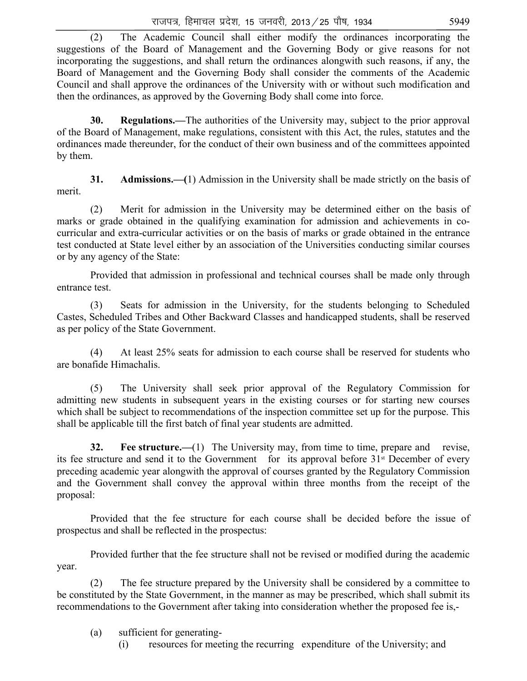(2) The Academic Council shall either modify the ordinances incorporating the suggestions of the Board of Management and the Governing Body or give reasons for not incorporating the suggestions, and shall return the ordinances alongwith such reasons, if any, the Board of Management and the Governing Body shall consider the comments of the Academic Council and shall approve the ordinances of the University with or without such modification and then the ordinances, as approved by the Governing Body shall come into force.

 **30. Regulations.—**The authorities of the University may, subject to the prior approval of the Board of Management, make regulations, consistent with this Act, the rules, statutes and the ordinances made thereunder, for the conduct of their own business and of the committees appointed by them.

 **31. Admissions.—(**1) Admission in the University shall be made strictly on the basis of merit.

 (2) Merit for admission in the University may be determined either on the basis of marks or grade obtained in the qualifying examination for admission and achievements in cocurricular and extra-curricular activities or on the basis of marks or grade obtained in the entrance test conducted at State level either by an association of the Universities conducting similar courses or by any agency of the State:

 Provided that admission in professional and technical courses shall be made only through entrance test.

 (3) Seats for admission in the University, for the students belonging to Scheduled Castes, Scheduled Tribes and Other Backward Classes and handicapped students, shall be reserved as per policy of the State Government.

 (4) At least 25% seats for admission to each course shall be reserved for students who are bonafide Himachalis.

 (5) The University shall seek prior approval of the Regulatory Commission for admitting new students in subsequent years in the existing courses or for starting new courses which shall be subject to recommendations of the inspection committee set up for the purpose. This shall be applicable till the first batch of final year students are admitted.

**32.** Fee structure.—(1) The University may, from time to time, prepare and revise, its fee structure and send it to the Government for its approval before  $31<sup>st</sup>$  December of every preceding academic year alongwith the approval of courses granted by the Regulatory Commission and the Government shall convey the approval within three months from the receipt of the proposal:

 Provided that the fee structure for each course shall be decided before the issue of prospectus and shall be reflected in the prospectus:

 Provided further that the fee structure shall not be revised or modified during the academic year.

 (2) The fee structure prepared by the University shall be considered by a committee to be constituted by the State Government, in the manner as may be prescribed, which shall submit its recommendations to the Government after taking into consideration whether the proposed fee is,-

- (a) sufficient for generating-
	- (i) resources for meeting the recurring expenditure of the University; and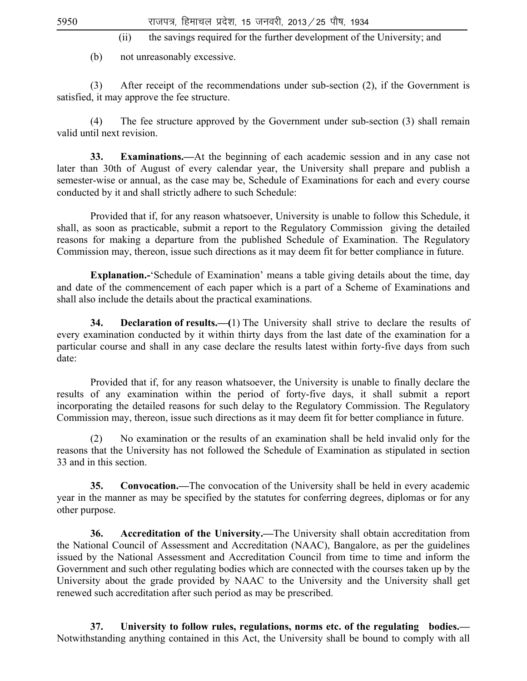(ii) the savings required for the further development of the University; and

(b) not unreasonably excessive.

 (3) After receipt of the recommendations under sub-section (2), if the Government is satisfied, it may approve the fee structure.

 (4) The fee structure approved by the Government under sub-section (3) shall remain valid until next revision.

**33. Examinations.—**At the beginning of each academic session and in any case not later than 30th of August of every calendar year, the University shall prepare and publish a semester-wise or annual, as the case may be, Schedule of Examinations for each and every course conducted by it and shall strictly adhere to such Schedule:

 Provided that if, for any reason whatsoever, University is unable to follow this Schedule, it shall, as soon as practicable, submit a report to the Regulatory Commission giving the detailed reasons for making a departure from the published Schedule of Examination. The Regulatory Commission may, thereon, issue such directions as it may deem fit for better compliance in future.

 **Explanation.-**'Schedule of Examination' means a table giving details about the time, day and date of the commencement of each paper which is a part of a Scheme of Examinations and shall also include the details about the practical examinations.

 **34. Declaration of results.—(**1) The University shall strive to declare the results of every examination conducted by it within thirty days from the last date of the examination for a particular course and shall in any case declare the results latest within forty-five days from such date:

 Provided that if, for any reason whatsoever, the University is unable to finally declare the results of any examination within the period of forty-five days, it shall submit a report incorporating the detailed reasons for such delay to the Regulatory Commission. The Regulatory Commission may, thereon, issue such directions as it may deem fit for better compliance in future.

 (2) No examination or the results of an examination shall be held invalid only for the reasons that the University has not followed the Schedule of Examination as stipulated in section 33 and in this section.

**35. Convocation.—The convocation of the University shall be held in every academic** year in the manner as may be specified by the statutes for conferring degrees, diplomas or for any other purpose.

 **36. Accreditation of the University.—**The University shall obtain accreditation from the National Council of Assessment and Accreditation (NAAC), Bangalore, as per the guidelines issued by the National Assessment and Accreditation Council from time to time and inform the Government and such other regulating bodies which are connected with the courses taken up by the University about the grade provided by NAAC to the University and the University shall get renewed such accreditation after such period as may be prescribed.

 **37. University to follow rules, regulations, norms etc. of the regulating bodies.—** Notwithstanding anything contained in this Act, the University shall be bound to comply with all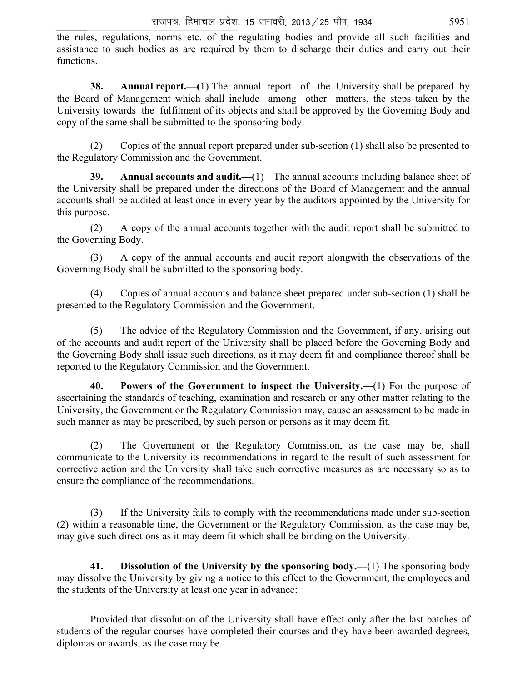the rules, regulations, norms etc. of the regulating bodies and provide all such facilities and assistance to such bodies as are required by them to discharge their duties and carry out their functions.

**38. Annual report.—(**1) The annual report of the University shall be prepared by the Board of Management which shall include among other matters, the steps taken by the University towards the fulfilment of its objects and shall be approved by the Governing Body and copy of the same shall be submitted to the sponsoring body.

 (2) Copies of the annual report prepared under sub-section (1) shall also be presented to the Regulatory Commission and the Government.

**39.** Annual accounts and audit.—(1) The annual accounts including balance sheet of the University shall be prepared under the directions of the Board of Management and the annual accounts shall be audited at least once in every year by the auditors appointed by the University for this purpose.

 (2) A copy of the annual accounts together with the audit report shall be submitted to the Governing Body.

 (3) A copy of the annual accounts and audit report alongwith the observations of the Governing Body shall be submitted to the sponsoring body.

 (4) Copies of annual accounts and balance sheet prepared under sub-section (1) shall be presented to the Regulatory Commission and the Government.

 (5) The advice of the Regulatory Commission and the Government, if any, arising out of the accounts and audit report of the University shall be placed before the Governing Body and the Governing Body shall issue such directions, as it may deem fit and compliance thereof shall be reported to the Regulatory Commission and the Government.

 **40. Powers of the Government to inspect the University.—**(1) For the purpose of ascertaining the standards of teaching, examination and research or any other matter relating to the University, the Government or the Regulatory Commission may, cause an assessment to be made in such manner as may be prescribed, by such person or persons as it may deem fit.

 (2) The Government or the Regulatory Commission, as the case may be, shall communicate to the University its recommendations in regard to the result of such assessment for corrective action and the University shall take such corrective measures as are necessary so as to ensure the compliance of the recommendations.

 (3) If the University fails to comply with the recommendations made under sub-section (2) within a reasonable time, the Government or the Regulatory Commission, as the case may be, may give such directions as it may deem fit which shall be binding on the University.

 **41. Dissolution of the University by the sponsoring body.—**(1) The sponsoring body may dissolve the University by giving a notice to this effect to the Government, the employees and the students of the University at least one year in advance:

 Provided that dissolution of the University shall have effect only after the last batches of students of the regular courses have completed their courses and they have been awarded degrees, diplomas or awards, as the case may be.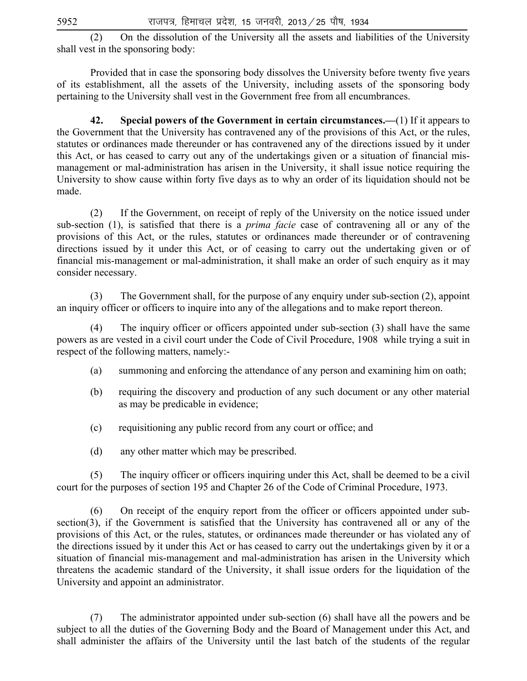(2) On the dissolution of the University all the assets and liabilities of the University shall vest in the sponsoring body:

 Provided that in case the sponsoring body dissolves the University before twenty five years of its establishment, all the assets of the University, including assets of the sponsoring body pertaining to the University shall vest in the Government free from all encumbrances.

 **42. Special powers of the Government in certain circumstances.—**(1) If it appears to the Government that the University has contravened any of the provisions of this Act, or the rules, statutes or ordinances made thereunder or has contravened any of the directions issued by it under this Act, or has ceased to carry out any of the undertakings given or a situation of financial mismanagement or mal-administration has arisen in the University, it shall issue notice requiring the University to show cause within forty five days as to why an order of its liquidation should not be made.

(2) If the Government, on receipt of reply of the University on the notice issued under sub-section (1), is satisfied that there is a *prima facie* case of contravening all or any of the provisions of this Act, or the rules, statutes or ordinances made thereunder or of contravening directions issued by it under this Act, or of ceasing to carry out the undertaking given or of financial mis-management or mal-administration, it shall make an order of such enquiry as it may consider necessary.

 (3) The Government shall, for the purpose of any enquiry under sub-section (2), appoint an inquiry officer or officers to inquire into any of the allegations and to make report thereon.

(4) The inquiry officer or officers appointed under sub-section (3) shall have the same powers as are vested in a civil court under the Code of Civil Procedure, 1908 while trying a suit in respect of the following matters, namely:-

- (a) summoning and enforcing the attendance of any person and examining him on oath;
- (b) requiring the discovery and production of any such document or any other material as may be predicable in evidence;
- (c) requisitioning any public record from any court or office; and
- (d) any other matter which may be prescribed.

(5) The inquiry officer or officers inquiring under this Act, shall be deemed to be a civil court for the purposes of section 195 and Chapter 26 of the Code of Criminal Procedure, 1973.

(6) On receipt of the enquiry report from the officer or officers appointed under subsection(3), if the Government is satisfied that the University has contravened all or any of the provisions of this Act, or the rules, statutes, or ordinances made thereunder or has violated any of the directions issued by it under this Act or has ceased to carry out the undertakings given by it or a situation of financial mis-management and mal-administration has arisen in the University which threatens the academic standard of the University, it shall issue orders for the liquidation of the University and appoint an administrator.

 (7) The administrator appointed under sub-section (6) shall have all the powers and be subject to all the duties of the Governing Body and the Board of Management under this Act, and shall administer the affairs of the University until the last batch of the students of the regular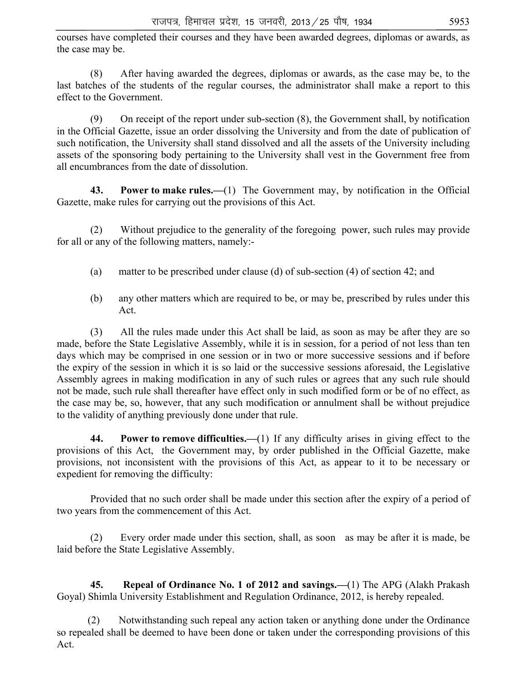courses have completed their courses and they have been awarded degrees, diplomas or awards, as the case may be.

 (8) After having awarded the degrees, diplomas or awards, as the case may be, to the last batches of the students of the regular courses, the administrator shall make a report to this effect to the Government.

 (9) On receipt of the report under sub-section (8), the Government shall, by notification in the Official Gazette, issue an order dissolving the University and from the date of publication of such notification, the University shall stand dissolved and all the assets of the University including assets of the sponsoring body pertaining to the University shall vest in the Government free from all encumbrances from the date of dissolution.

 **43. Power to make rules.—**(1) The Government may, by notification in the Official Gazette, make rules for carrying out the provisions of this Act.

 (2) Without prejudice to the generality of the foregoing power, such rules may provide for all or any of the following matters, namely:-

- (a) matter to be prescribed under clause (d) of sub-section (4) of section 42; and
- (b) any other matters which are required to be, or may be, prescribed by rules under this Act.

 (3) All the rules made under this Act shall be laid, as soon as may be after they are so made, before the State Legislative Assembly, while it is in session, for a period of not less than ten days which may be comprised in one session or in two or more successive sessions and if before the expiry of the session in which it is so laid or the successive sessions aforesaid, the Legislative Assembly agrees in making modification in any of such rules or agrees that any such rule should not be made, such rule shall thereafter have effect only in such modified form or be of no effect, as the case may be, so, however, that any such modification or annulment shall be without prejudice to the validity of anything previously done under that rule.

 **44. Power to remove difficulties.—**(1) If any difficulty arises in giving effect to the provisions of this Act, the Government may, by order published in the Official Gazette, make provisions, not inconsistent with the provisions of this Act, as appear to it to be necessary or expedient for removing the difficulty:

 Provided that no such order shall be made under this section after the expiry of a period of two years from the commencement of this Act.

 (2) Every order made under this section, shall, as soon as may be after it is made, be laid before the State Legislative Assembly.

 **45. Repeal of Ordinance No. 1 of 2012 and savings.—**(1) The APG (Alakh Prakash Goyal) Shimla University Establishment and Regulation Ordinance, 2012, is hereby repealed.

 (2) Notwithstanding such repeal any action taken or anything done under the Ordinance so repealed shall be deemed to have been done or taken under the corresponding provisions of this Act.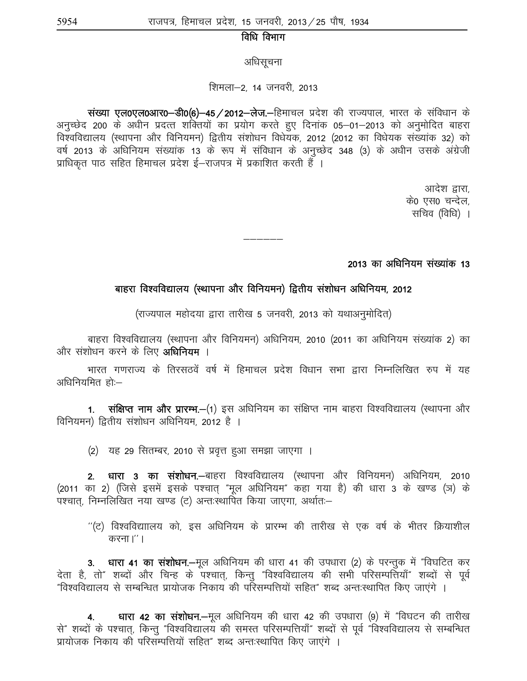# विधि विभाग

अधिसूचना

#### शिमला-2, 14 जनवरी, 2013

संख्या एल0एल0आर0-डी0(6)-45 / 2012-लेज.-हिमाचल प्रदेश की राज्यपाल, भारत के संविधान के अनुच्छेद 200 के अधीन प्रदत्त शक्तियों का प्रयोग करते हुए दिनांक 05–01–2013 को अनुमोदित बाहरा विश्वविद्यालय (स्थापना और विनियमन) द्वितीय संशोधन विधेयक, 2012 (2012 का विधेयक संख्यांक 32) को वर्ष 2013 के अधिनियम संख्यांक 13 के रूप में संविधान के अनुच्छेद 348 (3) के अधीन उसके अंग्रेजी प्राधिकृत पाठ सहित हिमाचल प्रदेश ई–राजपत्र में प्रकाशित करती हैं ।

> आदेश द्वारा. के0 एस0 चन्देल. सचिव (विधि) ।

#### 2013 का अधिनियम संख्यांक 13

#### बाहरा विश्वविद्यालय (स्थापना और विनियमन) द्वितीय संशोधन अधिनियम, 2012

——————<br>——————

(राज्यपाल महोदया द्वारा तारीख 5 जनवरी, 2013 को यथाअनुमोदित)

बाहरा विश्वविद्यालय (स्थापना और विनियमन) अधिनियम, 2010 (2011 का अधिनियम संख्यांक 2) का और संशोधन करने के लिए **अधिनियम** ।

भारत गणराज्य के तिरसठवें वर्ष में हिमाचल प्रदेश विधान सभा द्वारा निम्नलिखित रुप में यह अधिनियमित $\tilde{\text{F}}$ तो: $-$ 

1. संक्षिप्त नाम और प्रारम्भ.-(1) इस अधिनियम का संक्षिप्त नाम बाहरा विश्वविद्यालय (स्थापना और विनियमन) द्वितीय संशोधन अधिनियम, 2012 है ।

(2) यह 29 सितम्बर, 2010 से प्रवृत्त हुआ समझा जाएगा ।

2. धारा 3 का संशोधन.—बाहरा विश्वविद्यालय (स्थापना और विनियमन) अधिनियम, 2010 (2011 का 2) (जिसे इसमें इसके पश्चात् "मूल अधिनियम" कहा गया है) की धारा 3 के खण्ड (ञ) के .<br>पश्चात, निम्नलिखित नया खण्ड (ट) अन्तःस्थापित किया जाएगा, अर्थात:–

 $^{\prime\prime}$ (ट) विश्वविद्याालय को, इस अधिनियम के प्रारम्भ की तारीख से एक वर्ष के भीतर क्रियाशील करना।''।

3. धारा 41 का संशोधन.-मूल अधिनियम की धारा 41 की उपधारा (2) के परन्तुक में "विघटित कर देता है, तो" शब्दों और चिन्ह के पश्चात्, किन्तु "विश्वविद्यालय की सभी परिसम्पत्तियाँ" शब्दों से पूर्व "विश्वविद्यालय से सम्बन्धित प्रायोजक निकाय की परिसम्पत्तियों सहित" शब्द अन्त:स्थापित किए जाएंगे ।

धारा 42 का संशोधन.—मूल अधिनियम की धारा 42 की उपधारा (9) में "विघटन की तारीख से" शब्दों के पश्चात्, किन्तु "विश्वविद्यालय की समस्त परिसम्पत्तियाँ" शब्दों से पूर्व "विश्वविद्यालय से सम्बन्धित प्रायोजक निकाय की परिसम्पत्तियों सहित" शब्द अन्तःस्थापित किए जाएंगे ।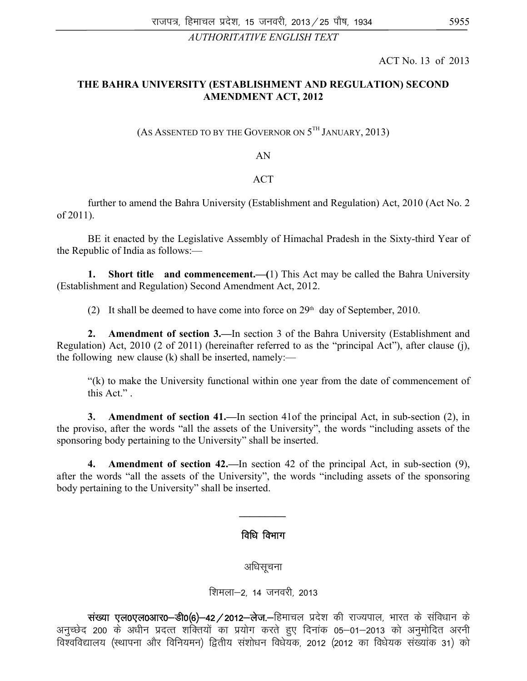#### *AUTHORITATIVE ENGLISH TEXT*

ACT No. 13 of 2013

# **THE BAHRA UNIVERSITY (ESTABLISHMENT AND REGULATION) SECOND AMENDMENT ACT, 2012**

### (AS ASSENTED TO BY THE GOVERNOR ON  $5^{TH}$  JANUARY, 2013)

#### AN

#### ACT

 further to amend the Bahra University (Establishment and Regulation) Act, 2010 (Act No. 2 of 2011).

 BE it enacted by the Legislative Assembly of Himachal Pradesh in the Sixty-third Year of the Republic of India as follows:—

 **1. Short title and commencement.—(**1) This Act may be called the Bahra University (Establishment and Regulation) Second Amendment Act, 2012.

(2) It shall be deemed to have come into force on  $29<sup>th</sup>$  day of September, 2010.

 **2. Amendment of section 3.—**In section 3 of the Bahra University (Establishment and Regulation) Act, 2010 (2 of 2011) (hereinafter referred to as the "principal Act"), after clause (j), the following new clause (k) shall be inserted, namely:—

 "(k) to make the University functional within one year from the date of commencement of this Act." .

 **3. Amendment of section 41.—**In section 41of the principal Act, in sub-section (2), in the proviso, after the words "all the assets of the University", the words "including assets of the sponsoring body pertaining to the University" shall be inserted.

 **4. Amendment of section 42.—**In section 42 of the principal Act, in sub-section (9), after the words "all the assets of the University", the words "including assets of the sponsoring body pertaining to the University" shall be inserted.

#### विधि विभाग

*\_\_\_\_\_\_\_\_\_* 

अधिसूचना

शिमला-2, 14 जनवरी, 2013

संख्या एल0एल0आर0-डी0(6)-42/2012-लेज.-हिमाचल प्रदेश की राज्यपाल, भारत के संविधान के अनुच्छेद 200 के अधीन प्रदत्त शक्तियों का प्रयोग करते हुए दिनांक 05–01–2013 को अनुमोदित अरनी विश्वविद्यालय (स्थापना और विनियमन) द्वितीय संशोधन विधेयक, 2012 (2012 का विधेयक संख्यांक 31) को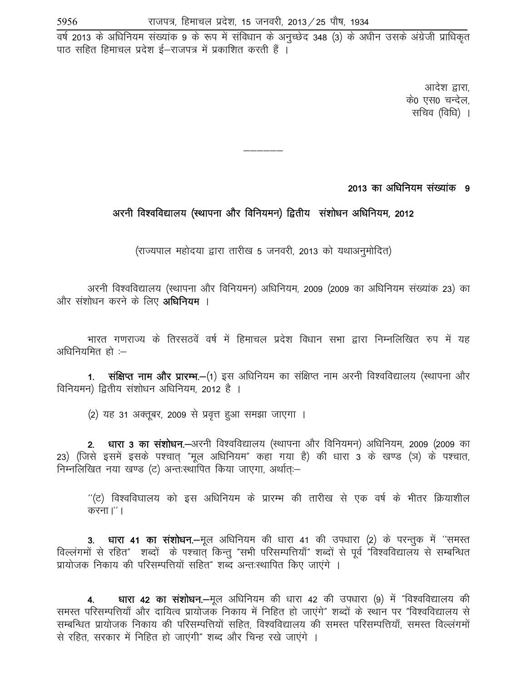वर्ष 2013 के अधिनियम संख्यांक 9 के रूप में संविधान के अनुच्छेद 348 (3) के अधीन उसके अंग्रेजी प्राधिकृत .<br>पाठ सहित हिमाचल प्रदेश ई—राजपत्र में प्रकाशित करती हैं ।

> आदेश द्वारा. के0 एस0 चन्देल. सचिव (विधि) ।

2013 का अधिनियम संख्यांक 9

# अरनी विश्वविद्यालय (स्थापना और विनियमन) द्वितीय संशोधन अधिनियम, 2012

——————<br>——————

(राज्यपाल महोदया द्वारा तारीख 5 जनवरी, 2013 को यथाअनुमोदित)

अरनी विश्वविद्यालय (स्थापना और विनियमन) अधिनियम, 2009 (2009 का अधिनियम संख्यांक 23) का और संशोधन करने के लिए **अधिनियम** ।

भारत गणराज्य के तिरसठवें वर्ष में हिमाचल प्रदेश विधान सभा द्वारा निम्नलिखित रुप में यह अधिनियमित $\tilde{\mathbf{r}}$  :–

1. संक्षिप्त नाम और प्रारम्भ.-(1) इस अधिनियम का संक्षिप्त नाम अरनी विश्वविद्यालय (स्थापना और विनियमन) द्वितीय संशोधन अधिनियम, 2012 है ।

(2) यह 31 अक्तूबर, 2009 से प्रवृत्त हुआ समझा जाएगा ।

2. धारा 3 का संशोधन.—अरनी विश्वविद्यालय (स्थापना और विनियमन) अधिनियम, 2009 (2009 का 23) (जिसे इसमें इसके पश्चात् "मूल अधिनियम" कहा गया है) की धारा 3 के खण्ड (ञ) के पश्चात, निम्नलिखित नया खण्ड (ट) अन्तःस्थापित किया जाएगा. अर्थातः–

 $^{\prime\prime}$ (ट) विश्वविघालय को इस अधिनियम के प्रारम्भ की तारीख से एक वर्ष के भीतर क्रियाशील करना।''।

3. धारा 41 का संशोधन.-मूल अधिनियम की धारा 41 की उपधारा (2) के परन्तुक में "समस्त विल्लंगमों से रहित" शब्दों के पश्चात् किन्तु "सभी परिसम्पत्तियाँ" शब्दों से पूर्व "विश्वविद्यालय से सम्बन्धित <u>प्रायोजक निकाय की परिसम्पत्तियों सहित" शब्द अन्तःस्थापित किए जाएंगे ।</u>

4. धारा 42 का संशोधन.-मूल अधिनियम की धारा 42 की उपधारा (9) में "विश्वविद्यालय की समस्त परिसम्पत्तियाँ और दायित्व प्रायोजक निकाय में निहित हो जाएंगे" शब्दों के स्थान पर "विश्वविद्यालय से सम्बन्धित प्रायोजक निकाय की परिसम्पत्तियों सहित, विश्वविद्यालय की समस्त परिसम्पत्तियाँ, समस्त विल्लंगमों से रहित, सरकार में निहित हो जाएंगी" शब्द और चिन्ह रखे जाएंगे ।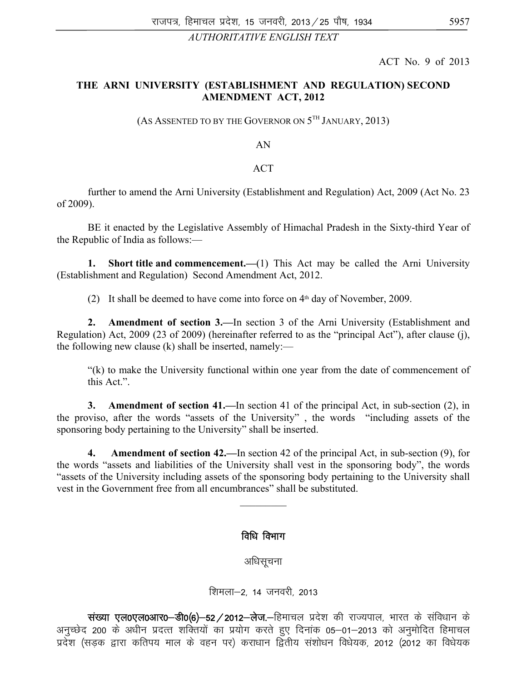### *AUTHORITATIVE ENGLISH TEXT*

ACT No. 9 of 2013

#### **THE ARNI UNIVERSITY (ESTABLISHMENT AND REGULATION) SECOND AMENDMENT ACT, 2012**

(AS ASSENTED TO BY THE GOVERNOR ON  $5^{TH}$  JANUARY, 2013)

AN

#### **ACT**

 further to amend the Arni University (Establishment and Regulation) Act, 2009 (Act No. 23 of 2009).

 BE it enacted by the Legislative Assembly of Himachal Pradesh in the Sixty-third Year of the Republic of India as follows:—

**1.** Short title and commencement.—(1) This Act may be called the Arni University (Establishment and Regulation) Second Amendment Act, 2012.

(2) It shall be deemed to have come into force on  $4<sup>th</sup>$  day of November, 2009.

 **2. Amendment of section 3.—**In section 3 of the Arni University (Establishment and Regulation) Act, 2009 (23 of 2009) (hereinafter referred to as the "principal Act"), after clause (j), the following new clause  $(k)$  shall be inserted, namely:—

 "(k) to make the University functional within one year from the date of commencement of this Act.".

 **3. Amendment of section 41.—**In section 41 of the principal Act, in sub-section (2), in the proviso, after the words "assets of the University" , the words "including assets of the sponsoring body pertaining to the University" shall be inserted.

 **4. Amendment of section 42.—**In section 42 of the principal Act, in sub-section (9), for the words "assets and liabilities of the University shall vest in the sponsoring body", the words "assets of the University including assets of the sponsoring body pertaining to the University shall vest in the Government free from all encumbrances" shall be substituted.

 $\frac{1}{2}$ 

# विधि विभाग

अधिसूचना

शिमला-2, 14 जनवरी, 2013

संख्या एल0एल0आर0-डी0(6)-52/2012-लेज.-हिमाचल प्रदेश की राज्यपाल, भारत के संविधान के अनुच्छेद 200 के अधीन प्रदत्त शक्तियों का प्रयोग करते हुए दिनांक 05–01–2013 को अनुमोदित हिमाचल ं<br>प्रदेश (सडक द्वारा कतिपय माल के वहन पर) कराधान द्वितीय संशोधन विधेयक, 2012 (2012 का विधेयक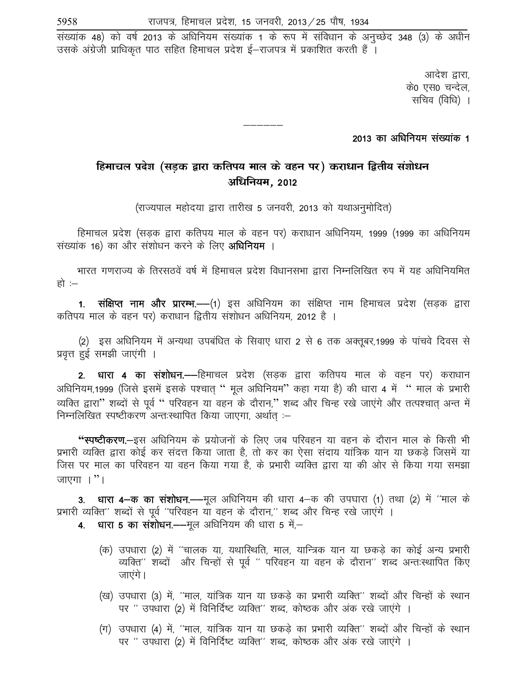संख्यांक 48) को वर्ष 2013 के अधिनियम संख्यांक 1 के रूप में संविधान के अनुच्छेद 348 (3) के अधीन उसके अंग्रेजी प्राधिकृत पाठ सहित हिमाचल प्रदेश ई–राजपत्र में प्रकाशित करती हैं ।

> आदेश द्वारा, के0 एस0 चन्देल, सचिव (विधि) ।

# 2013 का अधिनियम संख्यांक 1

# **fgekpy izns**'**k (lM+d }kjk dfri; eky ds ogu ij) djk/ku f}rh; la**'**kks/u vf/fu;e] 2012**

—————

(राज्यपाल महोदया द्वारा तारीख 5 जनवरी, 2013 को यथाअनुमोदित)

हिमाचल प्रदेश (सडक द्वारा कतिपय माल के वहन पर) कराधान अधिनियम, 1999 (1999 का अधिनियम संख्यांक 16) का और संशोधन करने के लिए **अधिनियम** ।

भारत गणराज्य के तिरसठवें वर्ष में हिमाचल प्रदेश विधानसभा द्वारा निम्नलिखित रुप में यह अधिनियमित हो $: -$ 

**1. संक्षिप्त नाम और प्रारम्भ.—**(1) इस अधिनियम का संक्षिप्त नाम हिमाचल प्रदेश (सडक द्वारा कतिपय माल के वहन पर) कराधान द्वितीय संशोधन अधिनियम, 2012 है ।

(2) इस अधिनियम में अन्यथा उपबंधित के सिवाए धारा 2 से 6 तक अक्तूबर,1999 के पांचवे दिवस से प्रवृत्त हुई समझी जाएंगी ।

2. धारा 4 का संशोधन.—हिमाचल प्रदेश (सड़क द्वारा कतिपय माल के वहन पर) कराधान अधिनियम,1999 (जिसे इसमें इसके पश्चात " मूल अधिनियम" कहा गया है) की धारा 4 में " माल के प्रभारी व्यक्ति द्वारा" शब्दों से पूर्व " परिवहन या वहन के दौरान," शब्द और चिन्ह रखे जाएंगे और तत्पश्चात अन्त में निम्नलिखित स्पष्टीकरण अन्तःस्थापित किया जाएगा, अर्थात :-

**''स्पष्टीकरण.—इ**स अधिनियम के प्रयोजनों के लिए जब परिवहन या वहन के दौरान माल के किसी भी प्रभारी व्यक्ति द्वारा कोई कर संदत्त किया जाता है, तो कर का ऐसा संदाय यांत्रिक यान या छकड़े जिसमें या जिस पर माल का परिवहन या वहन किया गया है, के प्रभारी व्यक्ति द्वारा या की ओर से किया गया समझा जाएगा $\mathbb{R}^n$ ।

3. धारा 4-क का संशोधन.--मूल अधिनियम की धारा 4-क की उपघारा (1) तथा (2) में "माल के प्रभारी व्यक्ति" शब्दों से पूर्व "परिवहन या वहन के दौरान," शब्द और चिन्ह रखे जाएंगे ।

- 4. धारा 5 का संशोधन.——मूल अधिनियम की धारा 5 में,—
	- (क) उपधारा (2) में ''चालक या, यथारिथति, माल, यान्त्रिक यान या छकडे का कोई अन्य प्रभारी व्यक्ति" शब्दों और चिन्हों से पूर्व " परिवहन या वहन के दौरान" शब्द अन्तःस्थापित किए जाएंगे ।
	- (ख) उपधारा (3) में, ''माल, यांत्रिक यान या छकड़े का प्रभारी व्यक्ति'' शब्दों और चिन्हों के स्थान पर " उपधारा (2) में विनिर्दिष्ट व्यक्ति" शब्द, कोष्ठक और अंक रखे जाएंगे ।
	- (ग) उपधारा (4) में, ''माल, यांत्रिक यान या छकडे का प्रभारी व्यक्ति'' शब्दों और चिन्हों के स्थान पर " उपधारा (2) में विनिर्दिष्ट व्यक्ति" शब्द, कोष्ठक और अंक रखे जाएंगे ।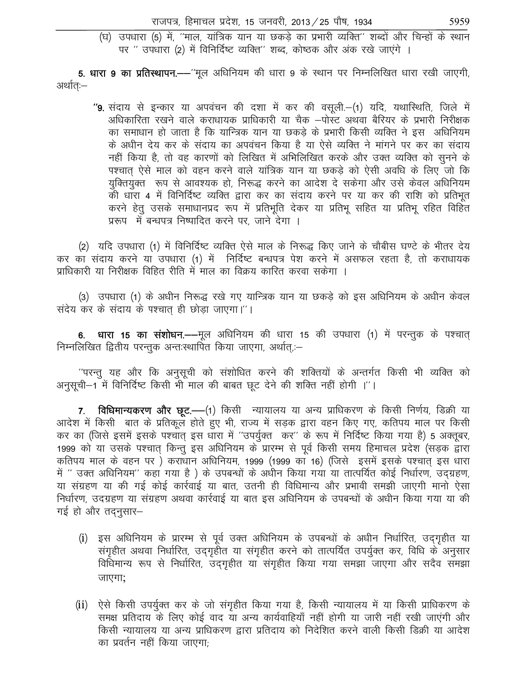(घ) उपधारा (5) में, ''माल, यांत्रिक यान या छकड़े का प्रभारी व्यक्ति'' शब्दों और चिन्हों के स्थान पर " उपधारा (2) में विनिर्दिष्ट व्यक्ति" शब्द, कोष्ठक और अंक रखे जाएंगे ।

5. धारा 9 का प्रतिस्थापन.——"मूल अधिनियम की धारा 9 के स्थान पर निम्नलिखित धारा रखी जाएगी, अर्थात:—

"9. संदाय से इन्कार या अपवंचन की दशा में कर की वसूली.-(1) यदि, यथास्थिति, जिले में अधिकारिता रखने वाले कराधायक प्राधिकारी या चैक –पोस्ट अथवा बैरियर के प्रभारी निरीक्षक का समाधान हो जाता है कि यान्त्रिक यान या छकड़े के प्रभारी किसी व्यक्ति ने इस अधिनियम के अधीन देय कर के संदाय का अपवंचन किया है या ऐसे व्यक्ति ने मांगने पर कर का संदाय नहीं किया है, तो वह कारणों को लिखित में अभिलिखित करके और उक्त व्यक्ति को सुनने के पश्चात ऐसे माल को वहन करने वाले यांत्रिक यान या छकड़े को ऐसी अवधि के लिए जो कि युक्तियुक्त रूप से आवश्यक हो, निरूद्ध करने का आदेश दे सकेगा और उसे केवल अधिनियम की धारा 4 में विनिर्दिष्ट व्यक्ति द्वारा कर का संदाय करने पर या कर की राशि को प्रतिभूत करने हेतू उसके समाधानप्रद रूप में प्रतिभूति देकर या प्रतिभू सहित या प्रतिभू रहित विहित प्ररूप में बन्धपत्र निष्पादित करने पर. जाने देगा ।

(2) यदि उपधारा (1) में विनिर्दिष्ट व्यक्ति ऐसे माल के निरूद्ध किए जाने के चौबीस घण्टे के भीतर देय कर का संदाय करने या उपधारा (1) में निर्दिष्ट बन्धपत्र पेश करने में असफल रहता है, तो कराधायक प्राधिकारी या निरीक्षक विहित रीति में माल का विक्रय कारित करवा सकेगा ।

(3) उपधारा (1) के अधीन निरूद्ध रखे गए यान्त्रिक यान या छकड़े को इस अधिनियम के अधीन केवल संदेय कर के संदाय के पश्चात ही छोड़ा जाएगा।"।

**धारा 15 का संशोधन.—**—मूल अधिनियम की धारा 15 की उपधारा (1) में परन्तुक के पश्चात् 6. निम्नलिखित द्वितीय परन्तुक अन्तःस्थापित किया जाएगा, अर्थात,:-

''परन्तु यह और कि अनुसूची को संशोधित करने की शक्तियों के अन्तर्गत किसी भी व्यक्ति को अनुसूची-1 में विनिर्दिष्ट किसी भी माल की बाबत छूट देने की शक्ति नहीं होगी ।''।

विधिमान्यकरण और छूट.—(1) किसी न्यायालय या अन्य प्राधिकरण के किसी निर्णय, डिक्री या  $7.$ आदेश में किसी बात के प्रतिकूले होते हुए भी, राज्य में सड़क द्वारा वहन किए गए, कतिपय माल पर किसी कर का (जिसे इसमें इसके पश्चात् इस धारा में "उपर्युक्त कर" के रूप में निर्दिष्ट किया गया है) 5 अक्तूबर, 1999 को या उसके पश्चात किन्तु इस अधिनियम के प्रारम्भ से पूर्व किसी समय हिमाचल प्रदेश (सड़क द्वारा कतिपय माल के वहन पर) कराघान अधिनियम, 1999 (1999 का 16) (जिसे) इसमें इसके पश्चात् इस धारा में '' उक्त अधिनियम'' कहा गया है ) के उपबन्धों के अधीन किया गया या तात्पर्यित कोई निर्धारण, उदग्रहण, या संग्रहण या की गई कोई कार्रवाई या बात, उतनी ही विधिमान्य और प्रभावी समझी जाएगी मानो ऐसा निर्धारण, उदग्रहण या संग्रहण अथवा कार्रवाई या बात इस अधिनियम के उपबन्धों के अधीन किया गया या की गई हो और तदनुसार-

- (i) इस अधिनियम के प्रारम्भ से पूर्व उक्त अधिनियम के उपबन्धों के अधीन निर्धारित, उद्गृहीत या संगृहीत अथवा निर्धारित, उद्गृहीत या संगृहीत करने को तात्पर्यित उपर्युक्त कर, विधि के अनुसार विधिमान्य रूप से निर्धारित, उदगृहीत या संगृहीत किया गया समझा जाएगा और सदैव समझा जाएगा;
- ऐसे किसी उपर्युक्त कर के जो संगृहीत किया गया है, किसी न्यायालय में या किसी प्राधिकरण के  $(ii)$ समक्ष प्रतिदाय के लिए कोई वाद या अन्य कार्यवाहियाँ नहीं होगी या जारी नहीं रखी जाएंगी और किसी न्यायालय या अन्य प्राधिकरण द्वारा प्रतिदाय को निदेशित करने वाली किसी डिक्री या आदेश का प्रवर्तन नहीं किया जाएगा: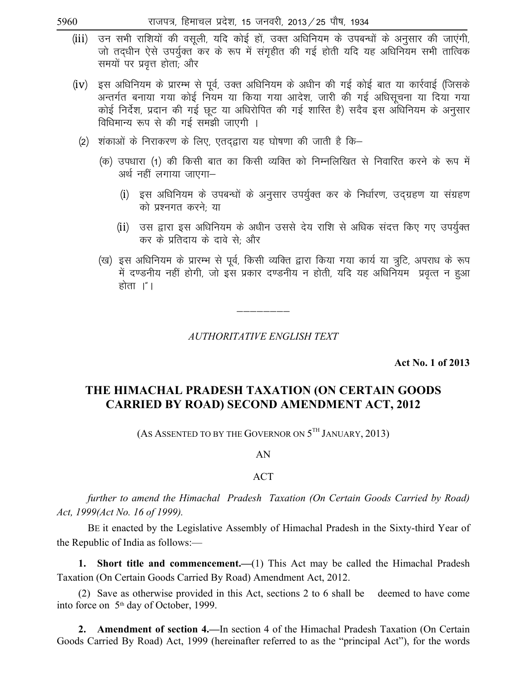| राजपत्र, हिमाचल प्रदेश, 15 जनवरी, 2013 ⁄ 25 पौष, 1934 |  |  |  |  |
|-------------------------------------------------------|--|--|--|--|
|                                                       |  |  |  |  |

- उन सभी राशियों की वसूली, यदि कोई हों, उक्त अधिनियम के उपबन्धों के अनुसार की जाएंगी,  $(iii)$ जो तदधीन ऐसे उपर्युक्त कर के रूप में संगृहीत की गई होती यदि यह अधिनियम सभी तात्विक समयों पर प्रवत्त होता: और
- (iv) इस अधिनियम के प्रारम्भ से पूर्व, उक्त अधिनियम के अधीन की गई कोई बात या कार्रवाई (जिसके अन्तर्गत बनाया गया कोई नियम या किया गया आदेश, जारी की गई अधिसूचना या दिया गया कोई निर्देश, प्रदान की गई छूट या अधिरोपित की गई शास्ति है) सदैव इस अधिनियम के अनुसार विधिमान्य रूप से की गई समझी जाएगी ।
	- (2) शंकाओं के निराकरण के लिए, एतदद्वारा यह घोषणा की जाती है कि—
		- (क) उपधारा (1) की किसी बात का किसी व्यक्ति को निम्नलिखित से निवारित करने के रूप में अर्थ नहीं लगाया जाएगा–
			- (i) इस अधिनियम के उपबन्धों के अनुसार उपर्युक्त कर के निर्धारण, उद्ग्रहण या संग्रहण को प्रश्नगत करने: या
			- (ii) उस द्वारा इस अधिनियम के अधीन उससे देय राशि से अधिक संदत्त किए गए उपर्युक्त कर के प्रतिदाय के दावे से; और
		- (ख) इस अधिनियम के प्रारम्भ से पूर्व, किसी व्यक्ति द्वारा किया गया कार्य या त्रूटि, अपराध के रूप में दण्डनीय नहीं होगी, जो इस प्रकार दण्डनीय न होती, यदि यह अधिनियम प्रवृत्त न हुआ होता ।″।

**AUTHORITATIVE ENGLISH TEXT** 

**Act No. 1 of 2013** 

# THE HIMACHAL PRADESH TAXATION (ON CERTAIN GOODS **CARRIED BY ROAD) SECOND AMENDMENT ACT, 2012**

(AS ASSENTED TO BY THE GOVERNOR ON  $5^{\text{\tiny{TH}}}$  JANUARY, 2013)

AN

#### **ACT**

further to amend the Himachal Pradesh Taxation (On Certain Goods Carried by Road) Act. 1999(Act No. 16 of 1999).

BE it enacted by the Legislative Assembly of Himachal Pradesh in the Sixty-third Year of the Republic of India as follows:—

**1.** Short title and commencement.—(1) This Act may be called the Himachal Pradesh Taxation (On Certain Goods Carried By Road) Amendment Act, 2012.

(2) Save as otherwise provided in this Act, sections 2 to 6 shall be deemed to have come into force on 5<sup>th</sup> day of October, 1999.

**2.** Amendment of section 4.—In section 4 of the Himachal Pradesh Taxation (On Certain Goods Carried By Road) Act, 1999 (hereinafter referred to as the "principal Act"), for the words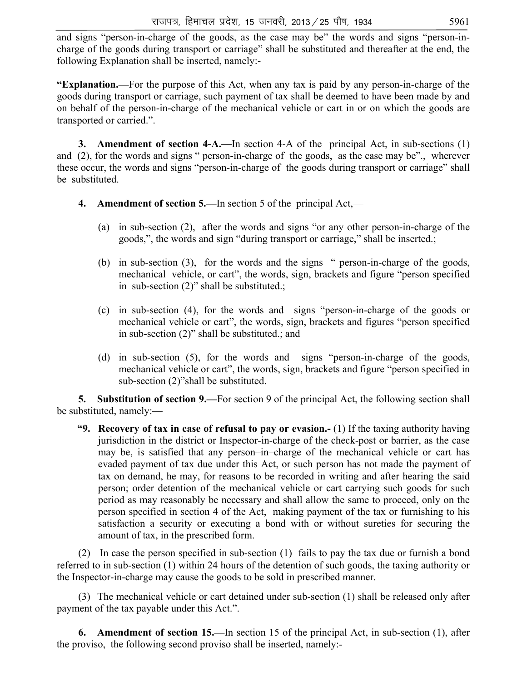and signs "person-in-charge of the goods, as the case may be" the words and signs "person-incharge of the goods during transport or carriage" shall be substituted and thereafter at the end, the following Explanation shall be inserted, namely:-

**"Explanation.—**For the purpose of this Act, when any tax is paid by any person-in-charge of the goods during transport or carriage, such payment of tax shall be deemed to have been made by and on behalf of the person-in-charge of the mechanical vehicle or cart in or on which the goods are transported or carried.".

**3.** Amendment of section 4-A.—In section 4-A of the principal Act, in sub-sections (1) and (2), for the words and signs " person-in-charge of the goods, as the case may be"., wherever these occur, the words and signs "person-in-charge of the goods during transport or carriage" shall be substituted.

- **4. Amendment of section 5.—**In section 5 of the principal Act,—
	- (a) in sub-section (2), after the words and signs "or any other person-in-charge of the goods,", the words and sign "during transport or carriage," shall be inserted.;
	- (b) in sub-section (3), for the words and the signs " person-in-charge of the goods, mechanical vehicle, or cart", the words, sign, brackets and figure "person specified in sub-section (2)" shall be substituted.;
	- (c) in sub-section (4), for the words and signs "person-in-charge of the goods or mechanical vehicle or cart", the words, sign, brackets and figures "person specified in sub-section (2)" shall be substituted.; and
	- (d) in sub-section (5), for the words and signs "person-in-charge of the goods, mechanical vehicle or cart", the words, sign, brackets and figure "person specified in sub-section (2)"shall be substituted.

 **5. Substitution of section 9.—**For section 9 of the principal Act, the following section shall be substituted, namely:—

 **"9. Recovery of tax in case of refusal to pay or evasion.-** (1) If the taxing authority having jurisdiction in the district or Inspector-in-charge of the check-post or barrier, as the case may be, is satisfied that any person–in–charge of the mechanical vehicle or cart has evaded payment of tax due under this Act, or such person has not made the payment of tax on demand, he may, for reasons to be recorded in writing and after hearing the said person; order detention of the mechanical vehicle or cart carrying such goods for such period as may reasonably be necessary and shall allow the same to proceed, only on the person specified in section 4 of the Act, making payment of the tax or furnishing to his satisfaction a security or executing a bond with or without sureties for securing the amount of tax, in the prescribed form.

 (2) In case the person specified in sub-section (1) fails to pay the tax due or furnish a bond referred to in sub-section (1) within 24 hours of the detention of such goods, the taxing authority or the Inspector-in-charge may cause the goods to be sold in prescribed manner.

 (3) The mechanical vehicle or cart detained under sub-section (1) shall be released only after payment of the tax payable under this Act.".

 **6. Amendment of section 15.—**In section 15 of the principal Act, in sub-section (1), after the proviso, the following second proviso shall be inserted, namely:-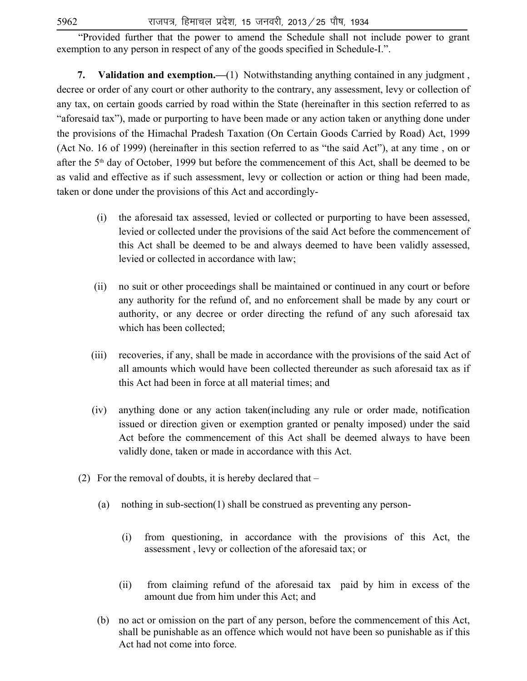"Provided further that the power to amend the Schedule shall not include power to grant exemption to any person in respect of any of the goods specified in Schedule-I.".

**7. Validation and exemption.—**(1) Notwithstanding anything contained in any judgment , decree or order of any court or other authority to the contrary, any assessment, levy or collection of any tax, on certain goods carried by road within the State (hereinafter in this section referred to as "aforesaid tax"), made or purporting to have been made or any action taken or anything done under the provisions of the Himachal Pradesh Taxation (On Certain Goods Carried by Road) Act, 1999 (Act No. 16 of 1999) (hereinafter in this section referred to as "the said Act"), at any time , on or after the 5th day of October, 1999 but before the commencement of this Act, shall be deemed to be as valid and effective as if such assessment, levy or collection or action or thing had been made, taken or done under the provisions of this Act and accordingly-

- (i) the aforesaid tax assessed, levied or collected or purporting to have been assessed, levied or collected under the provisions of the said Act before the commencement of this Act shall be deemed to be and always deemed to have been validly assessed, levied or collected in accordance with law;
- (ii) no suit or other proceedings shall be maintained or continued in any court or before any authority for the refund of, and no enforcement shall be made by any court or authority, or any decree or order directing the refund of any such aforesaid tax which has been collected;
- (iii) recoveries, if any, shall be made in accordance with the provisions of the said Act of all amounts which would have been collected thereunder as such aforesaid tax as if this Act had been in force at all material times; and
- (iv) anything done or any action taken(including any rule or order made, notification issued or direction given or exemption granted or penalty imposed) under the said Act before the commencement of this Act shall be deemed always to have been validly done, taken or made in accordance with this Act.
- (2) For the removal of doubts, it is hereby declared that
	- (a) nothing in sub-section(1) shall be construed as preventing any person-
		- (i) from questioning, in accordance with the provisions of this Act, the assessment , levy or collection of the aforesaid tax; or
		- (ii) from claiming refund of the aforesaid tax paid by him in excess of the amount due from him under this Act; and
	- (b) no act or omission on the part of any person, before the commencement of this Act, shall be punishable as an offence which would not have been so punishable as if this Act had not come into force.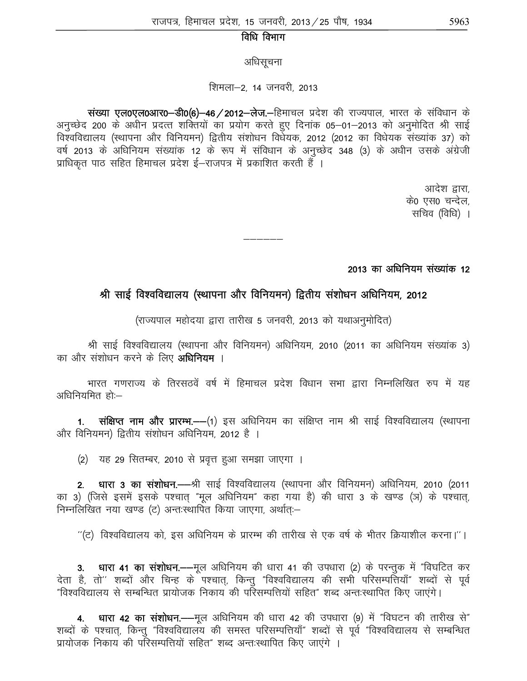# विधि विभाग

अधिसूचना

#### शिमला–2, 14 जनवरी, 2013

wited to discribe versions with the versions in the version of the poster densing in the version of the versio<br>November de later de later de viden de viden de la forma de la forma de /2012 de /2012 de la forma de la forma अनुच्छेद 200 के अधीन प्रदत्त शक्तियों का प्रयोग करते हुए दिनांक 05–01–2013 को अनुमोदित श्री साई विश्वविद्यालय (स्थापना और विनियमन) द्वितीय संशोधन विधेयक, 2012 (2012 का विधेयक संख्यांक 37) को वर्ष 2013 के अधिनियम संख्यांक 12 के रूप में संविधान के अनुच्छेद 348 (3) के अधीन उसके अंग्रेजी प्राधिकृत पाठ सहित हिमाचल प्रदेश ई–राजपत्र में प्रकाशित करती हैं ।

> आदेश द्वारा, के0 एस0 चन्देल, सचिव (विधि) ।

2013 का अधिनियम संख्यांक 12

# श्री साई विश्वविद्यालय (स्थापना और विनियमन) द्वितीय संशोधन अधिनियम, 2012

——————<br>——————

(राज्यपाल महोदया द्वारा तारीख 5 जनवरी, 2013 को यथाअनुमोदित)

श्री साई विश्वविद्यालय (स्थापना और विनियमन) अधिनियम, 2010 (2011 का अधिनियम संख्यांक 3) का और संशोधन करने के लिए **अधिनियम** ।

भारत गणराज्य के तिरसठवें वर्ष में हिमाचल प्रदेश विधान सभा द्वारा निम्नलिखित रुप में यह अधिनियमित $\tilde{\text{F}}$ ों:-

1. संक्षिप्त नाम और प्रारम्भ.—(1) इस अधिनियम का संक्षिप्त नाम श्री साई विश्वविद्यालय (स्थापना ओर विनियमन) द्वितीय संशोधन अधिनियम, 2012 है ।

(2) यह 29 सितम्बर, 2010 से प्रवृत्त हुआ समझा जाएगा ।

2. धारा 3 का संशोधन.——श्री साई विश्वविद्यालय (स्थापना और विनियमन) अधिनियम, 2010 (2011 का 3) (जिसे इसमें इसके पश्चात "मूल अधिनियम" कहा गया है) की धारा 3 के खण्ड (ञ) के पश्चात, निम्नलिखित नया खण्ड (ट) अन्तःस्थापित किया जाएगा, अर्थातः–

 $^{\prime\prime}$ (ट) विश्वविद्यालय को, इस अधिनियम के प्रारम्भ की तारीख से एक वर्ष के भीतर क्रियाशील करना।''।

3. धारा 41 का संशोधन. - मूल अधिनियम की धारा 41 की उपधारा (2) के परन्तुक में "विघटित कर देता है, तो'' शब्दों और चिन्ह के पश्चात्, किन्तु "विश्वविद्यालय की सभी परिसम्पत्तियाँ" शब्दों से पूर्व "विश्वविद्यालय से सम्बन्धित प्रायोजक निकाय की परिसम्पत्तियों सहित" शब्द अन्तःस्थापित किए जाएंगे।

4. धारा 42 का संशोधन. - मूल अधिनियम की धारा 42 की उपधारा (9) में "विघटन की तारीख से" शब्दों के पश्चात्, किन्तु "विश्वविद्यालय की समस्त परिसम्पत्तियाँ" शब्दों से पूर्व "विश्वविद्यालय से सम्बन्धित प्रायोजक निकाय की परिसम्पत्तियों सहित" शब्द अन्तःस्थापित किए जाएंगे ।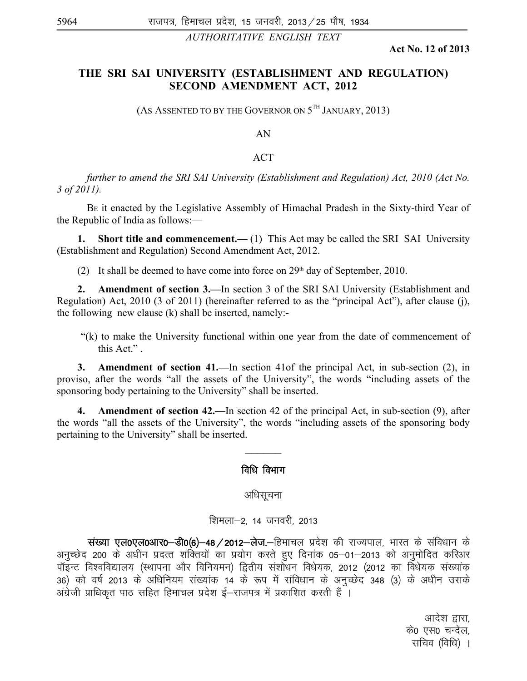*AUTHORITATIVE ENGLISH TEXT*

**Act No. 12 of 2013**

# **THE SRI SAI UNIVERSITY (ESTABLISHMENT AND REGULATION) SECOND AMENDMENT ACT, 2012**

(AS ASSENTED TO BY THE GOVERNOR ON  $5^{TH}$  JANUARY, 2013)

AN

#### ACT

*further to amend the SRI SAI University (Establishment and Regulation) Act, 2010 (Act No. 3 of 2011).* 

 BE it enacted by the Legislative Assembly of Himachal Pradesh in the Sixty-third Year of the Republic of India as follows:—

**1. Short title and commencement.**—(1) This Act may be called the SRI SAI University (Establishment and Regulation) Second Amendment Act, 2012.

(2) It shall be deemed to have come into force on  $29<sup>th</sup>$  day of September, 2010.

**2. Amendment of section 3.—**In section 3 of the SRI SAI University (Establishment and Regulation) Act, 2010 (3 of 2011) (hereinafter referred to as the "principal Act"), after clause (j), the following new clause (k) shall be inserted, namely:-

 "(k) to make the University functional within one year from the date of commencement of this Act." .

**3. Amendment of section 41.—**In section 41of the principal Act, in sub-section (2), in proviso, after the words "all the assets of the University", the words "including assets of the sponsoring body pertaining to the University" shall be inserted.

**4. Amendment of section 42.—**In section 42 of the principal Act, in sub-section (9), after the words "all the assets of the University", the words "including assets of the sponsoring body pertaining to the University" shall be inserted.

 $\frac{1}{2}$ 

# विधि विभाग

#### अधिसूचना

#### शिमला-2, 14 जनवरी, 2013

wited to discribe versions with the versions in the version in the control. We define the version of the versi अनुच्छेद 200 के अधीन प्रदत्त शक्तियों का प्रयोग करते हुए दिनांक 05–01–2013 को अनुमोदित करिअर पॉइन्ट विश्वविद्यालय (स्थापना और विनियमन) द्वितीय संशोधन विधेयक, 2012 (2012 का विधेयक संख्यांक 36) को वर्ष 2013 के अधिनियम संख्यांक 14 के रूप में संविधान के अनुच्छेद 348 (3) के अधीन उसके अंग्रेजी प्राधिकृत पाठ सहित हिमाचल प्रदेश ई–राजपत्र में प्रकाशित करती हैं ।

> आदेश द्वारा, के0 एस0 चन्देल. सचिव (विधि) ।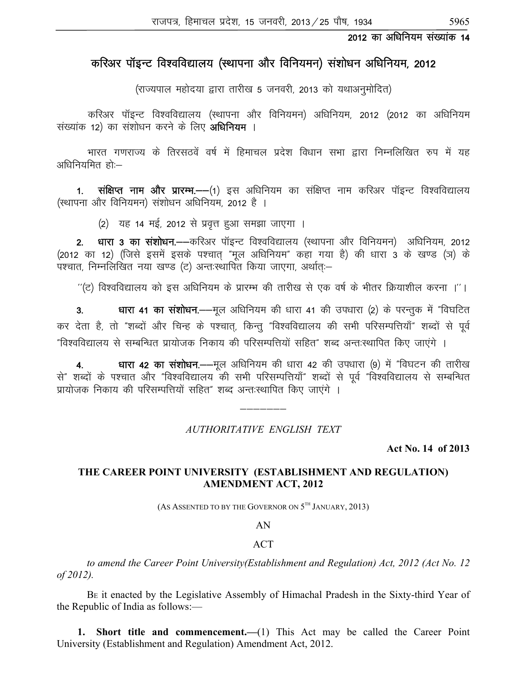# करिअर पॉइन्ट विश्वविद्यालय (स्थापना और विनियमन) संशोधन अधिनियम, 2012

(राज्यपाल महोदया द्वारा तारीख 5 जनवरी, 2013 को यथाअनुमोदित)

करिअर पॉइन्ट विश्वविद्यालय (स्थापना और विनियमन) अधिनियम, 2012 (2012 का अधिनियम संख्यांक 12) का संशोधन करने के लिए **अधिनियम** ।

भारत गणराज्य के तिरसठवें वर्ष में हिमाचल प्रदेश विधान सभा द्वारा निम्नलिखित रुप में यह अधिनियमित $\tilde{\epsilon}$ हो:–

1. संक्षिप्त नाम और प्रारम्भ.—(1) इस अधिनियम का संक्षिप्त नाम करिअर पॉइन्ट विश्वविद्यालय (स्थापना और विनियमन) संशोधन अधिनियम, 2012 है ।

(2) यह 14 मई, 2012 से प्रवृत्त हुआ समझा जाएगा ।

2. धारा 3 का संशोधन.——करिअर पॉइन्ट विश्वविद्यालय (स्थापना और विनियमन) अधिनियम, 2012 (2012 का 12) (जिसे इसमें इसके पश्चात् "मूल अधिनियम" कहा गया है) की धारा 3 के खण्ड (ञ) के .<br>पश्चात, निम्नलिखित नया खण्ड (ट) अन्तःस्थापित किया जाएगा, अर्थात:–

 $^{\prime\prime}$ (ट) विश्वविद्यालय को इस अधिनियम के प्रारम्भ की तारीख से एक वर्ष के भीतर क्रियाशील करना ।''।

 3- /kkjk 41 dk la'kks/ku-&&ewy vf/kfu;e dh /kkjk 41 dh mi/kkjk ¼2½ ds ijUrqd esa Þfo?kfVr कर देता है, तो "शब्दों और चिन्ह के पश्चात्, किन्तु "विश्वविद्यालय की सभी परिसम्पत्तियाँ" शब्दों से पूर्व "विश्वविद्यालय से सम्बन्धित प्रायोजक निकाय की परिसम्पत्तियों सहित" शब्द अन्त:स्थापित किए जाएंगे ।

धारा 42 का संशोधन. - मूल अधिनियम की धारा 42 की उपधारा (9) में "विघटन की तारीख से" शब्दों के पश्चात और "विश्वविद्यालय की सभी परिसम्पत्तियाँ" शब्दों से पूर्व "विश्वविद्यालय से सम्बन्धित प्रायोजक निकाय की परिसम्पत्तियों सहित" शब्द अन्तःस्थापित किए जाएंगे ।

*AUTHORITATIVE ENGLISH TEXT*

———————

**Act No. 14 of 2013**

# **THE CAREER POINT UNIVERSITY (ESTABLISHMENT AND REGULATION) AMENDMENT ACT, 2012**

(AS ASSENTED TO BY THE GOVERNOR ON  $5^{\text{th}}$  January, 2013)

AN

# **ACT**

*to amend the Career Point University(Establishment and Regulation) Act, 2012 (Act No. 12 of 2012).* 

 BE it enacted by the Legislative Assembly of Himachal Pradesh in the Sixty-third Year of the Republic of India as follows:—

**1. Short title and commencement.—**(1) This Act may be called the Career Point University (Establishment and Regulation) Amendment Act, 2012.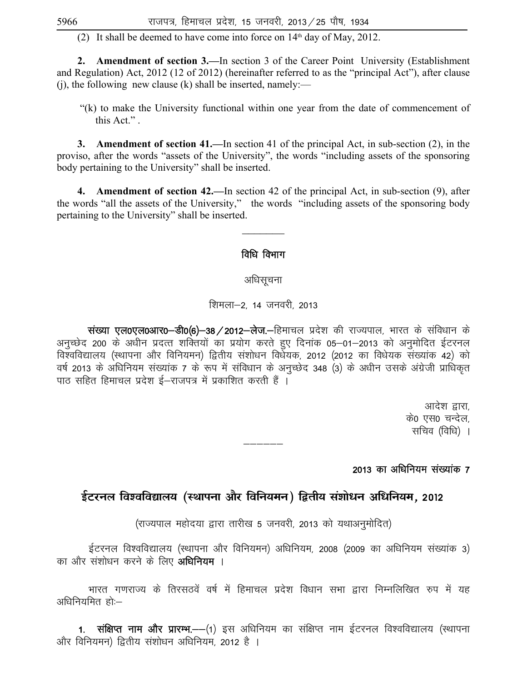(2) It shall be deemed to have come into force on  $14<sup>th</sup>$  day of May, 2012.

**2. Amendment of section 3.—**In section 3 of the Career Point University (Establishment and Regulation) Act, 2012 (12 of 2012) (hereinafter referred to as the "principal Act"), after clause  $(i)$ , the following new clause (k) shall be inserted, namely:—

 "(k) to make the University functional within one year from the date of commencement of this Act." .

 **3. Amendment of section 41.—**In section 41 of the principal Act, in sub-section (2), in the proviso, after the words "assets of the University", the words "including assets of the sponsoring body pertaining to the University" shall be inserted.

 **4. Amendment of section 42.—**In section 42 of the principal Act, in sub-section (9), after the words "all the assets of the University," the words "including assets of the sponsoring body pertaining to the University" shall be inserted.

# विधि विभाग

# अधिसचना

शिमला-2, 14 जनवरी, 2013

wited to verto verto verto the transportant with the verto statement of the verto depth of the verto verto dis<br>that do verto distributed, and verto distributed of the state of the state of 2012-dag. Verton depth and verto अनुच्छेद 200 के अधीन प्रदत्त शक्तियों का प्रयोग करते हुए दिनांक 05–01–2013 को अनुमोदित ईटरनल विश्वविद्यालय (स्थापना और विनियमन) द्वितीय संशोधन विधेयक, 2012 (2012 का विधेयक संख्यांक 42) को वर्ष 2013 के अधिनियम संख्यांक 7 के रूप में संविधान के अनुच्छेद 348 (3) के अधीन उसके अंग्रेजी प्राधिकृत .<br>पाठ सहित हिमाचल प्रदेश ई—राजपत्र में प्रकाशित करती हैं ।

> आदेश द्वारा. के0 एस0 चन्देल, सचिव $($ विधि $)$ ।

2013 का अधिनियम संख्यांक 7

# <u>ईटरनल विश्वविद्यालय (स्थापना और विनियमन) द्वितीय संशोधन अधिनियम. 2012</u>

—————

(राज्यपाल महोदया द्वारा तारीख 5 जनवरी, 2013 को यथाअनुमोदित)

ईटरनल विश्वविद्यालय (स्थापना और विनियमन) अधिनियम, 2008 (2009 का अधिनियम संख्यांक 3) का और संशोधन करने के लिए **अधिनियम** ।

भारत गणराज्य के तिरसठवें वर्ष में हिमाचल प्रदेश विधान सभा द्वारा निम्नलिखित रुप में यह अधिनियमित $\tilde{\text{R}}$ ां:—

1. संक्षिप्त नाम और प्रारम्भ.--(1) इस अधिनियम का संक्षिप्त नाम ईटरनल विश्वविद्यालय (स्थापना ओर विनियमन) द्वितीय संशोधन अधिनियम, 2012 है ।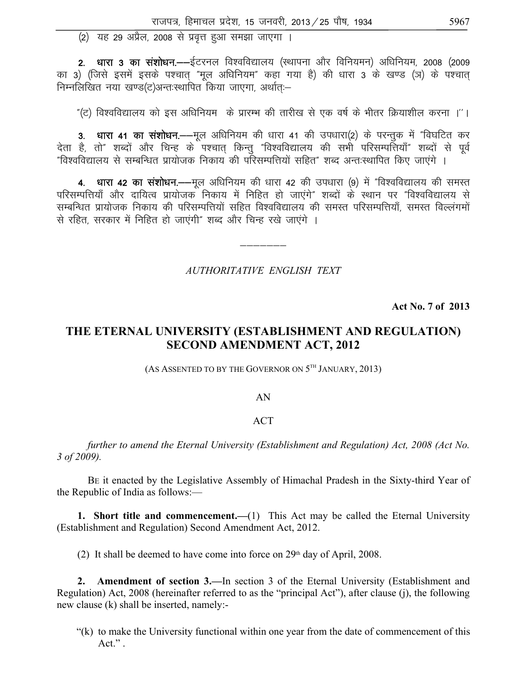(2) यह 29 अप्रैल, 2008 से प्रवृत्त हुआ समझा जाएगा ।

2. धारा 3 का संशोधन.—–ईटरनल विश्वविद्यालय (स्थापना और विनियमन) अधिनियम, 2008 (2009 का 3) (जिसे इसमें इसके पश्चात् "मूल अधिनियम" कहा गया है) की धारा 3 के खण्ड (ञ) के पश्चात् निम्नलिखित नया खण्ड(ट)अन्तःस्थापित किया जाएगा, अर्थातः–

"(ट) विश्वविद्यालय को इस अधिनियम) के प्रारम्भ की तारीख से एक वर्ष के भीतर क्रियाशील करना ।''।

3. धारा 41 का संशोधन.—–मूल अधिनियम की धारा 41 की उपधारा(2) के परन्तुक में "विघटित कर देता है, तो" शब्दों और चिन्ह के पश्चात किन्तु "विश्वविद्यालय की सभी परिसम्पत्तियाँ" शब्दों से पूर्व "विश्वविद्यालय से सम्बन्धित प्रायोजक निकाय की परिसम्पत्तियों सहित" शब्द अन्तःस्थापित किए जाएंगे ।

4. धारा 42 का संशोधन.—मूल अधिनियम की धारा 42 की उपधारा (9) में "विश्वविद्यालय की समस्त परिसम्पत्तियाँ और दायित्व प्रायोजक<sup>ें</sup> निकाय में निहित हो जाएंगे" शब्दों के स्थान पर "विश्वविद्यालय से सम्बन्धित प्रायोजक निकाय की परिसम्पत्तियों सहित विश्वविद्यालय की समस्त परिसम्पत्तियाँ, समस्त विल्लंगमों से रहित, सरकार में निहित हो जाएंगी" शब्द और चिन्ह रखे जाएंगे ।

#### AUTHORITATIVE ENGLISH TEXT

Act No. 7 of 2013

# THE ETERNAL UNIVERSITY (ESTABLISHMENT AND REGULATION) **SECOND AMENDMENT ACT, 2012**

(AS ASSENTED TO BY THE GOVERNOR ON 5TH JANUARY, 2013)

#### AN

#### **ACT**

further to amend the Eternal University (Establishment and Regulation) Act, 2008 (Act No.  $3 of 2009$ ).

BE it enacted by the Legislative Assembly of Himachal Pradesh in the Sixty-third Year of the Republic of India as follows:-

1. Short title and commencement.— $(1)$  This Act may be called the Eternal University (Establishment and Regulation) Second Amendment Act, 2012.

(2) It shall be deemed to have come into force on  $29<sup>th</sup>$  day of April, 2008.

2. Amendment of section 3.—In section 3 of the Eternal University (Establishment and Regulation) Act, 2008 (hereinafter referred to as the "principal Act"), after clause (j), the following new clause (k) shall be inserted, namely:-

"(k) to make the University functional within one year from the date of commencement of this  $Act."$ .